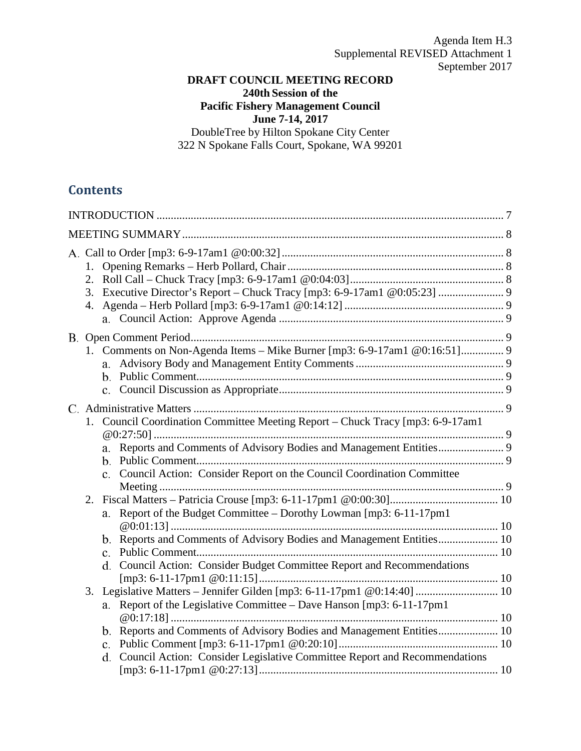Agenda Item H.3 Supplemental REVISED Attachment 1 September 2017

# **DRAFT COUNCIL MEETING RECORD 240th Session of the**

**Pacific Fishery Management Council**

**June 7-14, 2017**

DoubleTree by Hilton Spokane City Center 322 N Spokane Falls Court, Spokane, WA 99201

# **Contents**

| 1. Council Coordination Committee Meeting Report - Chuck Tracy [mp3: 6-9-17am1<br>c. Council Action: Consider Report on the Council Coordination Committee                                                                             |  |
|----------------------------------------------------------------------------------------------------------------------------------------------------------------------------------------------------------------------------------------|--|
| 2.<br>a. Report of the Budget Committee - Dorothy Lowman [mp3: 6-11-17pm1<br>b. Reports and Comments of Advisory Bodies and Management Entities 10<br>d. Council Action: Consider Budget Committee Report and Recommendations          |  |
| Legislative Matters - Jennifer Gilden [mp3: 6-11-17pm1 @0:14:40]  10<br>3.<br>Report of the Legislative Committee - Dave Hanson [mp3: 6-11-17pm1<br>a.<br>d. Council Action: Consider Legislative Committee Report and Recommendations |  |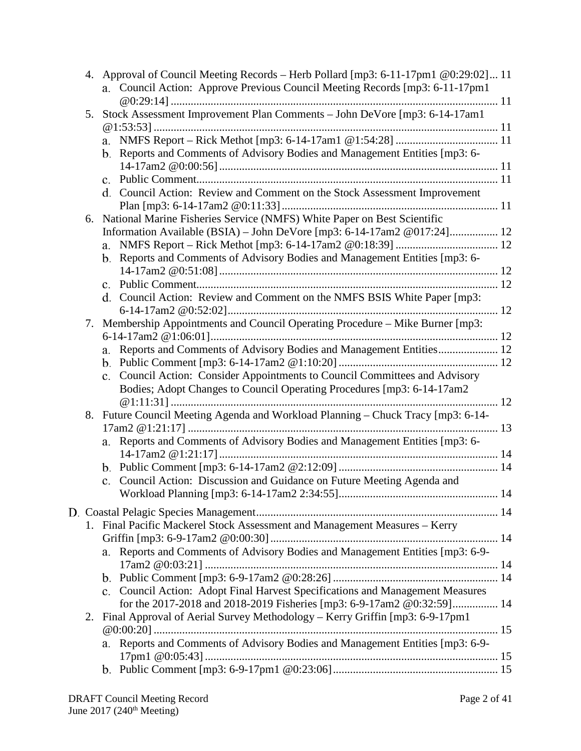| 4. Approval of Council Meeting Records – Herb Pollard [mp3: 6-11-17pm1 @0:29:02] 11<br>a. Council Action: Approve Previous Council Meeting Records [mp3: 6-11-17pm1] |    |                                                                                  |  |
|----------------------------------------------------------------------------------------------------------------------------------------------------------------------|----|----------------------------------------------------------------------------------|--|
|                                                                                                                                                                      |    |                                                                                  |  |
|                                                                                                                                                                      |    | 5. Stock Assessment Improvement Plan Comments - John DeVore [mp3: 6-14-17am1     |  |
|                                                                                                                                                                      |    |                                                                                  |  |
|                                                                                                                                                                      |    |                                                                                  |  |
|                                                                                                                                                                      |    | b. Reports and Comments of Advisory Bodies and Management Entities [mp3: 6-      |  |
|                                                                                                                                                                      |    |                                                                                  |  |
|                                                                                                                                                                      |    |                                                                                  |  |
|                                                                                                                                                                      |    | d. Council Action: Review and Comment on the Stock Assessment Improvement        |  |
|                                                                                                                                                                      |    |                                                                                  |  |
|                                                                                                                                                                      | 6. | National Marine Fisheries Service (NMFS) White Paper on Best Scientific          |  |
|                                                                                                                                                                      |    |                                                                                  |  |
|                                                                                                                                                                      |    |                                                                                  |  |
|                                                                                                                                                                      |    | b. Reports and Comments of Advisory Bodies and Management Entities [mp3: 6-      |  |
|                                                                                                                                                                      |    |                                                                                  |  |
|                                                                                                                                                                      |    |                                                                                  |  |
|                                                                                                                                                                      |    | d. Council Action: Review and Comment on the NMFS BSIS White Paper [mp3:         |  |
|                                                                                                                                                                      |    |                                                                                  |  |
|                                                                                                                                                                      | 7. | Membership Appointments and Council Operating Procedure - Mike Burner [mp3:      |  |
|                                                                                                                                                                      |    |                                                                                  |  |
|                                                                                                                                                                      |    | a. Reports and Comments of Advisory Bodies and Management Entities 12            |  |
|                                                                                                                                                                      |    |                                                                                  |  |
|                                                                                                                                                                      |    | c. Council Action: Consider Appointments to Council Committees and Advisory      |  |
|                                                                                                                                                                      |    | Bodies; Adopt Changes to Council Operating Procedures [mp3: 6-14-17am2]          |  |
|                                                                                                                                                                      |    |                                                                                  |  |
|                                                                                                                                                                      |    | 8. Future Council Meeting Agenda and Workload Planning - Chuck Tracy [mp3: 6-14- |  |
|                                                                                                                                                                      |    |                                                                                  |  |
|                                                                                                                                                                      |    | a. Reports and Comments of Advisory Bodies and Management Entities [mp3: 6-      |  |
|                                                                                                                                                                      |    |                                                                                  |  |
|                                                                                                                                                                      |    |                                                                                  |  |
|                                                                                                                                                                      |    | c. Council Action: Discussion and Guidance on Future Meeting Agenda and          |  |
|                                                                                                                                                                      |    |                                                                                  |  |
|                                                                                                                                                                      |    |                                                                                  |  |
|                                                                                                                                                                      |    | 1. Final Pacific Mackerel Stock Assessment and Management Measures - Kerry       |  |
|                                                                                                                                                                      |    |                                                                                  |  |
|                                                                                                                                                                      |    | a. Reports and Comments of Advisory Bodies and Management Entities [mp3: 6-9-    |  |
|                                                                                                                                                                      |    |                                                                                  |  |
|                                                                                                                                                                      |    |                                                                                  |  |
|                                                                                                                                                                      |    | c. Council Action: Adopt Final Harvest Specifications and Management Measures    |  |
|                                                                                                                                                                      |    | for the 2017-2018 and 2018-2019 Fisheries [mp3: 6-9-17am2 @0:32:59] 14           |  |
|                                                                                                                                                                      | 2. | Final Approval of Aerial Survey Methodology – Kerry Griffin [mp3: 6-9-17pm1]     |  |
|                                                                                                                                                                      |    |                                                                                  |  |
|                                                                                                                                                                      |    | a. Reports and Comments of Advisory Bodies and Management Entities [mp3: 6-9-    |  |
|                                                                                                                                                                      |    |                                                                                  |  |
|                                                                                                                                                                      |    |                                                                                  |  |
|                                                                                                                                                                      |    |                                                                                  |  |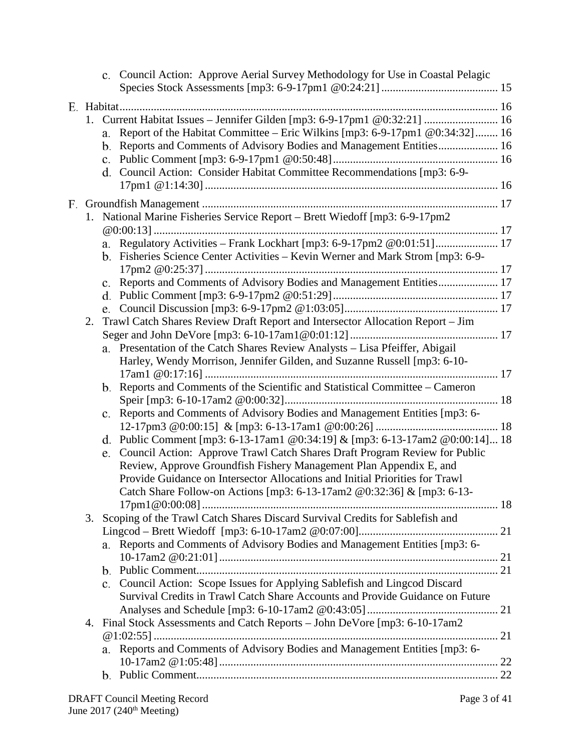|    |                | c. Council Action: Approve Aerial Survey Methodology for Use in Coastal Pelagic                                                                                                                                                                                                                                |
|----|----------------|----------------------------------------------------------------------------------------------------------------------------------------------------------------------------------------------------------------------------------------------------------------------------------------------------------------|
|    |                |                                                                                                                                                                                                                                                                                                                |
|    | a.             | 1. Current Habitat Issues - Jennifer Gilden [mp3: 6-9-17pm1 @0:32:21]  16<br>Report of the Habitat Committee - Eric Wilkins [mp3: 6-9-17pm1 @0:34:32]  16<br>b. Reports and Comments of Advisory Bodies and Management Entities 16<br>d. Council Action: Consider Habitat Committee Recommendations [mp3: 6-9- |
|    |                |                                                                                                                                                                                                                                                                                                                |
|    |                | 1. National Marine Fisheries Service Report - Brett Wiedoff [mp3: 6-9-17pm2                                                                                                                                                                                                                                    |
|    |                | a. Regulatory Activities - Frank Lockhart [mp3: 6-9-17pm2 @0:01:51] 17<br>b. Fisheries Science Center Activities – Kevin Werner and Mark Strom [mp3: 6-9-                                                                                                                                                      |
|    |                | c. Reports and Comments of Advisory Bodies and Management Entities 17                                                                                                                                                                                                                                          |
|    |                |                                                                                                                                                                                                                                                                                                                |
|    |                |                                                                                                                                                                                                                                                                                                                |
| 2. |                | Trawl Catch Shares Review Draft Report and Intersector Allocation Report – Jim                                                                                                                                                                                                                                 |
|    |                |                                                                                                                                                                                                                                                                                                                |
|    |                | a. Presentation of the Catch Shares Review Analysts - Lisa Pfeiffer, Abigail<br>Harley, Wendy Morrison, Jennifer Gilden, and Suzanne Russell [mp3: 6-10-                                                                                                                                                       |
|    |                | b. Reports and Comments of the Scientific and Statistical Committee - Cameron                                                                                                                                                                                                                                  |
|    | $\mathbf{c}$ . | Reports and Comments of Advisory Bodies and Management Entities [mp3: 6-                                                                                                                                                                                                                                       |
|    |                | d. Public Comment [mp3: 6-13-17am1 @0:34:19] & [mp3: 6-13-17am2 @0:00:14] 18                                                                                                                                                                                                                                   |
|    | e.             | Council Action: Approve Trawl Catch Shares Draft Program Review for Public<br>Review, Approve Groundfish Fishery Management Plan Appendix E, and<br>Provide Guidance on Intersector Allocations and Initial Priorities for Trawl<br>Catch Share Follow-on Actions [mp3: 6-13-17am2 @0:32:36] & [mp3: 6-13-     |
|    |                |                                                                                                                                                                                                                                                                                                                |
|    |                | 3. Scoping of the Trawl Catch Shares Discard Survival Credits for Sablefish and                                                                                                                                                                                                                                |
|    |                |                                                                                                                                                                                                                                                                                                                |
|    |                | a. Reports and Comments of Advisory Bodies and Management Entities [mp3: 6-                                                                                                                                                                                                                                    |
|    |                |                                                                                                                                                                                                                                                                                                                |
|    |                | c. Council Action: Scope Issues for Applying Sablefish and Lingcod Discard<br>Survival Credits in Trawl Catch Share Accounts and Provide Guidance on Future                                                                                                                                                    |
| 4. |                | Final Stock Assessments and Catch Reports - John DeVore [mp3: 6-10-17am2]                                                                                                                                                                                                                                      |
|    |                |                                                                                                                                                                                                                                                                                                                |
|    |                | a. Reports and Comments of Advisory Bodies and Management Entities [mp3: 6-                                                                                                                                                                                                                                    |
|    |                |                                                                                                                                                                                                                                                                                                                |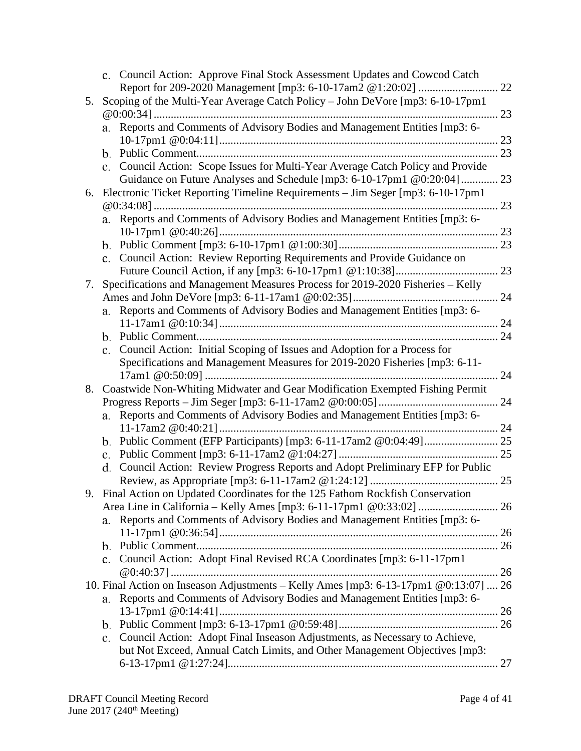|    |                | c. Council Action: Approve Final Stock Assessment Updates and Cowcod Catch           |    |
|----|----------------|--------------------------------------------------------------------------------------|----|
|    |                |                                                                                      | 22 |
| 5. |                | Scoping of the Multi-Year Average Catch Policy - John DeVore [mp3: 6-10-17pm1        |    |
|    |                | Reports and Comments of Advisory Bodies and Management Entities [mp3: 6-             | 23 |
|    | a.             |                                                                                      | 23 |
|    | b.             |                                                                                      | 23 |
|    | c.             | Council Action: Scope Issues for Multi-Year Average Catch Policy and Provide         |    |
|    |                | Guidance on Future Analyses and Schedule [mp3: 6-10-17pm1 @0:20:04]  23              |    |
| 6. |                | Electronic Ticket Reporting Timeline Requirements - Jim Seger [mp3: 6-10-17pm1       |    |
|    |                |                                                                                      | 23 |
|    | а.             | Reports and Comments of Advisory Bodies and Management Entities [mp3: 6-             |    |
|    |                |                                                                                      |    |
|    |                |                                                                                      |    |
|    | c.             | Council Action: Review Reporting Requirements and Provide Guidance on                |    |
|    |                |                                                                                      |    |
| 7. |                | Specifications and Management Measures Process for 2019-2020 Fisheries - Kelly       |    |
|    |                |                                                                                      |    |
|    |                | a. Reports and Comments of Advisory Bodies and Management Entities [mp3: 6-          |    |
|    |                |                                                                                      | 24 |
|    | c.             | Council Action: Initial Scoping of Issues and Adoption for a Process for             |    |
|    |                | Specifications and Management Measures for 2019-2020 Fisheries [mp3: 6-11-           |    |
|    |                |                                                                                      | 24 |
| 8. |                | Coastwide Non-Whiting Midwater and Gear Modification Exempted Fishing Permit         |    |
|    |                |                                                                                      |    |
|    | a.             | Reports and Comments of Advisory Bodies and Management Entities [mp3: 6-             |    |
|    |                |                                                                                      |    |
|    |                |                                                                                      |    |
|    | c.             |                                                                                      |    |
|    |                | d. Council Action: Review Progress Reports and Adopt Preliminary EFP for Public      |    |
|    |                |                                                                                      |    |
|    |                | Final Action on Updated Coordinates for the 125 Fathom Rockfish Conservation         |    |
|    |                |                                                                                      |    |
|    | a.             | Reports and Comments of Advisory Bodies and Management Entities [mp3: 6-             |    |
|    | b.             |                                                                                      |    |
|    | $\mathbf{c}$ . | Council Action: Adopt Final Revised RCA Coordinates [mp3: 6-11-17pm1                 |    |
|    |                |                                                                                      |    |
|    |                | 10. Final Action on Inseason Adjustments - Kelly Ames [mp3: 6-13-17pm1 @0:13:07]  26 |    |
|    | a.             | Reports and Comments of Advisory Bodies and Management Entities [mp3: 6-             |    |
|    |                |                                                                                      |    |
|    |                |                                                                                      |    |
|    | c.             | Council Action: Adopt Final Inseason Adjustments, as Necessary to Achieve,           |    |
|    |                | but Not Exceed, Annual Catch Limits, and Other Management Objectives [mp3:           |    |
|    |                |                                                                                      |    |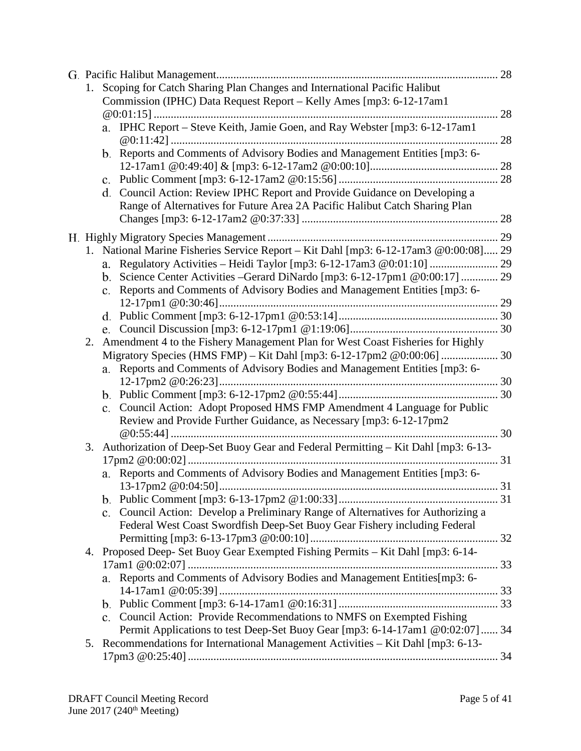|    | 1. Scoping for Catch Sharing Plan Changes and International Pacific Halibut          |    |
|----|--------------------------------------------------------------------------------------|----|
|    | Commission (IPHC) Data Request Report - Kelly Ames [mp3: 6-12-17am1                  |    |
|    |                                                                                      | 28 |
|    | a. IPHC Report - Steve Keith, Jamie Goen, and Ray Webster [mp3: 6-12-17am1           |    |
|    |                                                                                      |    |
|    | b. Reports and Comments of Advisory Bodies and Management Entities [mp3: 6-          |    |
|    |                                                                                      |    |
|    | d. Council Action: Review IPHC Report and Provide Guidance on Developing a           |    |
|    | Range of Alternatives for Future Area 2A Pacific Halibut Catch Sharing Plan          |    |
|    |                                                                                      |    |
|    |                                                                                      |    |
|    | 1. National Marine Fisheries Service Report - Kit Dahl [mp3: 6-12-17am3 @0:00:08] 29 |    |
|    | a.                                                                                   |    |
|    | b. Science Center Activities –Gerard DiNardo [mp3: 6-12-17pm1 @0:00:17]  29          |    |
|    | c. Reports and Comments of Advisory Bodies and Management Entities [mp3: 6-          |    |
|    |                                                                                      |    |
|    |                                                                                      |    |
|    |                                                                                      |    |
| 2. | Amendment 4 to the Fishery Management Plan for West Coast Fisheries for Highly       |    |
|    | a. Reports and Comments of Advisory Bodies and Management Entities [mp3: 6-          |    |
|    |                                                                                      |    |
|    |                                                                                      |    |
|    | c. Council Action: Adopt Proposed HMS FMP Amendment 4 Language for Public            |    |
|    | Review and Provide Further Guidance, as Necessary [mp3: 6-12-17pm2                   |    |
|    |                                                                                      |    |
| 3. | Authorization of Deep-Set Buoy Gear and Federal Permitting – Kit Dahl [mp3: 6-13-    |    |
|    |                                                                                      |    |
|    | a. Reports and Comments of Advisory Bodies and Management Entities [mp3: 6-          |    |
|    |                                                                                      |    |
|    |                                                                                      |    |
|    | Council Action: Develop a Preliminary Range of Alternatives for Authorizing a<br>c.  |    |
|    | Federal West Coast Swordfish Deep-Set Buoy Gear Fishery including Federal            |    |
|    |                                                                                      |    |
| 4. | Proposed Deep- Set Buoy Gear Exempted Fishing Permits - Kit Dahl [mp3: 6-14-         |    |
|    |                                                                                      |    |
|    | Reports and Comments of Advisory Bodies and Management Entities[mp3: 6-              |    |
|    |                                                                                      |    |
|    |                                                                                      |    |
|    | c. Council Action: Provide Recommendations to NMFS on Exempted Fishing               |    |
|    | Permit Applications to test Deep-Set Buoy Gear [mp3: 6-14-17am1 @0:02:07]  34        |    |
| 5. | Recommendations for International Management Activities – Kit Dahl [mp3: 6-13-       |    |
|    |                                                                                      |    |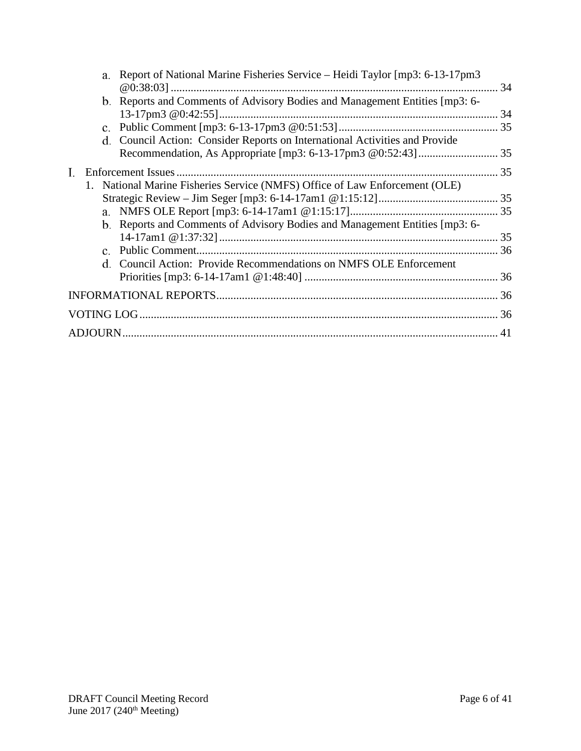|  | a. Report of National Marine Fisheries Service – Heidi Taylor [mp3: 6-13-17pm3] |  |  |
|--|---------------------------------------------------------------------------------|--|--|
|  | b. Reports and Comments of Advisory Bodies and Management Entities [mp3: 6-     |  |  |
|  |                                                                                 |  |  |
|  | d. Council Action: Consider Reports on International Activities and Provide     |  |  |
|  |                                                                                 |  |  |
|  |                                                                                 |  |  |
|  | 1. National Marine Fisheries Service (NMFS) Office of Law Enforcement (OLE)     |  |  |
|  |                                                                                 |  |  |
|  |                                                                                 |  |  |
|  | b. Reports and Comments of Advisory Bodies and Management Entities [mp3: 6-     |  |  |
|  |                                                                                 |  |  |
|  |                                                                                 |  |  |
|  | d. Council Action: Provide Recommendations on NMFS OLE Enforcement              |  |  |
|  |                                                                                 |  |  |
|  |                                                                                 |  |  |
|  |                                                                                 |  |  |
|  |                                                                                 |  |  |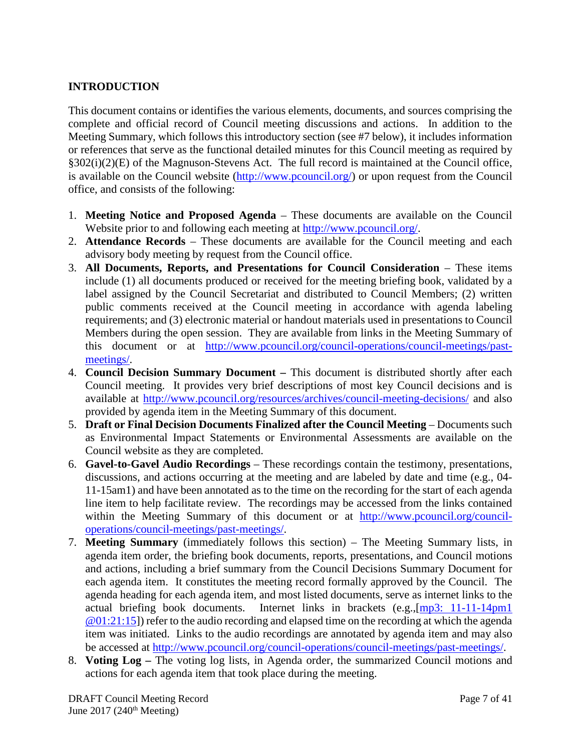# <span id="page-6-0"></span>**INTRODUCTION**

This document contains or identifies the various elements, documents, and sources comprising the complete and official record of Council meeting discussions and actions. In addition to the Meeting Summary, which follows this introductory section (see #7 below), it includes information or references that serve as the functional detailed minutes for this Council meeting as required by §302(i)(2)(E) of the Magnuson-Stevens Act. The full record is maintained at the Council office, is available on the Council website [\(http://www.pcouncil.org/\)](http://www.pcouncil.org/) or upon request from the Council office, and consists of the following:

- 1. **Meeting Notice and Proposed Agenda** These documents are available on the Council Website prior to and following each meeting at [http://www.pcouncil.org/.](http://www.pcouncil.org/)
- 2. **Attendance Records** These documents are available for the Council meeting and each advisory body meeting by request from the Council office.
- 3. **All Documents, Reports, and Presentations for Council Consideration** These items include (1) all documents produced or received for the meeting briefing book, validated by a label assigned by the Council Secretariat and distributed to Council Members; (2) written public comments received at the Council meeting in accordance with agenda labeling requirements; and (3) electronic material or handout materials used in presentations to Council Members during the open session. They are available from links in the Meeting Summary of this document or at [http://www.pcouncil.org/council-operations/council-meetings/past](http://www.pcouncil.org/council-operations/council-meetings/past-meetings/)[meetings/.](http://www.pcouncil.org/council-operations/council-meetings/past-meetings/)
- 4. **Council Decision Summary Document –** This document is distributed shortly after each Council meeting. It provides very brief descriptions of most key Council decisions and is available at<http://www.pcouncil.org/resources/archives/council-meeting-decisions/> and also provided by agenda item in the Meeting Summary of this document.
- 5. **Draft or Final Decision Documents Finalized after the Council Meeting** Documents such as Environmental Impact Statements or Environmental Assessments are available on the Council website as they are completed.
- 6. **Gavel-to-Gavel Audio Recordings** These recordings contain the testimony, presentations, discussions, and actions occurring at the meeting and are labeled by date and time (e.g., 04- 11-15am1) and have been annotated as to the time on the recording for the start of each agenda line item to help facilitate review. The recordings may be accessed from the links contained within the Meeting Summary of this document or at [http://www.pcouncil.org/council](http://www.pcouncil.org/council-operations/council-meetings/past-meetings/)[operations/council-meetings/past-meetings/.](http://www.pcouncil.org/council-operations/council-meetings/past-meetings/)
- 7. **Meeting Summary** (immediately follows this section) The Meeting Summary lists, in agenda item order, the briefing book documents, reports, presentations, and Council motions and actions, including a brief summary from the Council Decisions Summary Document for each agenda item. It constitutes the meeting record formally approved by the Council. The agenda heading for each agenda item, and most listed documents, serve as internet links to the actual briefing book documents. Internet links in brackets (e.g.,[\[mp3: 11-11-14pm1](ftp://ftp.pcouncil.org/pub/R1411_November_2014_Recordings/11-14-14pm1Copy.mp3) @01:21:15]) refer to the audio recording and elapsed time on the recording at which the agenda item was initiated. Links to the audio recordings are annotated by agenda item and may also be accessed at [http://www.pcouncil.org/council-operations/council-meetings/past-meetings/.](http://www.pcouncil.org/council-operations/council-meetings/past-meetings/)
- 8. **Voting Log –** The voting log lists, in Agenda order, the summarized Council motions and actions for each agenda item that took place during the meeting.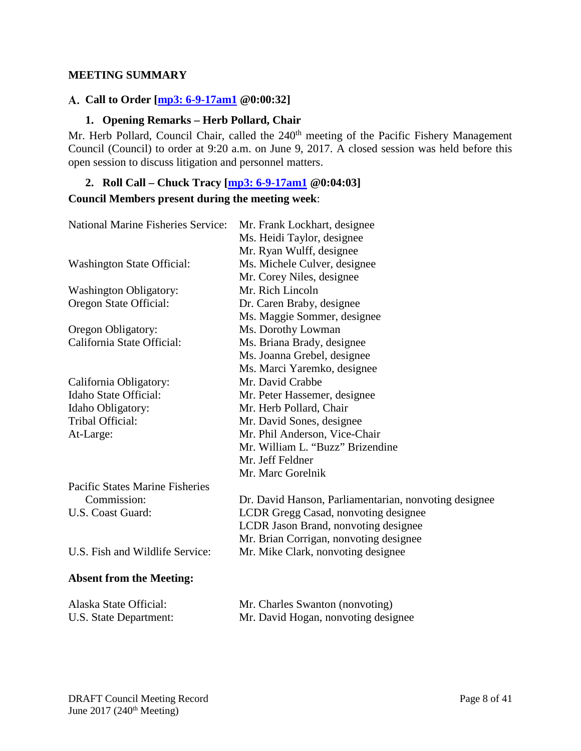### <span id="page-7-0"></span>**MEETING SUMMARY**

## <span id="page-7-1"></span>**Call to Order [\[mp3: 6-9-17am1](ftp://ftp.pcouncil.org/pub/R1706_June_2017_Recordings/6-9-17am1Copy.mp3) @0:00:32]**

### **1. Opening Remarks – Herb Pollard, Chair**

<span id="page-7-2"></span>Mr. Herb Pollard, Council Chair, called the 240<sup>th</sup> meeting of the Pacific Fishery Management Council (Council) to order at 9:20 a.m. on June 9, 2017. A closed session was held before this open session to discuss litigation and personnel matters.

# <span id="page-7-3"></span>**2. Roll Call – Chuck Tracy [\[mp3: 6-9-17am1](ftp://ftp.pcouncil.org/pub/R1706_June_2017_Recordings/6-9-17am1Copy.mp3) @0:04:03] Council Members present during the meeting week**:

| <b>National Marine Fisheries Service:</b> | Mr. Frank Lockhart, designee<br>Ms. Heidi Taylor, designee |
|-------------------------------------------|------------------------------------------------------------|
|                                           | Mr. Ryan Wulff, designee                                   |
| <b>Washington State Official:</b>         | Ms. Michele Culver, designee                               |
|                                           | Mr. Corey Niles, designee                                  |
| <b>Washington Obligatory:</b>             | Mr. Rich Lincoln                                           |
| Oregon State Official:                    | Dr. Caren Braby, designee                                  |
|                                           | Ms. Maggie Sommer, designee                                |
| Oregon Obligatory:                        | Ms. Dorothy Lowman                                         |
| California State Official:                | Ms. Briana Brady, designee                                 |
|                                           | Ms. Joanna Grebel, designee                                |
|                                           | Ms. Marci Yaremko, designee                                |
| California Obligatory:                    | Mr. David Crabbe                                           |
| Idaho State Official:                     | Mr. Peter Hassemer, designee                               |
| Idaho Obligatory:                         | Mr. Herb Pollard, Chair                                    |
| <b>Tribal Official:</b>                   | Mr. David Sones, designee                                  |
| At-Large:                                 | Mr. Phil Anderson, Vice-Chair                              |
|                                           | Mr. William L. "Buzz" Brizendine                           |
|                                           | Mr. Jeff Feldner                                           |
|                                           | Mr. Marc Gorelnik                                          |
| <b>Pacific States Marine Fisheries</b>    |                                                            |
| Commission:                               | Dr. David Hanson, Parliamentarian, nonvoting designee      |
| U.S. Coast Guard:                         | LCDR Gregg Casad, nonvoting designee                       |
|                                           | LCDR Jason Brand, nonvoting designee                       |
|                                           | Mr. Brian Corrigan, nonvoting designee                     |
| U.S. Fish and Wildlife Service:           | Mr. Mike Clark, nonvoting designee                         |
| <b>Absent from the Meeting:</b>           |                                                            |
| Alaska State Official:                    | Mr. Charles Swanton (nonvoting)                            |

U.S. State Department: Mr. David Hogan, nonvoting designee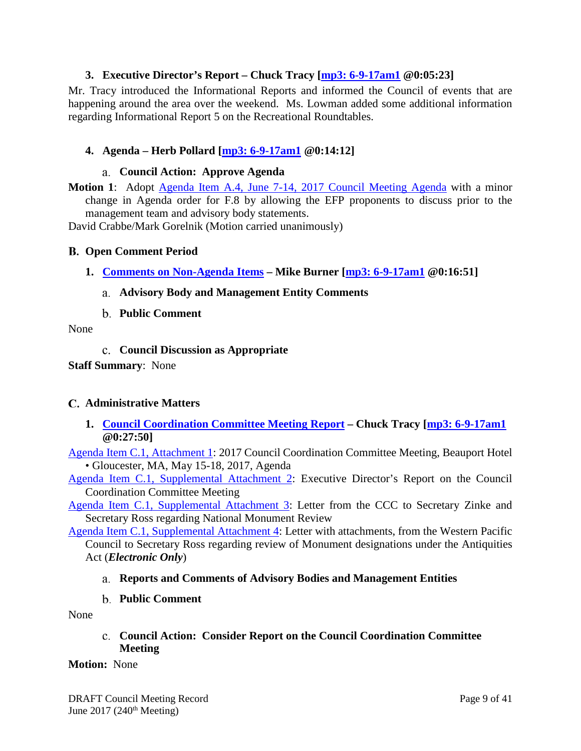## **3. Executive Director's Report – Chuck Tracy [mp3: [6-9-17am1](ftp://ftp.pcouncil.org/pub/R1706_June_2017_Recordings/6-9-17am1Copy.mp3) @0:05:23]**

<span id="page-8-0"></span>Mr. Tracy introduced the Informational Reports and informed the Council of events that are happening around the area over the weekend. Ms. Lowman added some additional information regarding Informational Report 5 on the Recreational Roundtables.

## <span id="page-8-1"></span>**4. Agenda – Herb Pollard [\[mp3: 6-9-17am1](ftp://ftp.pcouncil.org/pub/R1706_June_2017_Recordings/6-9-17am1Copy.mp3) @0:14:12]**

#### **Council Action: Approve Agenda**

<span id="page-8-2"></span>**Motion 1**: Adopt [Agenda Item A.4, June 7-14, 2017](http://www.pcouncil.org/wp-content/uploads/2017/05/A4_Agenda_Jun2017BB.pdf) Council Meeting Agenda with a minor change in Agenda order for F.8 by allowing the EFP proponents to discuss prior to the management team and advisory body statements.

<span id="page-8-3"></span>David Crabbe/Mark Gorelnik (Motion carried unanimously)

#### **Open Comment Period**

<span id="page-8-5"></span><span id="page-8-4"></span>**1. [Comments on Non-Agenda Items](http://www.pcouncil.org/wp-content/uploads/2017/05/B1__SitSum_June2017BB.pdf) – Mike Burner [\[mp3: 6-9-17am1](ftp://ftp.pcouncil.org/pub/R1706_June_2017_Recordings/6-9-17am1Copy.mp3) @0:16:51]**

#### **Advisory Body and Management Entity Comments**

**Public Comment**

#### <span id="page-8-7"></span><span id="page-8-6"></span>None

**Council Discussion as Appropriate**

**Staff Summary**: None

#### <span id="page-8-8"></span>**Administrative Matters**

<span id="page-8-9"></span>**1. [Council Coordination Committee](http://www.pcouncil.org/wp-content/uploads/2017/05/C1__SitSum_CCC-Update_JUN2017BB.pdf) Meeting Report – Chuck Tracy [\[mp3: 6-9-17am1](ftp://ftp.pcouncil.org/pub/R1706_June_2017_Recordings/6-9-17am1Copy.mp3) @0:27:50]**

[Agenda Item C.1, Attachment 1:](http://www.pcouncil.org/wp-content/uploads/2017/05/C1_Att1_CCCagenda_JUN2017BB.pdf) 2017 Council Coordination Committee Meeting, Beauport Hotel • Gloucester, MA, May 15-18, 2017, Agenda

[Agenda Item C.1, Supplemental Attachment 2:](http://www.pcouncil.org/wp-content/uploads/2017/06/C1_Sup_Att2_CCC-EDreport_JUN2017BB.pdf) Executive Director's Report on the Council Coordination Committee Meeting

[Agenda Item C.1, Supplemental Attachment 3:](http://www.pcouncil.org/wp-content/uploads/2017/06/C1_Sup_Att3_CCCLetterMonumentReview_JUN2017BB.pdf) Letter from the CCC to Secretary Zinke and Secretary Ross regarding National Monument Review

[Agenda Item C.1, Supplemental Attachment 4:](http://www.pcouncil.org/wp-content/uploads/2017/06/C1_Sup_Att4_ElectricOnly_WPFMC_MonumentComments_JUN2017BB.pdf) Letter with attachments, from the Western Pacific Council to Secretary Ross regarding review of Monument designations under the Antiquities Act (*Electronic Only*)

#### <span id="page-8-10"></span>**Reports and Comments of Advisory Bodies and Management Entities**

**Public Comment**

<span id="page-8-12"></span><span id="page-8-11"></span>None

#### **Council Action: Consider Report on the Council Coordination Committee Meeting**

#### **Motion:** None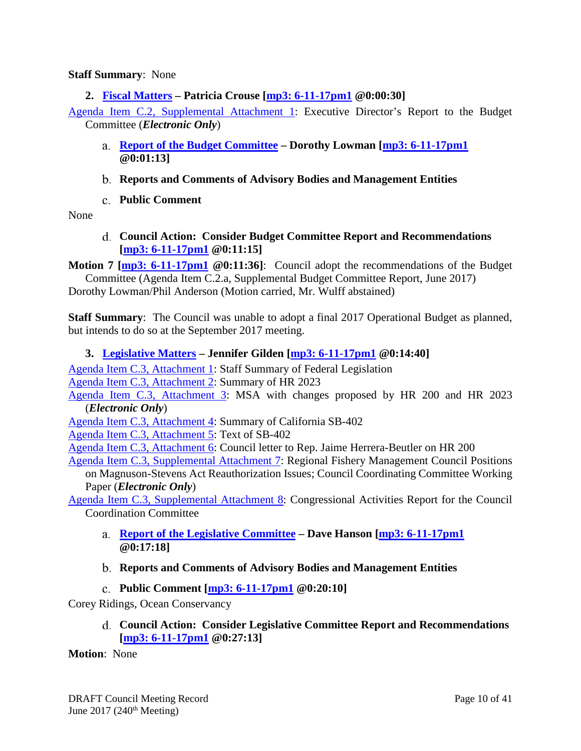#### **Staff Summary**: None

<span id="page-9-0"></span>**2. [Fiscal Matters](http://www.pcouncil.org/wp-content/uploads/2017/05/C2__SitSum_Fiscal_June2017BB.pdf) – Patricia Crouse [\[mp3: 6-11-17pm1](ftp://ftp.pcouncil.org/pub/R1706_June_2017_Recordings/6-11-17pm1Copy.mp3) @0:00:30]**

[Agenda Item C.2, Supplemental Attachment 1:](http://www.pcouncil.org/wp-content/uploads/2017/06/C2_Sup_Att1_EDrpt_toBC_JUN2017BB.pdf) Executive Director's Report to the Budget Committee (*Electronic Only*)

- <span id="page-9-1"></span>**[Report of the Budget Committee](http://www.pcouncil.org/wp-content/uploads/2017/06/C2a_Sup_BudCom_Rpt_JUN2017BB.pdf) – Dorothy Lowman [\[mp3: 6-11-17pm1](ftp://ftp.pcouncil.org/pub/R1706_June_2017_Recordings/6-11-17pm1Copy.mp3) @0:01:13]**
- <span id="page-9-2"></span>**Reports and Comments of Advisory Bodies and Management Entities**
- **Public Comment**

<span id="page-9-4"></span><span id="page-9-3"></span>None

**Council Action: Consider Budget Committee Report and Recommendations [\[mp3: 6-11-17pm1](ftp://ftp.pcouncil.org/pub/R1706_June_2017_Recordings/6-11-17pm1Copy.mp3) @0:11:15]**

**Motion 7 [\[mp3: 6-11-17pm1](ftp://ftp.pcouncil.org/pub/R1706_June_2017_Recordings/6-11-17pm1Copy.mp3) @0:11:36]**: Council adopt the recommendations of the Budget Committee (Agenda Item C.2.a, Supplemental Budget Committee Report, June 2017)

Dorothy Lowman/Phil Anderson (Motion carried, Mr. Wulff abstained)

**Staff Summary**: The Council was unable to adopt a final 2017 Operational Budget as planned, but intends to do so at the September 2017 meeting.

#### <span id="page-9-5"></span>**3. [Legislative Matters](http://www.pcouncil.org/wp-content/uploads/2017/05/C3__SitSum_Legislative_Matters_Jun2017BB.pdf) – Jennifer Gilden [\[mp3: 6-11-17pm1](ftp://ftp.pcouncil.org/pub/R1706_June_2017_Recordings/6-11-17pm1Copy.mp3) @0:14:40]**

[Agenda Item C.3, Attachment 1:](http://www.pcouncil.org/wp-content/uploads/2017/05/C3_Att1_Staff_Summary_Fed_Legislationv2_Jun2017BB.pdf) Staff Summary of Federal Legislation [Agenda Item C.3, Attachment 2:](http://www.pcouncil.org/wp-content/uploads/2017/05/C3_Att2_HR2023_Section-by-Section_As_Introduced_Jun2017BB.pdf) Summary of HR 2023

[Agenda Item C.3, Attachment 3:](http://www.pcouncil.org/wp-content/uploads/2017/05/C3_Att3_ElectronicOnly_MSA_with_Young_and_Graves_Changes_Jun2017BB.pdf) MSA with changes proposed by HR 200 and HR 2023 (*Electronic Only*)

[Agenda Item C.3, Attachment 4:](http://www.pcouncil.org/wp-content/uploads/2017/05/C3_Att4_Cal_SB_402_summary_Jun2017BB.pdf) Summary of California SB-402

[Agenda Item C.3, Attachment 5:](http://www.pcouncil.org/wp-content/uploads/2017/05/C3_Att5_California_SB104_Jun2017BB.pdf) Text of SB-402

[Agenda Item C.3, Attachment 6:](http://www.pcouncil.org/wp-content/uploads/2017/05/C3_Att6_Herrera-Beutler-HR-200-MSA-Apr-2017_Jun2017BB.pdf) Council letter to Rep. Jaime Herrera-Beutler on HR 200

[Agenda Item C.3, Supplemental Attachment 7:](http://www.pcouncil.org/wp-content/uploads/2017/06/C3_Sup_Att7_ElectricOnly_CCC_MSA_Working_Paper_JUNE2017BB.pdf) Regional Fishery Management Council Positions on Magnuson-Stevens Act Reauthorization Issues; Council Coordinating Committee Working

Paper (*Electronic Only*)

[Agenda Item C.3, Supplemental Attachment 8:](http://www.pcouncil.org/wp-content/uploads/2017/06/C3_Sup_Att8_CCC_Congressional_Activities_Report_JUNE2017BB.pdf) Congressional Activities Report for the Council Coordination Committee

<span id="page-9-6"></span>**Report [of the Legislative Committee](http://www.pcouncil.org/wp-content/uploads/2017/06/C3a_Sup_LC_Rpt_JUN2017BB_FINAL.pdf) – Dave Hanson [\[mp3: 6-11-17pm1](ftp://ftp.pcouncil.org/pub/R1706_June_2017_Recordings/6-11-17pm1Copy.mp3) @0:17:18]**

#### <span id="page-9-7"></span>**Reports and Comments of Advisory Bodies and Management Entities**

**Public Comment [\[mp3: 6-11-17pm1](ftp://ftp.pcouncil.org/pub/R1706_June_2017_Recordings/6-11-17pm1Copy.mp3) @0:20:10]**

<span id="page-9-9"></span><span id="page-9-8"></span>Corey Ridings, Ocean Conservancy

**Council Action: Consider Legislative Committee Report and Recommendations [\[mp3: 6-11-17pm1](ftp://ftp.pcouncil.org/pub/R1706_June_2017_Recordings/6-11-17pm1Copy.mp3) @0:27:13]**

#### **Motion**: None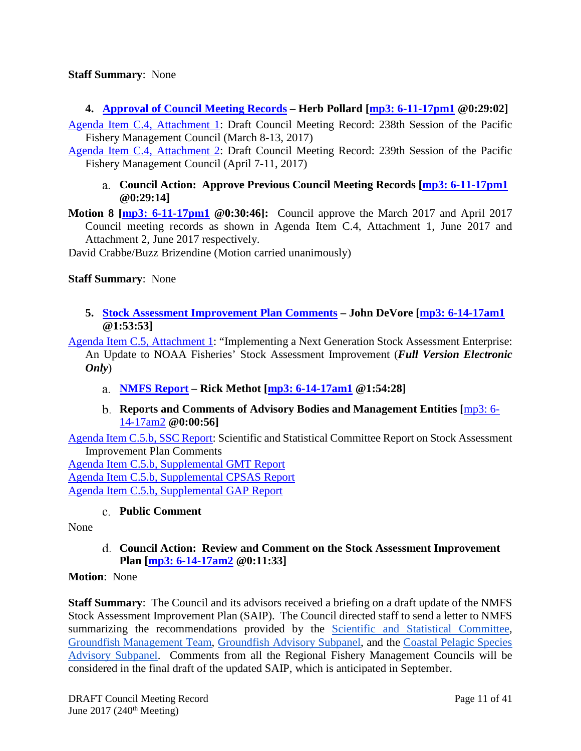#### **Staff Summary**: None

<span id="page-10-0"></span>**4. [Approval of Council Meeting Records](http://www.pcouncil.org/wp-content/uploads/2017/05/C4__SitSum_MtgRecMar17_and_Apr17_Jun2017BB.pdf) – Herb Pollard [\[mp3: 6-11-17pm1](ftp://ftp.pcouncil.org/pub/R1706_June_2017_Recordings/6-11-17pm1Copy.mp3) @0:29:02]**

[Agenda Item C.4, Attachment 1:](http://www.pcouncil.org/wp-content/uploads/2017/05/C4_Att1_March_2017_Draft_COUNCIL_MEETING_RECORD_Jun2017BB.pdf) Draft Council Meeting Record: 238th Session of the Pacific Fishery Management Council (March 8-13, 2017)

<span id="page-10-1"></span>[Agenda Item C.4, Attachment 2:](http://www.pcouncil.org/wp-content/uploads/2017/05/C4_Att2_April_2017_Draft_COUNCIL_MEETING_RECORD_Jun2017BB.pdf) Draft Council Meeting Record: 239th Session of the Pacific Fishery Management Council (April 7-11, 2017)

**Council Action: Approve Previous Council Meeting Records [\[mp3: 6-11-17pm1](ftp://ftp.pcouncil.org/pub/R1706_June_2017_Recordings/6-11-17pm1Copy.mp3) @0:29:14]**

**Motion 8 [\[mp3: 6-11-17pm1](ftp://ftp.pcouncil.org/pub/R1706_June_2017_Recordings/6-11-17pm1Copy.mp3) @0:30:46]:** Council approve the March 2017 and April 2017 Council meeting records as shown in Agenda Item C.4, Attachment 1, June 2017 and Attachment 2, June 2017 respectively.

David Crabbe/Buzz Brizendine (Motion carried unanimously)

#### **Staff Summary**: None

<span id="page-10-2"></span>**5. [Stock Assessment Improvement Plan Comments](http://www.pcouncil.org/wp-content/uploads/2017/05/C5__SitSum_SAIP_Jun2017BB.pdf) – John DeVore [\[mp3: 6-14-17am1](ftp://ftp.pcouncil.org/pub/R1706_June_2017_Recordings/6-14-17am1Copy.mp3) @1:53:53]**

[Agenda Item C.5, Attachment 1:](http://www.pcouncil.org/wp-content/uploads/2017/05/C5_Att1_SAIP_Full_ElectronicOnly_JUN2017BB.pdf) "Implementing a Next Generation Stock Assessment Enterprise: An Update to NOAA Fisheries' Stock Assessment Improvement (*Full Version Electronic Only*)

- <span id="page-10-3"></span>**[NMFS Report](http://www.pcouncil.org/wp-content/uploads/2017/06/C5a_Sup_NMFS_PPT_SAIP_Overview_Methot_JUNE2017BB.pdf) – Rick Methot [\[mp3: 6-14-17am1](ftp://ftp.pcouncil.org/pub/R1706_June_2017_Recordings/6-14-17am1Copy.mp3) @1:54:28]**
- **Reports and Comments of Advisory Bodies and Management Entities [**[mp3: 6-](ftp://ftp.pcouncil.org/pub/R1706_June_2017_Recordings/6-14-17am2Copy.mp3) [14-17am2](ftp://ftp.pcouncil.org/pub/R1706_June_2017_Recordings/6-14-17am2Copy.mp3) **@0:00:56]**

<span id="page-10-4"></span>[Agenda Item C.5.b, SSC Report:](http://www.pcouncil.org/wp-content/uploads/2017/05/C5b_SSC_Rpt_SAIP_FINAL_Jun2017BB.pdf) Scientific and Statistical Committee Report on Stock Assessment Improvement Plan Comments

[Agenda Item C.5.b, Supplemental GMT Report](http://www.pcouncil.org/wp-content/uploads/2017/06/C5b_Sup_GMT_Rpt_Jun2017BB.pdf) [Agenda Item C.5.b, Supplemental CPSAS Report](http://www.pcouncil.org/wp-content/uploads/2017/06/C5b_Sup_CPSAS_Rpt_Jun2017BB.pdf) [Agenda Item C.5.b, Supplemental GAP Report](http://www.pcouncil.org/wp-content/uploads/2017/06/C5b_Sup_GAP_Rpt_Jun2017BB.pdf)

#### **Public Comment**

<span id="page-10-6"></span><span id="page-10-5"></span>None

**Council Action: Review and Comment on the Stock Assessment Improvement Plan [\[mp3: 6-14-17am2](ftp://ftp.pcouncil.org/pub/R1706_June_2017_Recordings/6-14-17am2Copy.mp3) @0:11:33]**

#### **Motion**: None

**Staff Summary**: The Council and its advisors received a briefing on a draft update of the NMFS Stock Assessment Improvement Plan (SAIP). The Council directed staff to send a letter to NMFS summarizing the recommendations provided by the **Scientific and Statistical Committee**, [Groundfish Management Team,](http://www.pcouncil.org/wp-content/uploads/2017/06/C5b_Sup_GMT_Rpt_Jun2017BB.pdf) [Groundfish Advisory Subpanel,](http://www.pcouncil.org/wp-content/uploads/2017/06/C5b_Sup_GAP_Rpt_Jun2017BB.pdf) and the [Coastal Pelagic Species](http://www.pcouncil.org/wp-content/uploads/2017/06/C5b_Sup_CPSAS_Rpt_Jun2017BB.pdf)  [Advisory Subpanel.](http://www.pcouncil.org/wp-content/uploads/2017/06/C5b_Sup_CPSAS_Rpt_Jun2017BB.pdf) Comments from all the Regional Fishery Management Councils will be considered in the final draft of the updated SAIP, which is anticipated in September.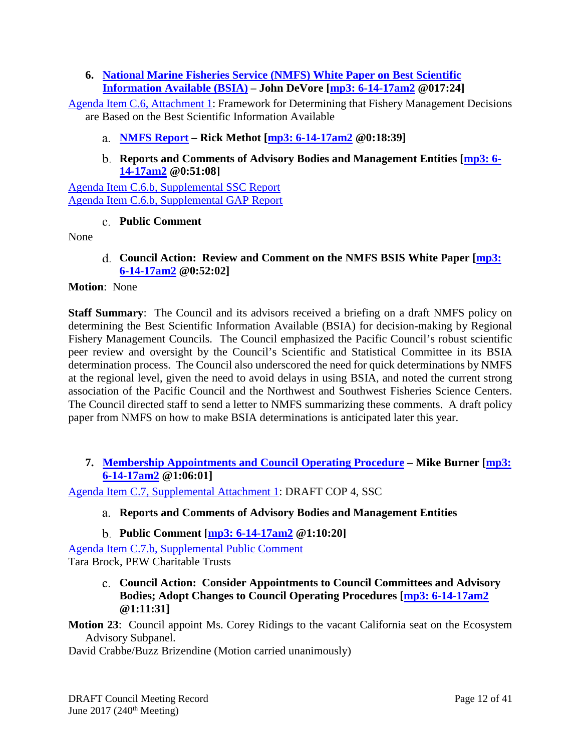# <span id="page-11-0"></span>**6. [National Marine Fisheries Service \(NMFS\) White Paper on Best Scientific](http://www.pcouncil.org/wp-content/uploads/2017/05/C6__SitSum_BSIA_Jun2017BB.pdf)  [Information Available \(BSIA\)](http://www.pcouncil.org/wp-content/uploads/2017/05/C6__SitSum_BSIA_Jun2017BB.pdf) – John DeVore [\[mp3: 6-14-17am2](ftp://ftp.pcouncil.org/pub/R1706_June_2017_Recordings/6-14-17am2Copy.mp3) @017:24]**

[Agenda Item C.6, Attachment 1:](http://www.pcouncil.org/wp-content/uploads/2017/05/C6_Att1_BSIA_Jun2017BB.pdf) Framework for Determining that Fishery Management Decisions are Based on the Best Scientific Information Available

## <span id="page-11-1"></span>**[NMFS Report](http://www.pcouncil.org/wp-content/uploads/2017/06/C6a_Sup_NMFS_PPT_BSIA_Methot_JUNE2017BB.pdf) – Rick Methot [\[mp3: 6-14-17am2](ftp://ftp.pcouncil.org/pub/R1706_June_2017_Recordings/6-14-17am2Copy.mp3) @0:18:39]**

**Reports and Comments of Advisory Bodies and Management Entities [\[mp3: 6-](ftp://ftp.pcouncil.org/pub/R1706_June_2017_Recordings/6-14-17am2Copy.mp3) [14-17am2](ftp://ftp.pcouncil.org/pub/R1706_June_2017_Recordings/6-14-17am2Copy.mp3) @0:51:08]**

<span id="page-11-2"></span>[Agenda Item C.6.b, Supplemental SSC Report](http://www.pcouncil.org/wp-content/uploads/2017/06/C6b_Sup_SSC_Rpt_BSIA_June2017_Final_Jun2017BB.pdf) [Agenda Item C.6.b, Supplemental GAP Report](http://www.pcouncil.org/wp-content/uploads/2017/06/C6b_Sup_GAP_Rpt_Jun2017BB.pdf)

### **Public Comment**

<span id="page-11-4"></span><span id="page-11-3"></span>None

**Council Action: Review and Comment on the NMFS BSIS White Paper [\[mp3:](ftp://ftp.pcouncil.org/pub/R1706_June_2017_Recordings/6-14-17am2Copy.mp3)  [6-14-17am2](ftp://ftp.pcouncil.org/pub/R1706_June_2017_Recordings/6-14-17am2Copy.mp3) @0:52:02]**

#### **Motion**: None

**Staff Summary**: The Council and its advisors received a briefing on a draft NMFS policy on determining the Best Scientific Information Available (BSIA) for decision-making by Regional Fishery Management Councils. The Council emphasized the Pacific Council's robust scientific peer review and oversight by the Council's Scientific and Statistical Committee in its BSIA determination process. The Council also underscored the need for quick determinations by NMFS at the regional level, given the need to avoid delays in using BSIA, and noted the current strong association of the Pacific Council and the Northwest and Southwest Fisheries Science Centers. The Council directed staff to send a letter to NMFS summarizing these comments. A draft policy paper from NMFS on how to make BSIA determinations is anticipated later this year.

<span id="page-11-5"></span>**7. [Membership Appointments and Council Operating Procedure](http://www.pcouncil.org/wp-content/uploads/2017/05/C7__SitSum_ApptsCOPs_JUNE2017BB.pdf) – Mike Burner [\[mp3:](ftp://ftp.pcouncil.org/pub/R1706_June_2017_Recordings/6-14-17am2Copy.mp3)  [6-14-17am2](ftp://ftp.pcouncil.org/pub/R1706_June_2017_Recordings/6-14-17am2Copy.mp3) @1:06:01]**

<span id="page-11-6"></span>[Agenda Item C.7, Supplemental Attachment 1:](http://www.pcouncil.org/wp-content/uploads/2017/06/C7_Sup_Att1_DraftCOP4_SSC_Jun2017BB.pdf) DRAFT COP 4, SSC

# **Reports and Comments of Advisory Bodies and Management Entities**

# **Public Comment [\[mp3: 6-14-17am2](ftp://ftp.pcouncil.org/pub/R1706_June_2017_Recordings/6-14-17am2Copy.mp3) @1:10:20]**

<span id="page-11-8"></span><span id="page-11-7"></span>[Agenda Item C.7.b, Supplemental Public Comment](http://www.pcouncil.org/wp-content/uploads/2017/06/C7b_Sup_PubCmt_Jun2017BB.pdf) Tara Brock, PEW Charitable Trusts

> **Council Action: Consider Appointments to Council Committees and Advisory Bodies; Adopt Changes to Council Operating Procedures [\[mp3: 6-14-17am2](ftp://ftp.pcouncil.org/pub/R1706_June_2017_Recordings/6-14-17am2Copy.mp3) @1:11:31]**

**Motion 23**: Council appoint Ms. Corey Ridings to the vacant California seat on the Ecosystem Advisory Subpanel.

David Crabbe/Buzz Brizendine (Motion carried unanimously)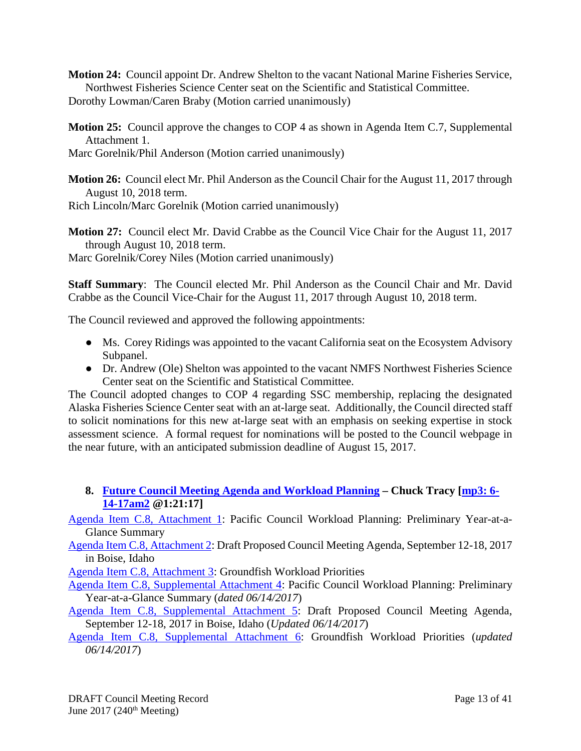**Motion 24:** Council appoint Dr. Andrew Shelton to the vacant National Marine Fisheries Service, Northwest Fisheries Science Center seat on the Scientific and Statistical Committee.

Dorothy Lowman/Caren Braby (Motion carried unanimously)

**Motion 25:** Council approve the changes to COP 4 as shown in Agenda Item C.7, Supplemental Attachment 1.

Marc Gorelnik/Phil Anderson (Motion carried unanimously)

**Motion 26:** Council elect Mr. Phil Anderson as the Council Chair for the August 11, 2017 through August 10, 2018 term.

Rich Lincoln/Marc Gorelnik (Motion carried unanimously)

**Motion 27:** Council elect Mr. David Crabbe as the Council Vice Chair for the August 11, 2017 through August 10, 2018 term.

Marc Gorelnik/Corey Niles (Motion carried unanimously)

**Staff Summary**: The Council elected Mr. Phil Anderson as the Council Chair and Mr. David Crabbe as the Council Vice-Chair for the August 11, 2017 through August 10, 2018 term.

The Council reviewed and approved the following appointments:

- Ms. Corey Ridings was appointed to the vacant California seat on the Ecosystem Advisory Subpanel.
- Dr. Andrew (Ole) Shelton was appointed to the vacant NMFS Northwest Fisheries Science Center seat on the Scientific and Statistical Committee.

The Council adopted changes to COP 4 regarding SSC membership, replacing the designated Alaska Fisheries Science Center seat with an at-large seat. Additionally, the Council directed staff to solicit nominations for this new at-large seat with an emphasis on seeking expertise in stock assessment science. A formal request for nominations will be posted to the Council webpage in the near future, with an anticipated submission deadline of August 15, 2017.

<span id="page-12-0"></span>**8. [Future Council Meeting Agenda and Workload Planning](http://www.pcouncil.org/wp-content/uploads/2017/05/C8__SitSum_CMAgendaPlanning_JUNE2017BB.pdf) – Chuck Tracy [\[mp3: 6-](ftp://ftp.pcouncil.org/pub/R1706_June_2017_Recordings/6-14-17am2Copy.mp3) [14-17am2](ftp://ftp.pcouncil.org/pub/R1706_June_2017_Recordings/6-14-17am2Copy.mp3) @1:21:17]**

[Agenda Item C.8, Attachment 1:](http://www.pcouncil.org/wp-content/uploads/2017/05/C8_Att1_YAG_JUNE2017BB.pdf) Pacific Council Workload Planning: Preliminary Year-at-a-Glance Summary

[Agenda Item C.8, Attachment 2:](http://www.pcouncil.org/wp-content/uploads/2017/05/C8_Att2_SEPT17QR_JUNEBB.pdf) Draft Proposed Council Meeting Agenda, September 12-18, 2017 in Boise, Idaho

[Agenda Item C.8, Attachment 3:](http://www.pcouncil.org/wp-content/uploads/2017/05/C8_Att3_GFworkload_JUNE2017BB.pdf) Groundfish Workload Priorities

[Agenda Item C.8, Supplemental Attachment 4:](http://www.pcouncil.org/wp-content/uploads/2017/06/C8_Sup_Att4_YAG_Jun2017BB.pdf) Pacific Council Workload Planning: Preliminary Year-at-a-Glance Summary (*dated 06/14/2017*)

[Agenda Item C.8, Supplemental Attachment 5:](http://www.pcouncil.org/wp-content/uploads/2017/06/C8_Sup_Att5_SEPT17QR_JUNE2017BB_v2.pdf) Draft Proposed Council Meeting Agenda, September 12-18, 2017 in Boise, Idaho (*Updated 06/14/2017*)

[Agenda Item C.8, Supplemental Attachment 6:](http://www.pcouncil.org/wp-content/uploads/2017/06/C8_Sup_Att6_GFworkload_JUNE2017BB.pdf) Groundfish Workload Priorities (*updated 06/14/2017*)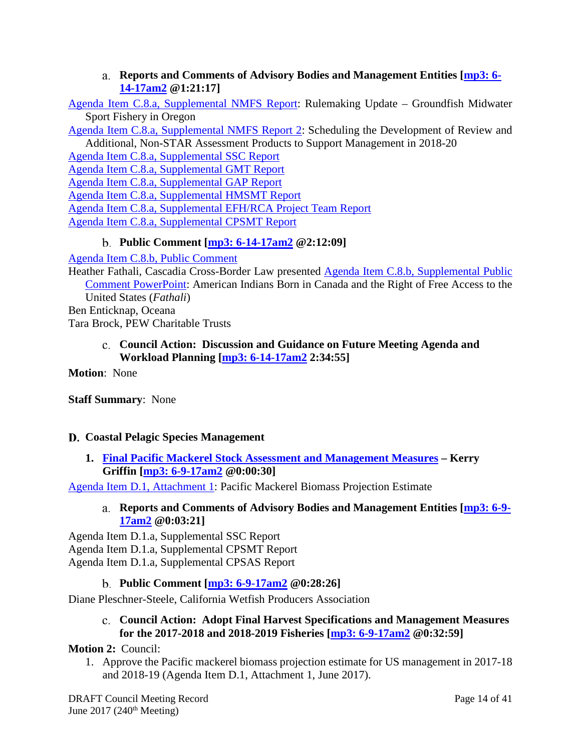**Reports and Comments of Advisory Bodies and Management Entities [\[mp3: 6-](ftp://ftp.pcouncil.org/pub/R1706_June_2017_Recordings/6-14-17am2Copy.mp3) [14-17am2](ftp://ftp.pcouncil.org/pub/R1706_June_2017_Recordings/6-14-17am2Copy.mp3) @1:21:17]**

<span id="page-13-0"></span>[Agenda Item C.8.a, Supplemental NMFS Report:](http://www.pcouncil.org/wp-content/uploads/2017/06/C8a_Sup_NMFS_Rpt_RulemakingUpdateGFMidWaterORsport_Jun2017BB.pdf) Rulemaking Update – Groundfish Midwater Sport Fishery in Oregon

[Agenda Item C.8.a, Supplemental NMFS Report 2:](http://www.pcouncil.org/wp-content/uploads/2017/06/C8a_Sup_NMFS_Rpt2_nonSTAR18-20_Jun2017BB.pdf) Scheduling the Development of Review and Additional, Non-STAR Assessment Products to Support Management in 2018-20

[Agenda Item C.8.a, Supplemental SSC Report](http://www.pcouncil.org/wp-content/uploads/2017/06/C8a_Sup_SSC_Rpt_Planning_Final_Jun2017BB.pdf) [Agenda Item C.8.a, Supplemental GMT Report](http://www.pcouncil.org/wp-content/uploads/2017/06/C8a_Sup_GMT_Rpt_Jun2017BB.pdf) [Agenda Item C.8.a, Supplemental GAP Report](http://www.pcouncil.org/wp-content/uploads/2017/06/C8a_Sup_GAP_Rpt_Jun2017BB.pdf) [Agenda Item C.8.a, Supplemental HMSMT Report](http://www.pcouncil.org/wp-content/uploads/2017/06/C8a_Sup_HMSMT_Rpt_Jun2017BB.pdf) [Agenda Item C.8.a, Supplemental EFH/RCA Project Team Report](http://www.pcouncil.org/wp-content/uploads/2017/06/C8a_Sup_EFHRCA_Rpt_Jun2017BB.pdf) [Agenda Item C.8.a, Supplemental CPSMT Report](http://www.pcouncil.org/wp-content/uploads/2017/06/C8a_Sup_CPSMT_Rpt_Jun2017BB.pdf)

# **Public Comment [\[mp3: 6-14-17am2](ftp://ftp.pcouncil.org/pub/R1706_June_2017_Recordings/6-14-17am2Copy.mp3) @2:12:09]**

<span id="page-13-1"></span>[Agenda Item C.8.b, Public Comment](http://www.pcouncil.org/wp-content/uploads/2017/05/C8b_Public_Comment_Fathili_JUNE2017BB.pdf)

Heather Fathali, Cascadia Cross-Border Law presented [Agenda Item C.8.b, Supplemental Public](http://www.pcouncil.org/wp-content/uploads/2017/06/C8b_Sup_PubCom_PPT_HMS_Permit_Eligibility_for_ABCs_Fathali_JUNE2017BB.pdf)  [Comment PowerPoint:](http://www.pcouncil.org/wp-content/uploads/2017/06/C8b_Sup_PubCom_PPT_HMS_Permit_Eligibility_for_ABCs_Fathali_JUNE2017BB.pdf) American Indians Born in Canada and the Right of Free Access to the United States (*Fathali*) Ben Enticknap, Oceana Tara Brock, PEW Charitable Trusts

# <span id="page-13-2"></span>**Council Action: Discussion and Guidance on Future Meeting Agenda and Workload Planning [\[mp3: 6-14-17am2](ftp://ftp.pcouncil.org/pub/R1706_June_2017_Recordings/6-14-17am2Copy.mp3) 2:34:55]**

**Motion**: None

**Staff Summary**: None

# <span id="page-13-3"></span>**Coastal Pelagic Species Management**

<span id="page-13-4"></span>**1. [Final Pacific Mackerel Stock Assessment and Management Measures](http://www.pcouncil.org/wp-content/uploads/2017/05/D1__Sitsum_Mackerel_Jun2017BB.pdf) – Kerry Griffin [\[mp3: 6-9-17am2](ftp://ftp.pcouncil.org/pub/R1706_June_2017_Recordings/6-9-17am2Copy.mp3) @0:00:30]**

<span id="page-13-5"></span>[Agenda Item D.1, Attachment 1:](http://www.pcouncil.org/wp-content/uploads/2017/05/D1_Att1_Mackerel_Biomass_Estimate_Jun2017BB.pdf) Pacific Mackerel Biomass Projection Estimate

# **Reports and Comments of Advisory Bodies and Management Entities [\[mp3: 6-9-](ftp://ftp.pcouncil.org/pub/R1706_June_2017_Recordings/6-9-17am2Copy.mp3) [17am2](ftp://ftp.pcouncil.org/pub/R1706_June_2017_Recordings/6-9-17am2Copy.mp3) @0:03:21]**

[Agenda Item D.1.a, Supplemental SSC Report](http://www.pcouncil.org/wp-content/uploads/2017/06/D1a_Sup_SSC_Rpt_PmackAssmt_Jun2017BB.pdf) [Agenda Item D.1.a, Supplemental CPSMT Report](http://www.pcouncil.org/wp-content/uploads/2017/06/D1a_Sup_CPSMT_Rpt_PmackAssmt_Jun2017BB.pdf) [Agenda Item D.1.a, Supplemental CPSAS Report](http://www.pcouncil.org/wp-content/uploads/2017/06/D1a_Sup_CPSAS_Rpt_PmackAssmt_Jun2017BB.pdf)

**Public Comment [\[mp3: 6-9-17am2](ftp://ftp.pcouncil.org/pub/R1706_June_2017_Recordings/6-9-17am2Copy.mp3) @0:28:26]**

<span id="page-13-7"></span><span id="page-13-6"></span>Diane Pleschner-Steele, California Wetfish Producers Association

**Council Action: Adopt Final Harvest Specifications and Management Measures for the 2017-2018 and 2018-2019 Fisheries [\[mp3: 6-9-17am2](ftp://ftp.pcouncil.org/pub/R1706_June_2017_Recordings/6-9-17am2Copy.mp3) @0:32:59]**

# **Motion 2:** Council:

1. Approve the Pacific mackerel biomass projection estimate for US management in 2017-18 and 2018-19 (Agenda Item D.1, Attachment 1, June 2017).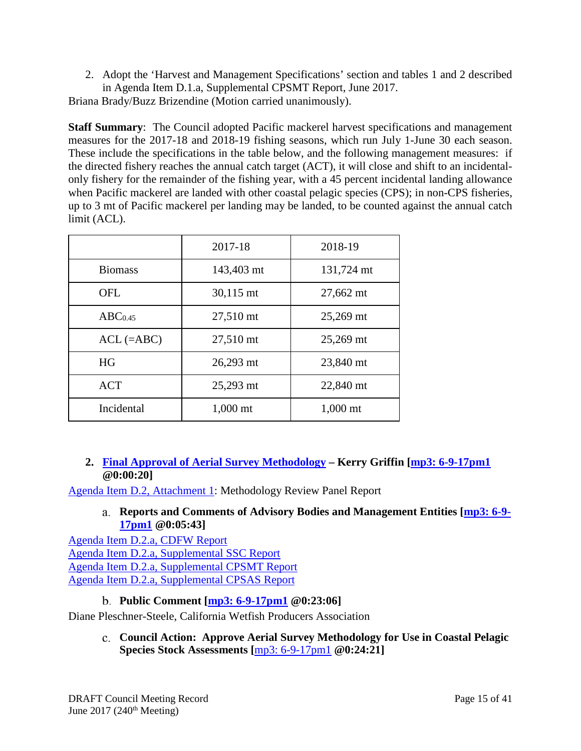2. Adopt the 'Harvest and Management Specifications' section and tables 1 and 2 described in Agenda Item D.1.a, Supplemental CPSMT Report, June 2017.

Briana Brady/Buzz Brizendine (Motion carried unanimously).

**Staff Summary**: The Council adopted Pacific mackerel harvest specifications and management measures for the 2017-18 and 2018-19 fishing seasons, which run July 1-June 30 each season. These include the specifications in the table below, and the following management measures: if the directed fishery reaches the annual catch target (ACT), it will close and shift to an incidentalonly fishery for the remainder of the fishing year, with a 45 percent incidental landing allowance when Pacific mackerel are landed with other coastal pelagic species (CPS); in non-CPS fisheries, up to 3 mt of Pacific mackerel per landing may be landed, to be counted against the annual catch limit (ACL).

|                     | 2017-18    | 2018-19    |
|---------------------|------------|------------|
| <b>Biomass</b>      | 143,403 mt | 131,724 mt |
| <b>OFL</b>          | 30,115 mt  | 27,662 mt  |
| ABC <sub>0.45</sub> | 27,510 mt  | 25,269 mt  |
| $ACL$ (=ABC)        | 27,510 mt  | 25,269 mt  |
| HG                  | 26,293 mt  | 23,840 mt  |
| <b>ACT</b>          | 25,293 mt  | 22,840 mt  |
| Incidental          | $1,000$ mt | $1,000$ mt |

# <span id="page-14-0"></span>**2. [Final Approval of Aerial Survey Methodology](http://www.pcouncil.org/wp-content/uploads/2017/05/D2__Sitsum_AerialSurveyMeth_Jun2017BB.pdf) – Kerry Griffin [\[mp3: 6-9-17pm1](ftp://ftp.pcouncil.org/pub/R1706_June_2017_Recordings/6-9-17pm1Copy.mp3) @0:00:20]**

<span id="page-14-1"></span>[Agenda Item D.2, Attachment 1:](http://www.pcouncil.org/wp-content/uploads/2017/05/D2_Att1_Meth_Review_Panel_Rpt_Jun2017BB.pdf) Methodology Review Panel Report

# **Reports and Comments of Advisory Bodies and Management Entities [\[mp3: 6-9-](ftp://ftp.pcouncil.org/pub/R1706_June_2017_Recordings/6-9-17pm1Copy.mp3) [17pm1](ftp://ftp.pcouncil.org/pub/R1706_June_2017_Recordings/6-9-17pm1Copy.mp3) @0:05:43]**

[Agenda Item D.2.a, CDFW Report](http://www.pcouncil.org/wp-content/uploads/2017/05/D2a_CDFW_Rpt_Jun2017BB.pdf) [Agenda Item D.2.a, Supplemental SSC Report](http://www.pcouncil.org/wp-content/uploads/2017/06/D2a_Sup_SSC_AerialMeth_Jun2017BB.pdf) [Agenda Item D.2.a, Supplemental CPSMT Report](http://www.pcouncil.org/wp-content/uploads/2017/06/D2a_Sup_CPSMT_Rpt_Jun2017BB.pdf) [Agenda Item D.2.a, Supplemental CPSAS Report](http://www.pcouncil.org/wp-content/uploads/2017/06/D2a_Sup_CPSAS_Rpt_Jun2017BB.pdf)

**Public Comment [\[mp3: 6-9-17pm1](ftp://ftp.pcouncil.org/pub/R1706_June_2017_Recordings/6-9-17pm1Copy.mp3) @0:23:06]**

<span id="page-14-3"></span><span id="page-14-2"></span>Diane Pleschner-Steele, California Wetfish Producers Association

**Council Action: Approve Aerial Survey Methodology for Use in Coastal Pelagic Species Stock Assessments [**[mp3: 6-9-17pm1](ftp://ftp.pcouncil.org/pub/R1706_June_2017_Recordings/6-9-17pm1Copy.mp3) **@0:24:21]**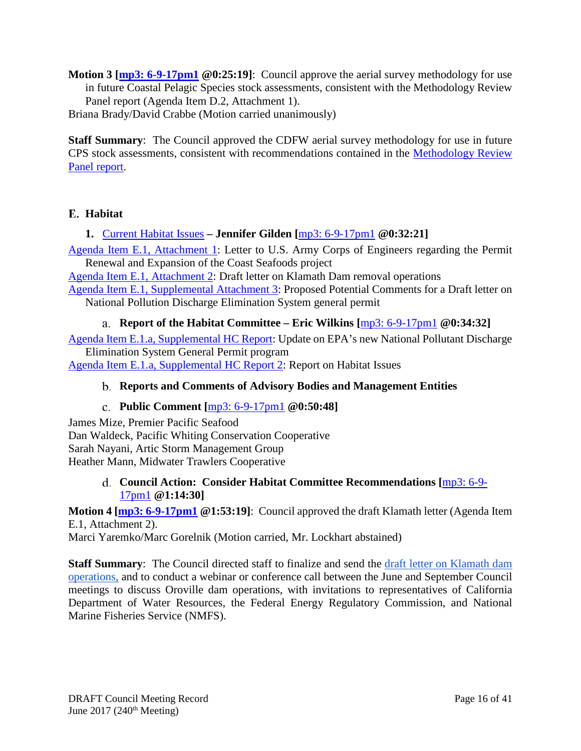**Motion 3 [\[mp3: 6-9-17pm1](ftp://ftp.pcouncil.org/pub/R1706_June_2017_Recordings/6-9-17pm1Copy.mp3) @0:25:19]**: Council approve the aerial survey methodology for use in future Coastal Pelagic Species stock assessments, consistent with the Methodology Review Panel report (Agenda Item D.2, Attachment 1).

Briana Brady/David Crabbe (Motion carried unanimously)

**Staff Summary**: The Council approved the CDFW aerial survey methodology for use in future CPS stock assessments, consistent with recommendations contained in the [Methodology Review](http://www.pcouncil.org/wp-content/uploads/2017/05/D2_Att1_Meth_Review_Panel_Rpt_Jun2017BB.pdf)  [Panel report.](http://www.pcouncil.org/wp-content/uploads/2017/05/D2_Att1_Meth_Review_Panel_Rpt_Jun2017BB.pdf)

# <span id="page-15-0"></span>**Habitat**

<span id="page-15-1"></span>**1.** [Current Habitat Issues](http://www.pcouncil.org/wp-content/uploads/2017/05/E1__SitSum_CurrentHabitatIssues_Jun2017BB.pdf) **– Jennifer Gilden [**[mp3: 6-9-17pm1](ftp://ftp.pcouncil.org/pub/R1706_June_2017_Recordings/6-9-17pm1Copy.mp3) **@0:32:21]**

[Agenda Item E.1, Attachment 1:](http://www.pcouncil.org/wp-content/uploads/2017/05/E1_Att1_Sirkin-Coast-Seafoods-April2017_Jun2017BB.pdf) Letter to U.S. Army Corps of Engineers regarding the Permit Renewal and Expansion of the Coast Seafoods project

[Agenda Item E.1, Attachment 2:](http://www.pcouncil.org/wp-content/uploads/2017/05/E1_Att2_Klamath_Ltr_Jun2017BB.pdf) Draft letter on Klamath Dam removal operations

[Agenda Item E.1, Supplemental Attachment 3:](http://www.pcouncil.org/wp-content/uploads/2017/06/E1_Sup_Att3_NPDES_FINAL_Jun2017BB.pdf) Proposed Potential Comments for a Draft letter on National Pollution Discharge Elimination System general permit

**Report of the Habitat Committee – Eric Wilkins [**[mp3: 6-9-17pm1](ftp://ftp.pcouncil.org/pub/R1706_June_2017_Recordings/6-9-17pm1Copy.mp3) **@0:34:32]**

<span id="page-15-2"></span>[Agenda Item E.1.a, Supplemental HC Report:](http://www.pcouncil.org/wp-content/uploads/2017/06/E1a_Sup_HC_Rpt_EPA_NPDES_Jun2017BB.pdf) Update on EPA's new National Pollutant Discharge Elimination System General Permit program

<span id="page-15-3"></span>[Agenda Item E.1.a, Supplemental HC Report 2:](http://www.pcouncil.org/wp-content/uploads/2017/06/E1a_Sup_HC_Rpt2_Habitat_Issues_Jun2017BB.pdf) Report on Habitat Issues

# **Reports and Comments of Advisory Bodies and Management Entities**

# **Public Comment [**[mp3: 6-9-17pm1](ftp://ftp.pcouncil.org/pub/R1706_June_2017_Recordings/6-9-17pm1Copy.mp3) **@0:50:48]**

<span id="page-15-4"></span>James Mize, Premier Pacific Seafood Dan Waldeck, Pacific Whiting Conservation Cooperative Sarah Nayani, Artic Storm Management Group Heather Mann, Midwater Trawlers Cooperative

### <span id="page-15-5"></span>**Council Action: Consider Habitat Committee Recommendations [**[mp3: 6-9-](ftp://ftp.pcouncil.org/pub/R1706_June_2017_Recordings/6-9-17pm1Copy.mp3) [17pm1](ftp://ftp.pcouncil.org/pub/R1706_June_2017_Recordings/6-9-17pm1Copy.mp3) **@1:14:30]**

**Motion 4 [\[mp3: 6-9-17pm1](ftp://ftp.pcouncil.org/pub/R1706_June_2017_Recordings/6-9-17pm1Copy.mp3) @1:53:19]**: Council approved the draft Klamath letter (Agenda Item E.1, Attachment 2).

Marci Yaremko/Marc Gorelnik (Motion carried, Mr. Lockhart abstained)

**Staff Summary**: The Council directed staff to finalize and send the [draft letter on Klamath dam](http://www.pcouncil.org/wp-content/uploads/2017/05/E1_Att2_Klamath_Ltr_Jun2017BB.pdf)  [operations,](http://www.pcouncil.org/wp-content/uploads/2017/05/E1_Att2_Klamath_Ltr_Jun2017BB.pdf) and to conduct a webinar or conference call between the June and September Council meetings to discuss Oroville dam operations, with invitations to representatives of California Department of Water Resources, the Federal Energy Regulatory Commission, and National Marine Fisheries Service (NMFS).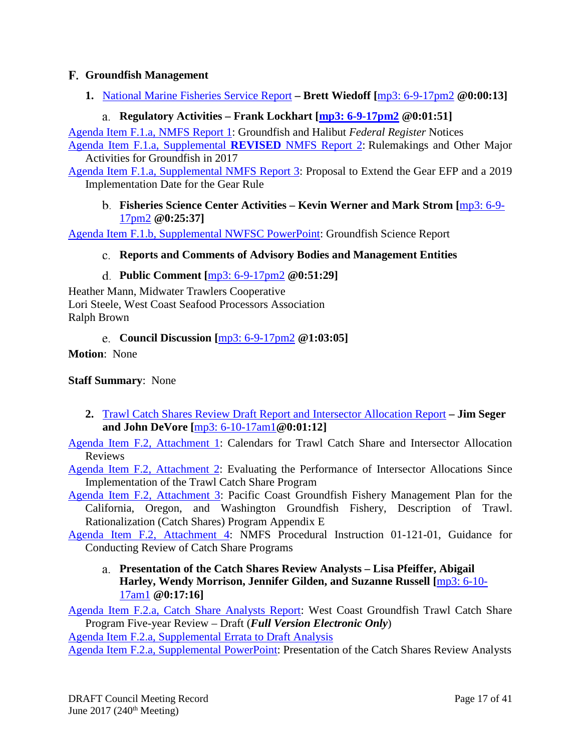# <span id="page-16-0"></span>**Groundfish Management**

<span id="page-16-1"></span>**1.** [National Marine Fisheries Service Report](http://www.pcouncil.org/wp-content/uploads/2017/05/F1__SitSum_NMFS_Rpt_JUNE2017BB.pdf) **– Brett Wiedoff [**[mp3: 6-9-17pm2](ftp://ftp.pcouncil.org/pub/R1706_June_2017_Recordings/6-9-17pm2Copy.mp3) **@0:00:13]**

# **Regulatory Activities – Frank Lockhart [\[mp3: 6-9-17pm2](ftp://ftp.pcouncil.org/pub/R1706_June_2017_Recordings/6-9-17pm2Copy.mp3) @0:01:51]**

<span id="page-16-2"></span>[Agenda Item F.1.a, NMFS Report 1:](http://www.pcouncil.org/wp-content/uploads/2017/05/F1a_NMFS_RPT1_Groundfish_Halibut_Notices_JUNE2017BB.pdf) Groundfish and Halibut *Federal Register* Notices

[Agenda Item F.1.a, Supplemental](http://www.pcouncil.org/wp-content/uploads/2017/06/F1a_Sup_NMFS_RPT2_REVISEDrpt_RulemakingPlana_JUNE2017BB.pdf) **REVISED** NMFS Report 2: Rulemakings and Other Major Activities for Groundfish in 2017

<span id="page-16-3"></span>[Agenda Item F.1.a, Supplemental NMFS Report 3:](http://www.pcouncil.org/wp-content/uploads/2017/06/F1a_Sup_NMFS_RPT3_GearRule_JUNE2017BB.pdf) Proposal to Extend the Gear EFP and a 2019 Implementation Date for the Gear Rule

**Fisheries Science Center Activities – Kevin Werner and Mark Strom [**[mp3: 6-9-](ftp://ftp.pcouncil.org/pub/R1706_June_2017_Recordings/6-9-17pm2Copy.mp3) [17pm2](ftp://ftp.pcouncil.org/pub/R1706_June_2017_Recordings/6-9-17pm2Copy.mp3) **@0:25:37]**

<span id="page-16-4"></span>[Agenda Item F.1.b, Supplemental NWFSC PowerPoint:](http://www.pcouncil.org/wp-content/uploads/2017/06/F1b_Sup_NWFSC_PPT_McClure_JUNE2017BB.pdf) Groundfish Science Report

# **Reports and Comments of Advisory Bodies and Management Entities**

**Public Comment [**[mp3: 6-9-17pm2](ftp://ftp.pcouncil.org/pub/R1706_June_2017_Recordings/6-9-17pm2Copy.mp3) **@0:51:29]**

<span id="page-16-5"></span>Heather Mann, Midwater Trawlers Cooperative Lori Steele, West Coast Seafood Processors Association Ralph Brown

**Council Discussion [**[mp3: 6-9-17pm2](ftp://ftp.pcouncil.org/pub/R1706_June_2017_Recordings/6-9-17pm2Copy.mp3) **@1:03:05]**

<span id="page-16-6"></span>**Motion**: None

# **Staff Summary**: None

<span id="page-16-7"></span>**2.** [Trawl Catch Shares Review Draft Report and Intersector Allocation Report](http://www.pcouncil.org/wp-content/uploads/2017/05/F2__SitSum_CSISA_Rev_JUN2017BB.pdf) **– Jim Seger and John DeVore [**[mp3: 6-10-17am1](ftp://ftp.pcouncil.org/pub/R1706_June_2017_Recordings/6-10-17am1Copy.mp3)**@0:01:12]**

[Agenda Item F.2, Attachment 1:](http://www.pcouncil.org/wp-content/uploads/2017/05/F2_Att1_ReviewCalendar_JUN2017BB.pdf) Calendars for Trawl Catch Share and Intersector Allocation Reviews

[Agenda Item F.2, Attachment 2:](http://www.pcouncil.org/wp-content/uploads/2017/05/F2_Att2_Am21Eval_JUN2017BB.pdf) Evaluating the Performance of Intersector Allocations Since Implementation of the Trawl Catch Share Program

[Agenda Item F.2, Attachment 3:](http://www.pcouncil.org/wp-content/uploads/2017/05/F2_Att3_GF_FMP_ApdxE_RevThruAug162016_Draft_JUN2017BB.pdf) Pacific Coast Groundfish Fishery Management Plan for the California, Oregon, and Washington Groundfish Fishery, Description of Trawl. Rationalization (Catch Shares) Program Appendix E

<span id="page-16-8"></span>[Agenda Item F.2, Attachment 4:](http://www.pcouncil.org/wp-content/uploads/2017/05/F2_Att4_Catch_Share_Review_Guidance_01-121-01_Jun2017BB.pdf) NMFS Procedural Instruction 01-121-01, Guidance for Conducting Review of Catch Share Programs

**Presentation of the Catch Shares Review Analysts – Lisa Pfeiffer, Abigail Harley, Wendy Morrison, Jennifer Gilden, and Suzanne Russell [**[mp3: 6-10-](ftp://ftp.pcouncil.org/pub/R1706_June_2017_Recordings/6-10-17am1Copy.mp3) [17am1](ftp://ftp.pcouncil.org/pub/R1706_June_2017_Recordings/6-10-17am1Copy.mp3) **@0:17:16]**

[Agenda Item F.2.a, Catch Share Analysts Report:](http://www.pcouncil.org/wp-content/uploads/2017/05/F2a_CatchShareAnalystsReport_FullReport_ElectricOnly_Jun2017BB.pdf) West Coast Groundfish Trawl Catch Share Program Five-year Review – Draft (*Full Version Electronic Only*)

[Agenda Item F.2.a, Supplemental Errata to Draft Analysis](http://www.pcouncil.org/wp-content/uploads/2017/06/F2a_Sup_ErrataToDraftAnalysis_5YrRvwDraftDocument_Jun2017BB.pdf)

[Agenda Item F.2.a, Supplemental PowerPoint:](http://www.pcouncil.org/wp-content/uploads/2017/06/F2a_Sup_PPT_5YearRvw_AnalystsPresentation_Jun2017BB.pdf) Presentation of the Catch Shares Review Analysts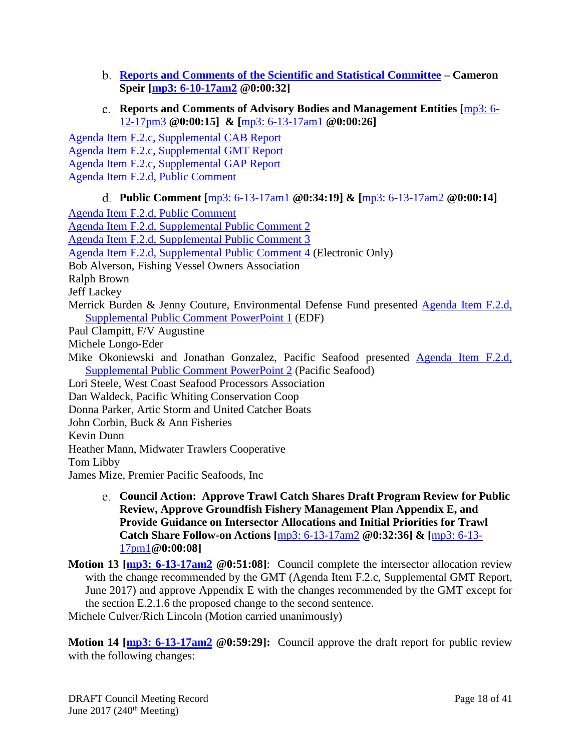- <span id="page-17-0"></span>**[Reports and Comments of the Scientific and Statistical Committee](http://www.pcouncil.org/wp-content/uploads/2017/06/F2b_Sup_SSC_CatchShare_Jun2017BB.pdf) – Cameron Speir [\[mp3: 6-10-17am2](ftp://ftp.pcouncil.org/pub/R1706_June_2017_Recordings/6-10-17am2Copy.mp3) @0:00:32]**
- **Reports and Comments of Advisory Bodies and Management Entities [**[mp3: 6-](ftp://ftp.pcouncil.org/pub/R1706_June_2017_Recordings/6-12-17pm3Copy.mp3) [12-17pm3](ftp://ftp.pcouncil.org/pub/R1706_June_2017_Recordings/6-12-17pm3Copy.mp3) **@0:00:15] & [**[mp3: 6-13-17am1](ftp://ftp.pcouncil.org/pub/R1706_June_2017_Recordings/6-13-17am1Copy.mp3) **@0:00:26]**

<span id="page-17-1"></span>[Agenda Item F.2.c, Supplemental CAB Report](http://www.pcouncil.org/wp-content/uploads/2017/06/F2c_Sup_CAB_Rpt_Jun2017BB.pdf) [Agenda Item F.2.c, Supplemental GMT Report](http://www.pcouncil.org/wp-content/uploads/2017/06/F2c_Sup_GMT_Rpt_Jun2017BB.pdf) [Agenda Item F.2.c, Supplemental GAP Report](http://www.pcouncil.org/wp-content/uploads/2017/06/F2c_Sup_GAP_Rpt_Jun2017BB.pdf) [Agenda Item F.2.d, Public Comment](http://www.pcouncil.org/wp-content/uploads/2017/05/F2d_PublicComments_Jun2017BB.pdf)

# **Public Comment [**[mp3: 6-13-17am1](ftp://ftp.pcouncil.org/pub/R1706_June_2017_Recordings/6-13-17am1Copy.mp3) **@0:34:19] & [**[mp3: 6-13-17am2](ftp://ftp.pcouncil.org/pub/R1706_June_2017_Recordings/6-13-17am2Copy.mp3) **@0:00:14]**

<span id="page-17-2"></span>[Agenda Item F.2.d, Public Comment](http://www.pcouncil.org/wp-content/uploads/2017/05/F2d_PublicComments_Jun2017BB.pdf) [Agenda Item F.2.d, Supplemental Public Comment 2](http://www.pcouncil.org/wp-content/uploads/2017/06/F2d_Sup_PubCmt2_Jun2017BB.pdf) [Agenda Item F.2.d, Supplemental Public Comment 3](http://www.pcouncil.org/wp-content/uploads/2017/06/F2d_Sup_PubCmt3_Jun2017BB.pdf) [Agenda Item F.2.d, Supplemental Public Comment 4](http://www.pcouncil.org/wp-content/uploads/2017/06/F2d_Sup_PubCmt4_E-Only_Jun2017BB.pdf) (Electronic Only) Bob Alverson, Fishing Vessel Owners Association Ralph Brown Jeff Lackey Merrick Burden & Jenny Couture, Environmental Defense Fund presented [Agenda Item F.2.d,](http://www.pcouncil.org/wp-content/uploads/2017/06/F2d_Sup_PubComPPT1_EDF_cmnts_on_5yr_Review_Burden_JUNE2017BB.pdf)  [Supplemental Public Comment PowerPoint 1](http://www.pcouncil.org/wp-content/uploads/2017/06/F2d_Sup_PubComPPT1_EDF_cmnts_on_5yr_Review_Burden_JUNE2017BB.pdf) (EDF) Paul Clampitt, F/V Augustine Michele Longo-Eder Mike Okoniewski and Jonathan Gonzalez, Pacific Seafood presented [Agenda Item F.2.d,](http://www.pcouncil.org/wp-content/uploads/2017/06/F2d_Sup_PubComPPT2_Pacific_Seafood_Gonzales_JUNE2017BB.pdf)  [Supplemental Public Comment PowerPoint 2](http://www.pcouncil.org/wp-content/uploads/2017/06/F2d_Sup_PubComPPT2_Pacific_Seafood_Gonzales_JUNE2017BB.pdf) (Pacific Seafood) Lori Steele, West Coast Seafood Processors Association Dan Waldeck, Pacific Whiting Conservation Coop Donna Parker, Artic Storm and United Catcher Boats John Corbin, Buck & Ann Fisheries Kevin Dunn Heather Mann, Midwater Trawlers Cooperative Tom Libby James Mize, Premier Pacific Seafoods, Inc

- <span id="page-17-3"></span>**Council Action: Approve Trawl Catch Shares Draft Program Review for Public Review, Approve Groundfish Fishery Management Plan Appendix E, and Provide Guidance on Intersector Allocations and Initial Priorities for Trawl Catch Share Follow-on Actions [**[mp3: 6-13-17am2](ftp://ftp.pcouncil.org/pub/R1706_June_2017_Recordings/6-13-17am2Copy.mp3) **@0:32:36] & [**[mp3: 6-13-](ftp://ftp.pcouncil.org/pub/R1706_June_2017_Recordings/6-13-17pm1Copy.mp3) [17pm1](ftp://ftp.pcouncil.org/pub/R1706_June_2017_Recordings/6-13-17pm1Copy.mp3)**@0:00:08]**
- **Motion 13 [\[mp3: 6-13-17am2](ftp://ftp.pcouncil.org/pub/R1706_June_2017_Recordings/6-13-17am2Copy.mp3) @0:51:08]**: Council complete the intersector allocation review with the change recommended by the GMT (Agenda Item F.2.c, Supplemental GMT Report, June 2017) and approve Appendix E with the changes recommended by the GMT except for the section E.2.1.6 the proposed change to the second sentence.

Michele Culver/Rich Lincoln (Motion carried unanimously)

**Motion 14 [\[mp3: 6-13-17am2](ftp://ftp.pcouncil.org/pub/R1706_June_2017_Recordings/6-13-17am2Copy.mp3) @0:59:29]:** Council approve the draft report for public review with the following changes: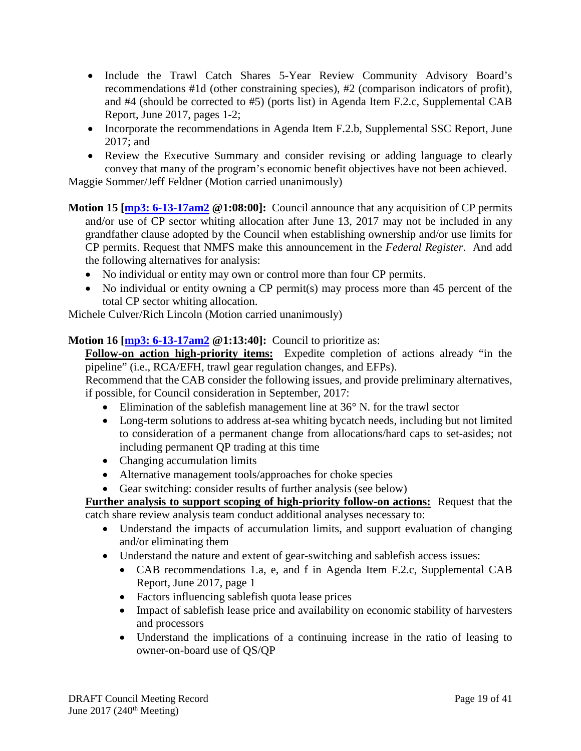- Include the Trawl Catch Shares 5-Year Review Community Advisory Board's recommendations #1d (other constraining species), #2 (comparison indicators of profit), and #4 (should be corrected to #5) (ports list) in Agenda Item F.2.c, Supplemental CAB Report, June 2017, pages 1-2;
- Incorporate the recommendations in Agenda Item F.2.b, Supplemental SSC Report, June 2017; and
- Review the Executive Summary and consider revising or adding language to clearly convey that many of the program's economic benefit objectives have not been achieved.

Maggie Sommer/Jeff Feldner (Motion carried unanimously)

**Motion 15 [\[mp3: 6-13-17am2](ftp://ftp.pcouncil.org/pub/R1706_June_2017_Recordings/6-13-17am2Copy.mp3) @1:08:00]:** Council announce that any acquisition of CP permits and/or use of CP sector whiting allocation after June 13, 2017 may not be included in any grandfather clause adopted by the Council when establishing ownership and/or use limits for CP permits. Request that NMFS make this announcement in the *Federal Register*. And add the following alternatives for analysis:

- No individual or entity may own or control more than four CP permits.
- No individual or entity owning a CP permit(s) may process more than 45 percent of the total CP sector whiting allocation.

Michele Culver/Rich Lincoln (Motion carried unanimously)

# **Motion 16** [**mp3: 6-13-17am2** @1:13:40]: Council to prioritize as:

**Follow-on action high-priority items:** Expedite completion of actions already "in the pipeline" (i.e., RCA/EFH, trawl gear regulation changes, and EFPs).

Recommend that the CAB consider the following issues, and provide preliminary alternatives, if possible, for Council consideration in September, 2017:

- Elimination of the sable fish management line at  $36^{\circ}$  N. for the trawl sector
- Long-term solutions to address at-sea whiting bycatch needs, including but not limited to consideration of a permanent change from allocations/hard caps to set-asides; not including permanent QP trading at this time
- Changing accumulation limits
- Alternative management tools/approaches for choke species
- Gear switching: consider results of further analysis (see below)

**Further analysis to support scoping of high-priority follow-on actions:** Request that the catch share review analysis team conduct additional analyses necessary to:

- Understand the impacts of accumulation limits, and support evaluation of changing and/or eliminating them
- Understand the nature and extent of gear-switching and sablefish access issues:
	- CAB recommendations 1.a, e, and f in Agenda Item F.2.c, Supplemental CAB Report, June 2017, page 1
	- Factors influencing sablefish quota lease prices
	- Impact of sablefish lease price and availability on economic stability of harvesters and processors
	- Understand the implications of a continuing increase in the ratio of leasing to owner-on-board use of QS/QP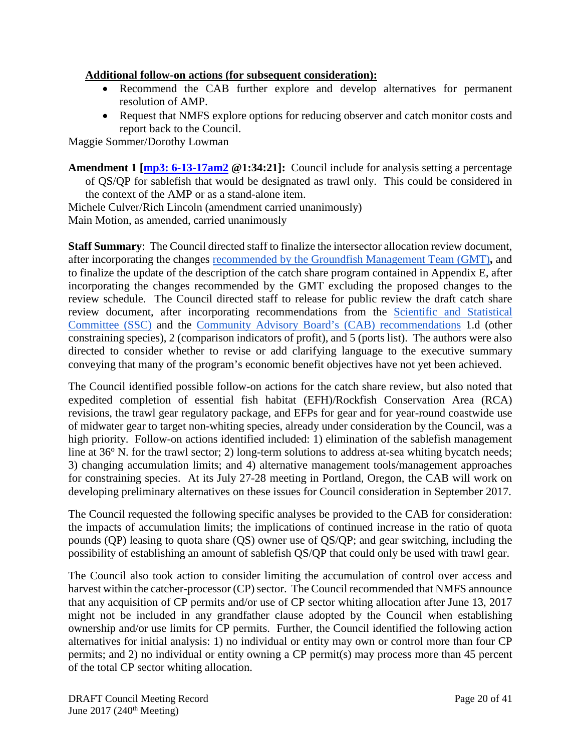### **Additional follow-on actions (for subsequent consideration):**

- Recommend the CAB further explore and develop alternatives for permanent resolution of AMP.
- Request that NMFS explore options for reducing observer and catch monitor costs and report back to the Council.

Maggie Sommer/Dorothy Lowman

**Amendment 1 [\[mp3: 6-13-17am2](ftp://ftp.pcouncil.org/pub/R1706_June_2017_Recordings/6-13-17am2Copy.mp3) @1:34:21]:** Council include for analysis setting a percentage of QS/QP for sablefish that would be designated as trawl only. This could be considered in the context of the AMP or as a stand-alone item.

Michele Culver/Rich Lincoln (amendment carried unanimously) Main Motion, as amended, carried unanimously

**Staff Summary**: The Council directed staff to finalize the intersector allocation review document, after incorporating the changes [recommended by the Groundfish Management Team \(GMT\)](http://www.pcouncil.org/wp-content/uploads/2017/06/F2c_Sup_GMT_Rpt_Jun2017BB.pdf)**,** and to finalize the update of the description of the catch share program contained in Appendix E, after incorporating the changes recommended by the GMT excluding the proposed changes to the review schedule. The Council directed staff to release for public review the draft catch share review document, after incorporating recommendations from the [Scientific and Statistical](http://www.pcouncil.org/wp-content/uploads/2017/06/F2b_Sup_SSC_CatchShare_Jun2017BB.pdf)  [Committee \(SSC\)](http://www.pcouncil.org/wp-content/uploads/2017/06/F2b_Sup_SSC_CatchShare_Jun2017BB.pdf) and the [Community Advisory Board's \(CAB\) recommendations](http://www.pcouncil.org/wp-content/uploads/2017/06/F2c_Sup_CAB_Rpt_Jun2017BB-1.pdf) 1.d (other constraining species), 2 (comparison indicators of profit), and 5 (ports list). The authors were also directed to consider whether to revise or add clarifying language to the executive summary conveying that many of the program's economic benefit objectives have not yet been achieved.

The Council identified possible follow-on actions for the catch share review, but also noted that expedited completion of essential fish habitat (EFH)/Rockfish Conservation Area (RCA) revisions, the trawl gear regulatory package, and EFPs for gear and for year-round coastwide use of midwater gear to target non-whiting species, already under consideration by the Council, was a high priority. Follow-on actions identified included: 1) elimination of the sablefish management line at  $36^{\circ}$  N. for the trawl sector; 2) long-term solutions to address at-sea whiting bycatch needs; 3) changing accumulation limits; and 4) alternative management tools/management approaches for constraining species. At its July 27-28 meeting in Portland, Oregon, the CAB will work on developing preliminary alternatives on these issues for Council consideration in September 2017.

The Council requested the following specific analyses be provided to the CAB for consideration: the impacts of accumulation limits; the implications of continued increase in the ratio of quota pounds (QP) leasing to quota share (QS) owner use of QS/QP; and gear switching, including the possibility of establishing an amount of sablefish QS/QP that could only be used with trawl gear.

The Council also took action to consider limiting the accumulation of control over access and harvest within the catcher-processor (CP) sector. The Council recommended that NMFS announce that any acquisition of CP permits and/or use of CP sector whiting allocation after June 13, 2017 might not be included in any grandfather clause adopted by the Council when establishing ownership and/or use limits for CP permits. Further, the Council identified the following action alternatives for initial analysis: 1) no individual or entity may own or control more than four CP permits; and 2) no individual or entity owning a CP permit(s) may process more than 45 percent of the total CP sector whiting allocation.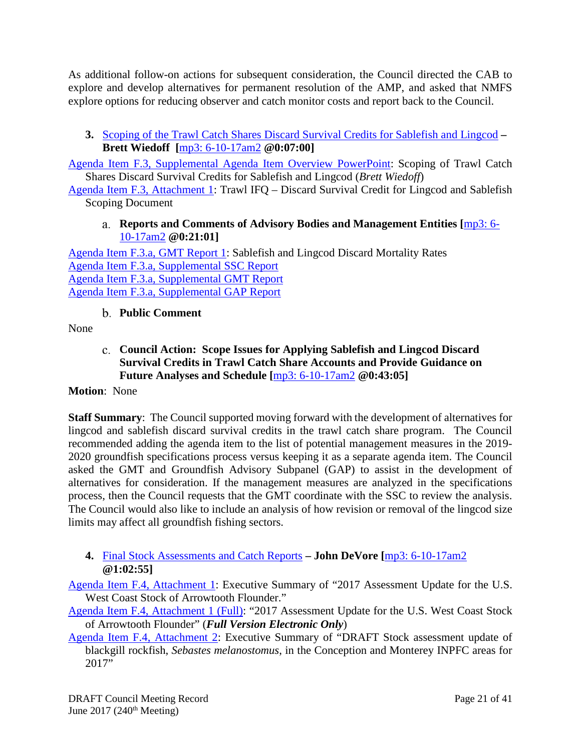As additional follow-on actions for subsequent consideration, the Council directed the CAB to explore and develop alternatives for permanent resolution of the AMP, and asked that NMFS explore options for reducing observer and catch monitor costs and report back to the Council.

<span id="page-20-0"></span>**3.** [Scoping of the Trawl Catch Shares Discard Survival Credits for Sablefish and Lingcod](http://www.pcouncil.org/wp-content/uploads/2017/05/F3__SitSum_Survival-credit_JUNE2017BB.pdf) **– Brett Wiedoff [**[mp3: 6-10-17am2](ftp://ftp.pcouncil.org/pub/R1706_June_2017_Recordings/6-10-17am2Copy.mp3) **@0:07:00]**

[Agenda Item F.3, Supplemental Agenda Item Overview PowerPoint:](http://www.pcouncil.org/wp-content/uploads/2017/06/F3_Sup_LingSable_BLW_PPT_JUNE2017BB.pdf) Scoping of Trawl Catch Shares Discard Survival Credits for Sablefish and Lingcod (*Brett Wiedoff*)

<span id="page-20-1"></span>[Agenda Item F.3, Attachment 1:](http://www.pcouncil.org/wp-content/uploads/2017/05/F3_Att1_IFQ_Survival-credit_ScopingJUNE2017BB.pdf) Trawl IFQ – Discard Survival Credit for Lingcod and Sablefish Scoping Document

### **Reports and Comments of Advisory Bodies and Management Entities [**[mp3: 6-](ftp://ftp.pcouncil.org/pub/R1706_June_2017_Recordings/6-10-17am2Copy.mp3) [10-17am2](ftp://ftp.pcouncil.org/pub/R1706_June_2017_Recordings/6-10-17am2Copy.mp3) **@0:21:01]**

[Agenda Item F.3.a, GMT Report 1:](http://www.pcouncil.org/wp-content/uploads/2017/05/F3a_GMT_Rpt1_DiscardMortality_JUNE2017BB.pdf) Sablefish and Lingcod Discard Mortality Rates [Agenda Item F.3.a, Supplemental SSC Report](http://www.pcouncil.org/wp-content/uploads/2017/06/F3a_Sup_SSC_Rpt_DiscardCredits_June2017BB.pdf) [Agenda Item F.3.a, Supplemental GMT Report](http://www.pcouncil.org/wp-content/uploads/2017/06/F3a_Sup_GMT_Rpt_Jun2017BB.pdf) [Agenda Item F.3.a, Supplemental GAP Report](http://www.pcouncil.org/wp-content/uploads/2017/06/F3a_Sup_GAP_Rpt_Lingcod_Sablefish_Jun2017BB.pdf)

**Public Comment**

<span id="page-20-3"></span><span id="page-20-2"></span>None

**Council Action: Scope Issues for Applying Sablefish and Lingcod Discard Survival Credits in Trawl Catch Share Accounts and Provide Guidance on Future Analyses and Schedule [**[mp3: 6-10-17am2](ftp://ftp.pcouncil.org/pub/R1706_June_2017_Recordings/6-10-17am2Copy.mp3) **@0:43:05]**

**Motion**: None

**Staff Summary**: The Council supported moving forward with the development of alternatives for lingcod and sablefish discard survival credits in the trawl catch share program. The Council recommended adding the agenda item to the list of potential management measures in the 2019- 2020 groundfish specifications process versus keeping it as a separate agenda item. The Council asked the GMT and Groundfish Advisory Subpanel (GAP) to assist in the development of alternatives for consideration. If the management measures are analyzed in the specifications process, then the Council requests that the GMT coordinate with the SSC to review the analysis. The Council would also like to include an analysis of how revision or removal of the lingcod size limits may affect all groundfish fishing sectors.

<span id="page-20-4"></span>**4.** [Final Stock Assessments and Catch Reports](http://www.pcouncil.org/wp-content/uploads/2017/05/F4__SitSum_Assessments_Jun2017BB.pdf) **– John DeVore [**[mp3: 6-10-17am2](ftp://ftp.pcouncil.org/pub/R1706_June_2017_Recordings/6-10-17am2Copy.mp3) **@1:02:55]**

[Agenda Item F.4, Attachment 1:](http://www.pcouncil.org/wp-content/uploads/2017/05/F4_Att1_2017_Arrowtooth_Assessment_Draft_ExecSummary_Jun2017BB.pdf) Executive Summary of "2017 Assessment Update for the U.S. West Coast Stock of Arrowtooth Flounder."

[Agenda Item F.4, Attachment 1 \(Full\):](http://www.pcouncil.org/wp-content/uploads/2017/05/F4_Att1_2017_Arrowtooth_Assessment_DraftFull_Version_Electronic_Only_Jun2017BB.pdf) "2017 Assessment Update for the U.S. West Coast Stock of Arrowtooth Flounder" (*Full Version Electronic Only*)

[Agenda Item F.4, Attachment 2:](http://www.pcouncil.org/wp-content/uploads/2017/05/F4_Att2_bgill_2017_Draft_ExecSummary_Jun2017BB.pdf) Executive Summary of "DRAFT Stock assessment update of blackgill rockfish, *Sebastes melanostomus*, in the Conception and Monterey INPFC areas for 2017"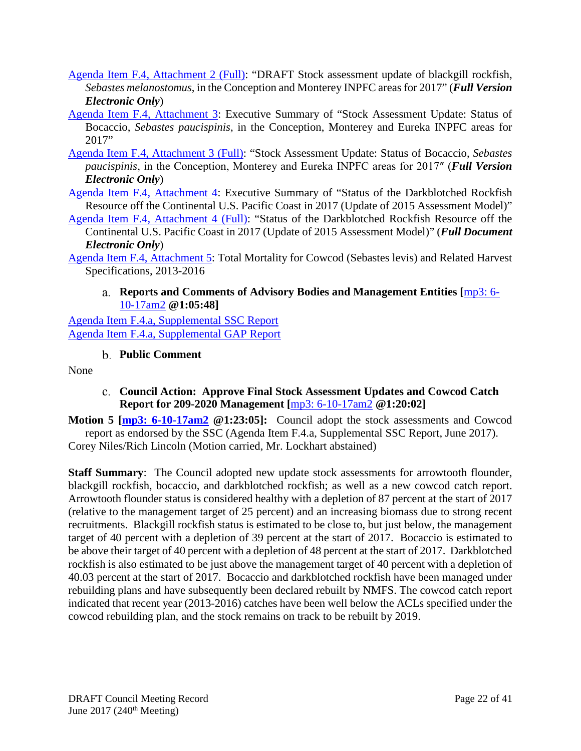- [Agenda Item F.4, Attachment 2 \(Full\):](http://www.pcouncil.org/wp-content/uploads/2017/05/F4_Att2_bgill_2017_DraftFull-ElectronicOnly_Jun2017BB.pdf) "DRAFT Stock assessment update of blackgill rockfish, *Sebastes melanostomus*, in the Conception and Monterey INPFC areas for 2017" (*Full Version Electronic Only*)
- [Agenda Item F.4, Attachment 3:](http://www.pcouncil.org/wp-content/uploads/2017/05/F4_Att3__2017_Bocaccio_Assessment_Draft_ExecSummary_Jun2017BB.pdf) Executive Summary of "Stock Assessment Update: Status of Bocaccio, *Sebastes paucispinis*, in the Conception, Monterey and Eureka INPFC areas for 2017"
- [Agenda Item F.4, Attachment 3 \(Full\):](http://www.pcouncil.org/wp-content/uploads/2017/05/F4_Att3__2017_Bocaccio_Assessment_DraftFull_Version_Electronic_Only_Jun2017BB.pdf) "Stock Assessment Update: Status of Bocaccio, *Sebastes paucispinis*, in the Conception, Monterey and Eureka INPFC areas for 2017″ (*Full Version Electronic Only*)
- [Agenda Item F.4, Attachment 4:](http://www.pcouncil.org/wp-content/uploads/2017/05/F4_Att4_DBRK_2017_Assessment_Update_ExecSummary_Jun2017BB.pdf) Executive Summary of "Status of the Darkblotched Rockfish Resource off the Continental U.S. Pacific Coast in 2017 (Update of 2015 Assessment Model)"
- [Agenda Item F.4, Attachment 4 \(Full\):](http://www.pcouncil.org/wp-content/uploads/2017/05/F4_Att4_DBRK_2017_Assessment_Update_Full-ElectronicOnly_Jun2017BB.pdf) "Status of the Darkblotched Rockfish Resource off the Continental U.S. Pacific Coast in 2017 (Update of 2015 Assessment Model)" (*Full Document Electronic Only*)
- <span id="page-21-0"></span>[Agenda Item F.4, Attachment 5:](http://www.pcouncil.org/wp-content/uploads/2017/05/F4_Att5_CowcodCatchReport_Jun2017BB.pdf) Total Mortality for Cowcod (Sebastes levis) and Related Harvest Specifications, 2013-2016

# **Reports and Comments of Advisory Bodies and Management Entities [**[mp3: 6-](ftp://ftp.pcouncil.org/pub/R1706_June_2017_Recordings/6-10-17am2Copy.mp3) [10-17am2](ftp://ftp.pcouncil.org/pub/R1706_June_2017_Recordings/6-10-17am2Copy.mp3) **@1:05:48]**

[Agenda Item F.4.a, Supplemental SSC Report](http://www.pcouncil.org/wp-content/uploads/2017/06/F4a_Sup_SSC_Rpt_Assessents_Final_Jun2017BB.pdf) [Agenda Item F.4.a, Supplemental GAP Report](http://www.pcouncil.org/wp-content/uploads/2017/06/F4a_Sup_GAP_Rpt_Assmnts_Final_Jun2017BB.pdf)

# **Public Comment**

<span id="page-21-2"></span><span id="page-21-1"></span>None

- **Council Action: Approve Final Stock Assessment Updates and Cowcod Catch Report for 209-2020 Management [**[mp3: 6-10-17am2](ftp://ftp.pcouncil.org/pub/R1706_June_2017_Recordings/6-10-17am2Copy.mp3) **@1:20:02]**
- **Motion 5 [\[mp3: 6-10-17am2](ftp://ftp.pcouncil.org/pub/R1706_June_2017_Recordings/6-10-17am2Copy.mp3) @1:23:05]:** Council adopt the stock assessments and Cowcod report as endorsed by the SSC (Agenda Item F.4.a, Supplemental SSC Report, June 2017). Corey Niles/Rich Lincoln (Motion carried, Mr. Lockhart abstained)

**Staff Summary**: The Council adopted new update stock assessments for arrowtooth flounder, blackgill rockfish, bocaccio, and darkblotched rockfish; as well as a new cowcod catch report. Arrowtooth flounder status is considered healthy with a depletion of 87 percent at the start of 2017 (relative to the management target of 25 percent) and an increasing biomass due to strong recent recruitments. Blackgill rockfish status is estimated to be close to, but just below, the management target of 40 percent with a depletion of 39 percent at the start of 2017. Bocaccio is estimated to be above their target of 40 percent with a depletion of 48 percent at the start of 2017. Darkblotched rockfish is also estimated to be just above the management target of 40 percent with a depletion of 40.03 percent at the start of 2017. Bocaccio and darkblotched rockfish have been managed under rebuilding plans and have subsequently been declared rebuilt by NMFS. The cowcod catch report indicated that recent year (2013-2016) catches have been well below the ACLs specified under the cowcod rebuilding plan, and the stock remains on track to be rebuilt by 2019.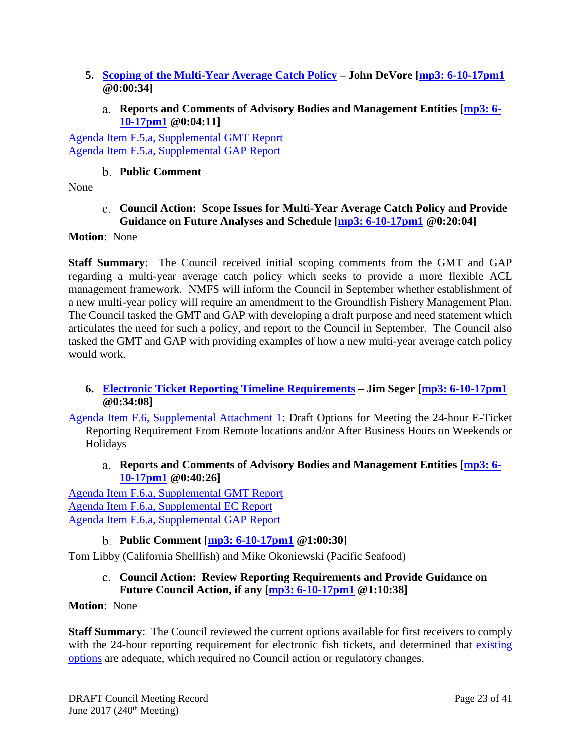- <span id="page-22-0"></span>**5. [Scoping of the Multi-Year Average Catch Policy](http://www.pcouncil.org/wp-content/uploads/2017/05/F5__SitSum_Multi-year_Ave_Catch_Policy_Jun2017BB.pdf) – John DeVore [\[mp3: 6-10-17pm1](ftp://ftp.pcouncil.org/pub/R1706_June_2017_Recordings/6-10-17pm1Copy.mp3) @0:00:34]**
	- **Reports and Comments of Advisory Bodies and Management Entities [\[mp3: 6-](ftp://ftp.pcouncil.org/pub/R1706_June_2017_Recordings/6-10-17pm1Copy.mp3) [10-17pm1](ftp://ftp.pcouncil.org/pub/R1706_June_2017_Recordings/6-10-17pm1Copy.mp3) @0:04:11]**

<span id="page-22-1"></span>[Agenda Item F.5.a, Supplemental GMT Report](http://www.pcouncil.org/wp-content/uploads/2017/06/F5a_Sup_GMT_Rpt_MultiYearAvgCatchPolicy_Jun2017BB.pdf) [Agenda Item F.5.a, Supplemental GAP Report](http://www.pcouncil.org/wp-content/uploads/2017/06/F5a_Sup_GAP_Rpt_MultiYearAvgCatchPolicy_Jun2017BB.pdf)

# **Public Comment**

<span id="page-22-3"></span><span id="page-22-2"></span>None

# **Council Action: Scope Issues for Multi-Year Average Catch Policy and Provide Guidance on Future Analyses and Schedule [\[mp3: 6-10-17pm1](ftp://ftp.pcouncil.org/pub/R1706_June_2017_Recordings/6-10-17pm1Copy.mp3) @0:20:04]**

# **Motion**: None

**Staff Summary**: The Council received initial scoping comments from the GMT and GAP regarding a multi-year average catch policy which seeks to provide a more flexible ACL management framework. NMFS will inform the Council in September whether establishment of a new multi-year policy will require an amendment to the Groundfish Fishery Management Plan. The Council tasked the GMT and GAP with developing a draft purpose and need statement which articulates the need for such a policy, and report to the Council in September. The Council also tasked the GMT and GAP with providing examples of how a new multi-year average catch policy would work.

# <span id="page-22-4"></span>**6. [Electronic Ticket Reporting Timeline Requirements](http://www.pcouncil.org/wp-content/uploads/2017/05/F6__SitSum_24HourReporting_Jun2017BB.pdf) – Jim Seger [\[mp3: 6-10-17pm1](ftp://ftp.pcouncil.org/pub/R1706_June_2017_Recordings/6-10-17pm1Copy.mp3) @0:34:08]**

[Agenda Item F.6, Supplemental Attachment 1:](http://www.pcouncil.org/wp-content/uploads/2017/06/F6_Sup_Att1_Jun2017BB.pdf) Draft Options for Meeting the 24-hour E-Ticket Reporting Requirement From Remote locations and/or After Business Hours on Weekends or Holidays

<span id="page-22-5"></span>**Reports and Comments of Advisory Bodies and Management Entities [\[mp3: 6-](ftp://ftp.pcouncil.org/pub/R1706_June_2017_Recordings/6-10-17pm1Copy.mp3) [10-17pm1](ftp://ftp.pcouncil.org/pub/R1706_June_2017_Recordings/6-10-17pm1Copy.mp3) @0:40:26]**

[Agenda Item F.6.a, Supplemental GMT Report](http://www.pcouncil.org/wp-content/uploads/2017/06/F6a_Sup_GMT_Rpt_Jun2017BB.pdf) [Agenda Item F.6.a, Supplemental EC Report](http://www.pcouncil.org/wp-content/uploads/2017/06/F6a_Sup_EC_Rpt_Jun2017BB.pdf) [Agenda Item F.6.a, Supplemental GAP Report](http://www.pcouncil.org/wp-content/uploads/2017/06/F6a_Sup_GAP_Rpt_etickets_Jun2017BB.pdf)

# **Public Comment [\[mp3: 6-10-17pm1](ftp://ftp.pcouncil.org/pub/R1706_June_2017_Recordings/6-10-17pm1Copy.mp3) @1:00:30]**

<span id="page-22-7"></span><span id="page-22-6"></span>Tom Libby (California Shellfish) and Mike Okoniewski (Pacific Seafood)

# **Council Action: Review Reporting Requirements and Provide Guidance on Future Council Action, if any [\[mp3: 6-10-17pm1](ftp://ftp.pcouncil.org/pub/R1706_June_2017_Recordings/6-10-17pm1Copy.mp3) @1:10:38]**

# **Motion**: None

**Staff Summary:** The Council reviewed the current options available for first receivers to comply with the 24-hour reporting requirement for electronic fish tickets, and determined that existing [options](http://www.pcouncil.org/wp-content/uploads/2017/06/F6_Sup_Att1_Jun2017BB.pdf) are adequate, which required no Council action or regulatory changes.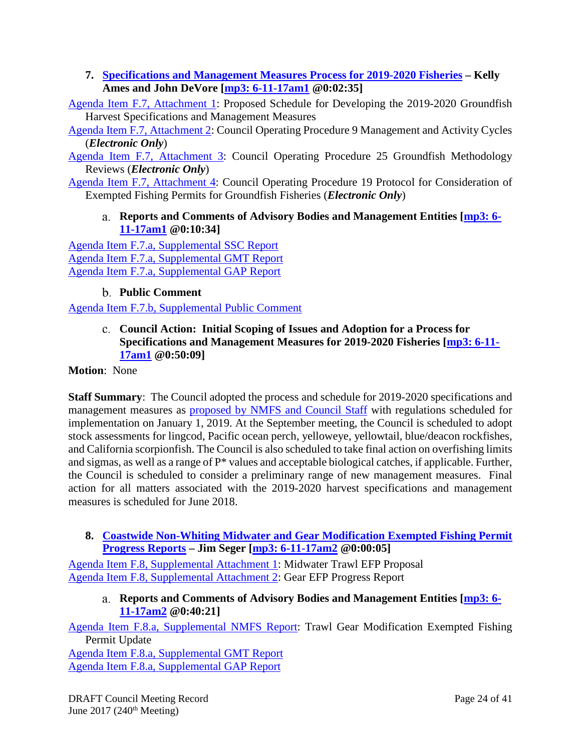## <span id="page-23-0"></span>**7. [Specifications and Management Measures Process for](http://www.pcouncil.org/wp-content/uploads/2017/05/F7__SitSum_19-20_spex_Jun2017BB.pdf) 2019-2020 Fisheries – Kelly Ames and John DeVore [\[mp3: 6-11-17am1](ftp://ftp.pcouncil.org/pub/R1706_June_2017_Recordings/6-11-17am1Copy.mp3) @0:02:35]**

[Agenda Item F.7, Attachment 1:](http://www.pcouncil.org/wp-content/uploads/2017/05/F7_Att1_Spex_Schedule_Jun2017BB.pdf) Proposed Schedule for Developing the 2019-2020 Groundfish Harvest Specifications and Management Measures

[Agenda Item F.7, Attachment 2:](http://www.pcouncil.org/wp-content/uploads/2017/05/F7_Att2_COP9_ElectricOnly_Jun2017BB.pdf) Council Operating Procedure 9 Management and Activity Cycles (*Electronic Only*)

[Agenda Item F.7, Attachment 3:](http://www.pcouncil.org/wp-content/uploads/2017/05/F7_Att3_COP25_ElectricOnly_Jun2017BB.pdf) Council Operating Procedure 25 Groundfish Methodology Reviews (*Electronic Only*)

<span id="page-23-1"></span>[Agenda Item F.7, Attachment 4:](http://www.pcouncil.org/wp-content/uploads/2017/05/F7_Att4_COP19_ElectricOnly_Jun2017BB.pdf) Council Operating Procedure 19 Protocol for Consideration of Exempted Fishing Permits for Groundfish Fisheries (*Electronic Only*)

# **Reports and Comments of Advisory Bodies and Management Entities [\[mp3: 6-](ftp://ftp.pcouncil.org/pub/R1706_June_2017_Recordings/6-11-17am1Copy.mp3) [11-17am1](ftp://ftp.pcouncil.org/pub/R1706_June_2017_Recordings/6-11-17am1Copy.mp3) @0:10:34]**

[Agenda Item F.7.a, Supplemental SSC Report](http://www.pcouncil.org/wp-content/uploads/2017/06/F7a_Sup_SSC_Rpt_Spex_Final_Jun2017BB.pdf) [Agenda Item F.7.a, Supplemental GMT Report](http://www.pcouncil.org/wp-content/uploads/2017/06/F7a_Sup_GMT_final_Jun2017BB.pdf) [Agenda Item F.7.a, Supplemental GAP Report](http://www.pcouncil.org/wp-content/uploads/2017/06/F7a_Sup_GAP_Rpt_Spex_Jun2017BB.pdf)

# **Public Comment**

<span id="page-23-3"></span><span id="page-23-2"></span>[Agenda Item F.7.b, Supplemental Public Comment](http://www.pcouncil.org/wp-content/uploads/2017/06/F7b_Sup_PubCmt_Jun2017BB.pdf)

**Council Action: Initial Scoping of Issues and Adoption for a Process for Specifications and Management Measures for 2019-2020 Fisheries [\[mp3: 6-11-](ftp://ftp.pcouncil.org/pub/R1706_June_2017_Recordings/6-11-17am1Copy.mp3) [17am1](ftp://ftp.pcouncil.org/pub/R1706_June_2017_Recordings/6-11-17am1Copy.mp3) @0:50:09]**

**Motion**: None

**Staff Summary**: The Council adopted the process and schedule for 2019-2020 specifications and management measures as [proposed by NMFS and Council Staff](http://www.pcouncil.org/wp-content/uploads/2017/05/F7_Att1_Spex_Schedule_Jun2017BB.pdf) with regulations scheduled for implementation on January 1, 2019. At the September meeting, the Council is scheduled to adopt stock assessments for lingcod, Pacific ocean perch, yelloweye, yellowtail, blue/deacon rockfishes, and California scorpionfish. The Council is also scheduled to take final action on overfishing limits and sigmas, as well as a range of P\* values and acceptable biological catches, if applicable. Further, the Council is scheduled to consider a preliminary range of new management measures. Final action for all matters associated with the 2019-2020 harvest specifications and management measures is scheduled for June 2018.

# <span id="page-23-4"></span>**8. [Coastwide Non-Whiting Midwater and Gear Modification Exempted Fishing Permit](http://www.pcouncil.org/wp-content/uploads/2017/05/F8__SitSum_EFPs_Jun2017BB.pdf)  [Progress Reports](http://www.pcouncil.org/wp-content/uploads/2017/05/F8__SitSum_EFPs_Jun2017BB.pdf) – Jim Seger [\[mp3: 6-11-17am2](ftp://ftp.pcouncil.org/pub/R1706_June_2017_Recordings/6-11-17am2Copy.mp3) @0:00:05]**

<span id="page-23-5"></span>[Agenda Item F.8, Supplemental Attachment 1:](http://www.pcouncil.org/wp-content/uploads/2017/06/F8_Sup_Att1_MWT_EFP_ProgRep_Jun2017BB.pdf) Midwater Trawl EFP Proposal Agenda Item [F.8, Supplemental Attachment 2:](http://www.pcouncil.org/wp-content/uploads/2017/06/F8_Sup_Att2_Gear_EFP_ProgRpt_Jun2017BB.pdf) Gear EFP Progress Report

**Reports and Comments of Advisory Bodies and Management Entities [\[mp3: 6-](ftp://ftp.pcouncil.org/pub/R1706_June_2017_Recordings/6-11-17am2Copy.mp3) [11-17am2](ftp://ftp.pcouncil.org/pub/R1706_June_2017_Recordings/6-11-17am2Copy.mp3) @0:40:21]**

[Agenda Item F.8.a, Supplemental NMFS Report:](http://www.pcouncil.org/wp-content/uploads/2017/06/F8a_Sup_NMFS_Rpt_Jun2017BB.pdf) Trawl Gear Modification Exempted Fishing Permit Update

[Agenda Item F.8.a, Supplemental GMT Report](http://www.pcouncil.org/wp-content/uploads/2017/06/F8a_Sup_GMT_Rpt_Jun2017BB-1.pdf) [Agenda Item F.8.a, Supplemental GAP Report](http://www.pcouncil.org/wp-content/uploads/2017/06/F8a_Sup_GAP_Rpt_Jun2017BB.pdf)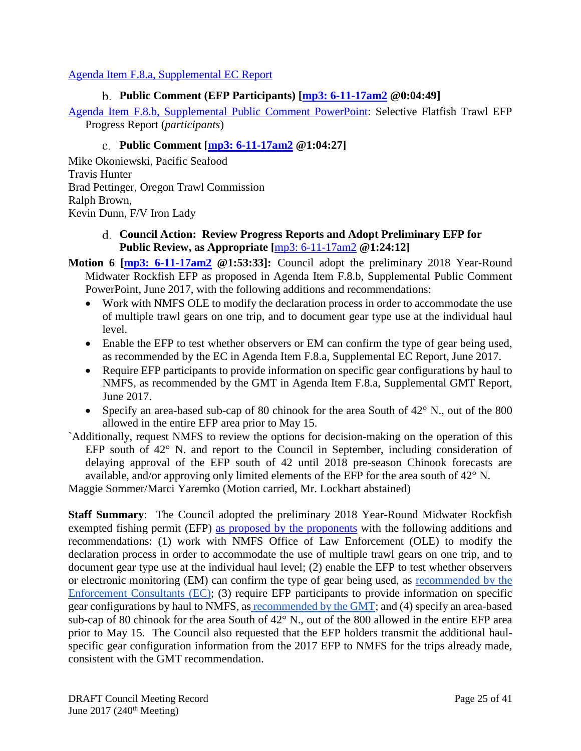### <span id="page-24-0"></span>[Agenda Item F.8.a, Supplemental EC Report](http://www.pcouncil.org/wp-content/uploads/2017/06/F8a_Sup_EC_Rpt_Jun2017BB.pdf)

## **Public Comment (EFP Participants) [\[mp3: 6-11-17am2](ftp://ftp.pcouncil.org/pub/R1706_June_2017_Recordings/6-11-17am2Copy.mp3) @0:04:49]**

[Agenda Item F.8.b, Supplemental Public Comment PowerPoint:](http://www.pcouncil.org/wp-content/uploads/2017/06/F8b_Sup_PubComPPT_EFPprogressRpt_Jun2017BB.pdf) Selective Flatfish Trawl EFP Progress Report (*participants*)

## **Public Comment [\[mp3: 6-11-17am2](ftp://ftp.pcouncil.org/pub/R1706_June_2017_Recordings/6-11-17am2Copy.mp3) @1:04:27]**

<span id="page-24-1"></span>Mike Okoniewski, Pacific Seafood Travis Hunter Brad Pettinger, Oregon Trawl Commission Ralph Brown, Kevin Dunn, F/V Iron Lady

### <span id="page-24-2"></span>**Council Action: Review Progress Reports and Adopt Preliminary EFP for Public Review, as Appropriate [**[mp3: 6-11-17am2](ftp://ftp.pcouncil.org/pub/R1706_June_2017_Recordings/6-11-17am2Copy.mp3) **@1:24:12]**

- **Motion 6 [\[mp3: 6-11-17am2](ftp://ftp.pcouncil.org/pub/R1706_June_2017_Recordings/6-11-17am2Copy.mp3) @1:53:33]:** Council adopt the preliminary 2018 Year-Round Midwater Rockfish EFP as proposed in Agenda Item F.8.b, Supplemental Public Comment PowerPoint, June 2017, with the following additions and recommendations:
	- Work with NMFS OLE to modify the declaration process in order to accommodate the use of multiple trawl gears on one trip, and to document gear type use at the individual haul level.
	- Enable the EFP to test whether observers or EM can confirm the type of gear being used, as recommended by the EC in Agenda Item F.8.a, Supplemental EC Report, June 2017.
	- Require EFP participants to provide information on specific gear configurations by haul to NMFS, as recommended by the GMT in Agenda Item F.8.a, Supplemental GMT Report, June 2017.
	- Specify an area-based sub-cap of 80 chinook for the area South of 42° N., out of the 800 allowed in the entire EFP area prior to May 15.
- `Additionally, request NMFS to review the options for decision-making on the operation of this EFP south of 42° N. and report to the Council in September, including consideration of delaying approval of the EFP south of 42 until 2018 pre-season Chinook forecasts are available, and/or approving only limited elements of the EFP for the area south of 42° N.

Maggie Sommer/Marci Yaremko (Motion carried, Mr. Lockhart abstained)

**Staff Summary**: The Council adopted the preliminary 2018 Year-Round Midwater Rockfish exempted fishing permit (EFP) [as proposed by the proponents](http://www.pcouncil.org/wp-content/uploads/2017/06/F8b_Sup_PubComPPT_EFPprogressRpt_Jun2017BB.pdf) with the following additions and recommendations: (1) work with NMFS Office of Law Enforcement (OLE) to modify the declaration process in order to accommodate the use of multiple trawl gears on one trip, and to document gear type use at the individual haul level; (2) enable the EFP to test whether observers or electronic monitoring (EM) can confirm the type of gear being used, as [recommended by the](http://www.pcouncil.org/wp-content/uploads/2017/06/F8a_Sup_EC_Rpt_Jun2017BB.pdf)  [Enforcement Consultants \(EC\);](http://www.pcouncil.org/wp-content/uploads/2017/06/F8a_Sup_EC_Rpt_Jun2017BB.pdf) (3) require EFP participants to provide information on specific gear configurations by haul to NMFS, as [recommended by the GMT;](http://www.pcouncil.org/wp-content/uploads/2017/06/F8a_Sup_GMT_Rpt_Jun2017BB-1.pdf) and (4) specify an area-based sub-cap of 80 chinook for the area South of 42° N., out of the 800 allowed in the entire EFP area prior to May 15. The Council also requested that the EFP holders transmit the additional haulspecific gear configuration information from the 2017 EFP to NMFS for the trips already made, consistent with the GMT recommendation.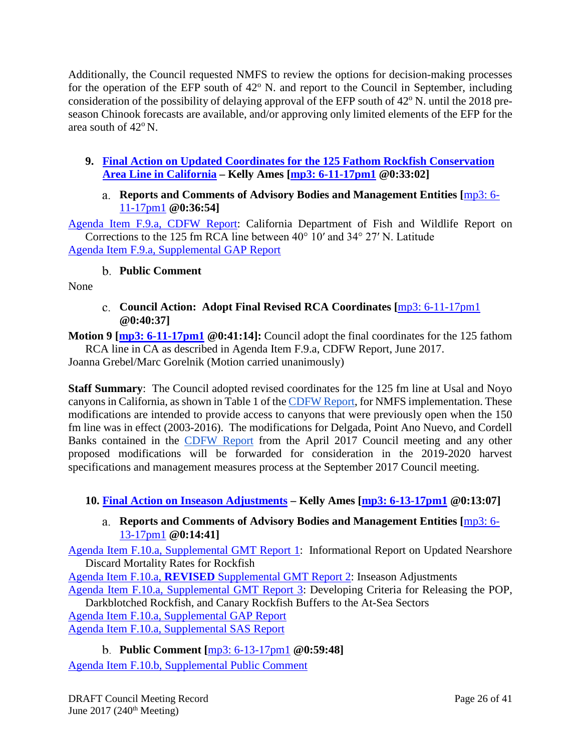Additionally, the Council requested NMFS to review the options for decision-making processes for the operation of the EFP south of  $42^{\circ}$  N. and report to the Council in September, including consideration of the possibility of delaying approval of the EFP south of  $42^{\circ}$  N. until the 2018 preseason Chinook forecasts are available, and/or approving only limited elements of the EFP for the area south of  $42^{\circ}$  N.

<span id="page-25-1"></span><span id="page-25-0"></span>**9. [Final Action on Updated Coordinates for the 125 Fathom Rockfish Conservation](http://www.pcouncil.org/wp-content/uploads/2017/05/F9__SitSum_RCACords_Jun2017BB.pdf)  [Area Line in California](http://www.pcouncil.org/wp-content/uploads/2017/05/F9__SitSum_RCACords_Jun2017BB.pdf) – Kelly Ames [\[mp3: 6-11-17pm1](ftp://ftp.pcouncil.org/pub/R1706_June_2017_Recordings/6-11-17pm1Copy.mp3) @0:33:02]**

## **Reports and Comments of Advisory Bodies and Management Entities [**[mp3: 6-](ftp://ftp.pcouncil.org/pub/R1706_June_2017_Recordings/6-11-17pm1Copy.mp3) [11-17pm1](ftp://ftp.pcouncil.org/pub/R1706_June_2017_Recordings/6-11-17pm1Copy.mp3) **@0:36:54]**

[Agenda Item F.9.a, CDFW Report:](http://www.pcouncil.org/wp-content/uploads/2017/05/F9a_CDFW_Rpt_Jun2017BB.pdf) California Department of Fish and Wildlife Report on Corrections to the 125 fm RCA line between 40° 10′ and 34° 27′ N. Latitude [Agenda Item F.9.a, Supplemental GAP Report](http://www.pcouncil.org/wp-content/uploads/2017/06/F9a_Sup_GAP_Rpt_125_fathom_coordinates_Jun2017BB.pdf)

# **Public Comment**

<span id="page-25-3"></span><span id="page-25-2"></span>None

## **Council Action: Adopt Final Revised RCA Coordinates [**[mp3: 6-11-17pm1](ftp://ftp.pcouncil.org/pub/R1706_June_2017_Recordings/6-11-17pm1Copy.mp3) **@0:40:37]**

**Motion 9 [mp3: [6-11-17pm1](ftp://ftp.pcouncil.org/pub/R1706_June_2017_Recordings/6-11-17pm1Copy.mp3) @0:41:14]:** Council adopt the final coordinates for the 125 fathom RCA line in CA as described in Agenda Item F.9.a, CDFW Report, June 2017.

Joanna Grebel/Marc Gorelnik (Motion carried unanimously)

**Staff Summary**: The Council adopted revised coordinates for the 125 fm line at Usal and Noyo canyons in California, as shown in Table 1 of the [CDFW Report,](http://www.pcouncil.org/wp-content/uploads/2017/03/F7a_CDFW_Rpt_Apr2017BB.pdf) for NMFS implementation. These modifications are intended to provide access to canyons that were previously open when the 150 fm line was in effect (2003-2016). The modifications for Delgada, Point Ano Nuevo, and Cordell Banks contained in the [CDFW Report](http://www.pcouncil.org/wp-content/uploads/2017/03/F7a_CDFW_Rpt_Apr2017BB.pdf) from the April 2017 Council meeting and any other proposed modifications will be forwarded for consideration in the 2019-2020 harvest specifications and management measures process at the September 2017 Council meeting.

# <span id="page-25-5"></span><span id="page-25-4"></span>**10. [Final Action on Inseason Adjustments](http://www.pcouncil.org/wp-content/uploads/2017/05/F10__SitSum_Inseason_Jun2017BB.pdf) – Kelly Ames [\[mp3: 6-13-17pm1](ftp://ftp.pcouncil.org/pub/R1706_June_2017_Recordings/6-13-17pm1Copy.mp3) @0:13:07]**

# **Reports and Comments of Advisory Bodies and Management Entities [**[mp3: 6-](ftp://ftp.pcouncil.org/pub/R1706_June_2017_Recordings/6-13-17pm1Copy.mp3) [13-17pm1](ftp://ftp.pcouncil.org/pub/R1706_June_2017_Recordings/6-13-17pm1Copy.mp3) **@0:14:41]**

[Agenda Item F.10.a, Supplemental GMT Report 1:](http://www.pcouncil.org/wp-content/uploads/2017/06/F10a_Sup_GMT_Rpt_InseasonRpt1-Final_DMRS_for_BB_and_WCGOP_Jun2017BB.pdf) Informational Report on Updated Nearshore Discard Mortality Rates for Rockfish

Agenda Item F.10.a, **REVISED** [Supplemental GMT Report 2:](http://www.pcouncil.org/wp-content/uploads/2017/06/F10a_Sup_REVISED_GMT_Rpt2_Jun2017BB.pdf) Inseason Adjustments

[Agenda Item F.10.a, Supplemental GMT Report 3:](http://www.pcouncil.org/wp-content/uploads/2017/06/F10a_Sup_GMT_Rpt3_Jun2017BB.pdf) Developing Criteria for Releasing the POP, Darkblotched Rockfish, and Canary Rockfish Buffers to the At-Sea Sectors

[Agenda Item F.10.a, Supplemental GAP Report](http://www.pcouncil.org/wp-content/uploads/2017/06/F10a_Sup_GAP_Rpt_Jun2017BB.pdf)

[Agenda Item F.10.a, Supplemental SAS Report](http://www.pcouncil.org/wp-content/uploads/2017/06/F10a_Sup_SAS_Rpt_InSeason_Jun2017BB.pdf)

<span id="page-25-6"></span>**Public Comment [**[mp3: 6-13-17pm1](ftp://ftp.pcouncil.org/pub/R1706_June_2017_Recordings/6-13-17pm1Copy.mp3) **@0:59:48]** [Agenda Item F.10.b, Supplemental Public Comment](http://www.pcouncil.org/wp-content/uploads/2017/06/F10b_Sup_PC_Mann_June2017BB.pdf)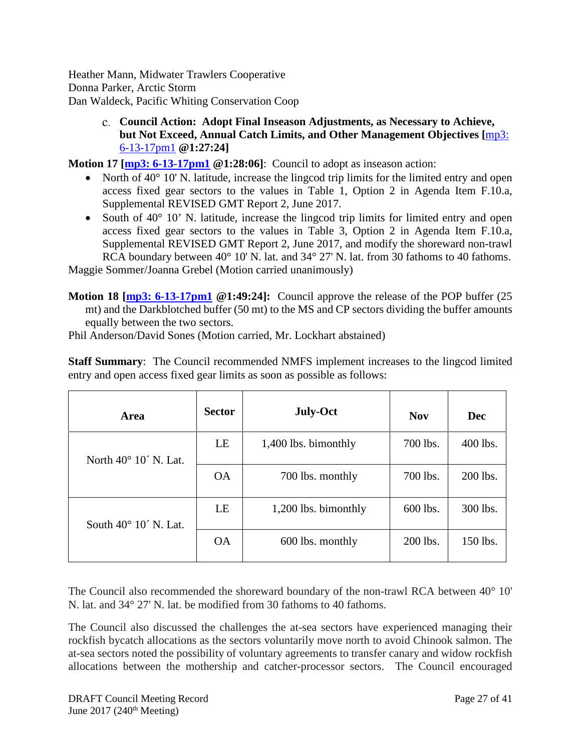Heather Mann, Midwater Trawlers Cooperative Donna Parker, Arctic Storm Dan Waldeck, Pacific Whiting Conservation Coop

> <span id="page-26-0"></span>**Council Action: Adopt Final Inseason Adjustments, as Necessary to Achieve, but Not Exceed, Annual Catch Limits, and Other Management Objectives [**[mp3:](ftp://ftp.pcouncil.org/pub/R1706_June_2017_Recordings/6-13-17pm1Copy.mp3)  [6-13-17pm1](ftp://ftp.pcouncil.org/pub/R1706_June_2017_Recordings/6-13-17pm1Copy.mp3) **@1:27:24]**

**Motion 17 [\[mp3: 6-13-17pm1](ftp://ftp.pcouncil.org/pub/R1706_June_2017_Recordings/6-13-17pm1Copy.mp3)**  $@1:28:06$ ]: Council to adopt as inseason action:

- North of 40° 10' N. latitude, increase the lingcod trip limits for the limited entry and open access fixed gear sectors to the values in Table 1, Option 2 in Agenda Item F.10.a, Supplemental REVISED GMT Report 2, June 2017.
- South of 40° 10' N. latitude, increase the lingcod trip limits for limited entry and open access fixed gear sectors to the values in Table 3, Option 2 in Agenda Item F.10.a, Supplemental REVISED GMT Report 2, June 2017, and modify the shoreward non-trawl RCA boundary between 40° 10' N. lat. and 34° 27' N. lat. from 30 fathoms to 40 fathoms.

Maggie Sommer/Joanna Grebel (Motion carried unanimously)

**Motion 18 [\[mp3: 6-13-17pm1](ftp://ftp.pcouncil.org/pub/R1706_June_2017_Recordings/6-13-17pm1Copy.mp3) @1:49:24]:** Council approve the release of the POP buffer (25 mt) and the Darkblotched buffer (50 mt) to the MS and CP sectors dividing the buffer amounts equally between the two sectors.

Phil Anderson/David Sones (Motion carried, Mr. Lockhart abstained)

**Staff Summary**: The Council recommended NMFS implement increases to the lingcod limited entry and open access fixed gear limits as soon as possible as follows:

| Area                           | <b>Sector</b> | <b>July-Oct</b>      | <b>Nov</b> | Dec      |
|--------------------------------|---------------|----------------------|------------|----------|
| North $40^{\circ}$ 10' N. Lat. | LE            | 1,400 lbs. bimonthly | 700 lbs.   | 400 lbs. |
|                                | <b>OA</b>     | 700 lbs. monthly     | 700 lbs.   | 200 lbs. |
| South $40^{\circ}$ 10' N. Lat. | LE            | 1,200 lbs. bimonthly | 600 lbs.   | 300 lbs. |
|                                | <b>OA</b>     | 600 lbs. monthly     | 200 lbs.   | 150 lbs. |

The Council also recommended the shoreward boundary of the non-trawl RCA between 40° 10' N. lat. and 34° 27' N. lat. be modified from 30 fathoms to 40 fathoms.

The Council also discussed the challenges the at-sea sectors have experienced managing their rockfish bycatch allocations as the sectors voluntarily move north to avoid Chinook salmon. The at-sea sectors noted the possibility of voluntary agreements to transfer canary and widow rockfish allocations between the mothership and catcher-processor sectors. The Council encouraged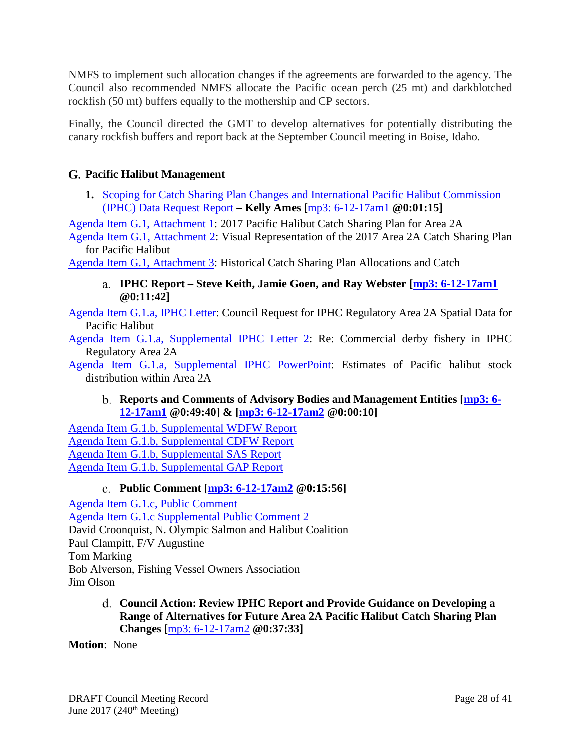NMFS to implement such allocation changes if the agreements are forwarded to the agency. The Council also recommended NMFS allocate the Pacific ocean perch (25 mt) and darkblotched rockfish (50 mt) buffers equally to the mothership and CP sectors.

Finally, the Council directed the GMT to develop alternatives for potentially distributing the canary rockfish buffers and report back at the September Council meeting in Boise, Idaho.

# <span id="page-27-0"></span>**Pacific Halibut Management**

<span id="page-27-1"></span>**1.** [Scoping for Catch Sharing Plan Changes and International Pacific Halibut Commission](http://www.pcouncil.org/wp-content/uploads/2017/05/G1__CSP_SitSum_Jun2017BB.pdf)  [\(IPHC\) Data Request Report](http://www.pcouncil.org/wp-content/uploads/2017/05/G1__CSP_SitSum_Jun2017BB.pdf) **– Kelly Ames [**[mp3: 6-12-17am1](ftp://ftp.pcouncil.org/pub/R1706_June_2017_Recordings/6-12-17am1Copy.mp3) **@0:01:15]**

[Agenda Item G.1, Attachment 1:](http://www.pcouncil.org/wp-content/uploads/2017/05/G1_Att1_2017CSP_Jun2017BB.pdf) 2017 Pacific Halibut Catch Sharing Plan for Area 2A

[Agenda Item G.1, Attachment 2:](http://www.pcouncil.org/wp-content/uploads/2017/05/G1_Att2_CSP_Visual_Jun2017BB.pdf) Visual Representation of the 2017 Area 2A Catch Sharing Plan for Pacific Halibut

<span id="page-27-2"></span>[Agenda Item G.1, Attachment 3:](http://www.pcouncil.org/wp-content/uploads/2017/05/G1_Att3_Historical_Catch_Alloc_Jun2017BB.pdf) Historical Catch Sharing Plan Allocations and Catch

**IPHC Report – Steve Keith, Jamie Goen, and Ray Webster [\[mp3: 6-12-17am1](ftp://ftp.pcouncil.org/pub/R1706_June_2017_Recordings/6-12-17am1Copy.mp3) @0:11:42]**

[Agenda Item G.1.a, IPHC Letter:](http://www.pcouncil.org/wp-content/uploads/2017/05/G1a_IPHC_data_request_Jun2017BB.pdf) Council Request for IPHC Regulatory Area 2A Spatial Data for Pacific Halibut

[Agenda Item G.1.a, Supplemental IPHC Letter 2:](http://www.pcouncil.org/wp-content/uploads/2017/06/G1a_Sup_IPHC_Ltr2_CommlDerbyFishery_Jun2017BB.pdf) Re: Commercial derby fishery in IPHC Regulatory Area 2A

<span id="page-27-3"></span>[Agenda Item G.1.a, Supplemental IPHC PowerPoint:](http://www.pcouncil.org/wp-content/uploads/2017/06/G1a_Sup_IPHC_PPT_Goen_JUNE2017BB.pdf) Estimates of Pacific halibut stock distribution within Area 2A

# **Reports and Comments of Advisory Bodies and Management Entities [\[mp3: 6-](ftp://ftp.pcouncil.org/pub/R1706_June_2017_Recordings/6-12-17am1Copy.mp3) [12-17am1](ftp://ftp.pcouncil.org/pub/R1706_June_2017_Recordings/6-12-17am1Copy.mp3) @0:49:40] & [\[mp3: 6-12-17am2](ftp://ftp.pcouncil.org/pub/R1706_June_2017_Recordings/6-12-17am2Copy.mp3) @0:00:10]**

[Agenda Item G.1.b, Supplemental WDFW Report](http://www.pcouncil.org/wp-content/uploads/2017/06/G1b_Sup_WDFW_Rpt_Jun2017BB.pdf) [Agenda Item G.1.b, Supplemental CDFW Report](http://www.pcouncil.org/wp-content/uploads/2017/06/G1b_Sup_CDFW_Rpt_Jun2017BB.pdf) [Agenda Item G.1.b, Supplemental SAS Report](http://www.pcouncil.org/wp-content/uploads/2017/06/G1b_Sup_SAS_Rpt_PacificHalibut_Jun2017BB.pdf) [Agenda Item G.1.b, Supplemental GAP Report](http://www.pcouncil.org/wp-content/uploads/2017/06/G1b_Sup_GAP_Rpt_Jun2017BB.pdf)

# **Public Comment [\[mp3: 6-12-17am2](ftp://ftp.pcouncil.org/pub/R1706_June_2017_Recordings/6-12-17am2Copy.mp3) @0:15:56]**

<span id="page-27-4"></span>[Agenda Item G.1.c, Public Comment](http://www.pcouncil.org/wp-content/uploads/2017/05/G1c_PubCom_Jun2017BB.pdf) [Agenda Item G.1.c Supplemental Public Comment 2](http://www.pcouncil.org/wp-content/uploads/2017/06/G1c_Sup_PubCom2_Jun2017BB.pdf) David Croonquist, N. Olympic Salmon and Halibut Coalition Paul Clampitt, F/V Augustine Tom Marking Bob Alverson, Fishing Vessel Owners Association Jim Olson

> <span id="page-27-5"></span>**Council Action: Review IPHC Report and Provide Guidance on Developing a Range of Alternatives for Future Area 2A Pacific Halibut Catch Sharing Plan Changes [**[mp3: 6-12-17am2](ftp://ftp.pcouncil.org/pub/R1706_June_2017_Recordings/6-12-17am2Copy.mp3) **@0:37:33]**

**Motion**: None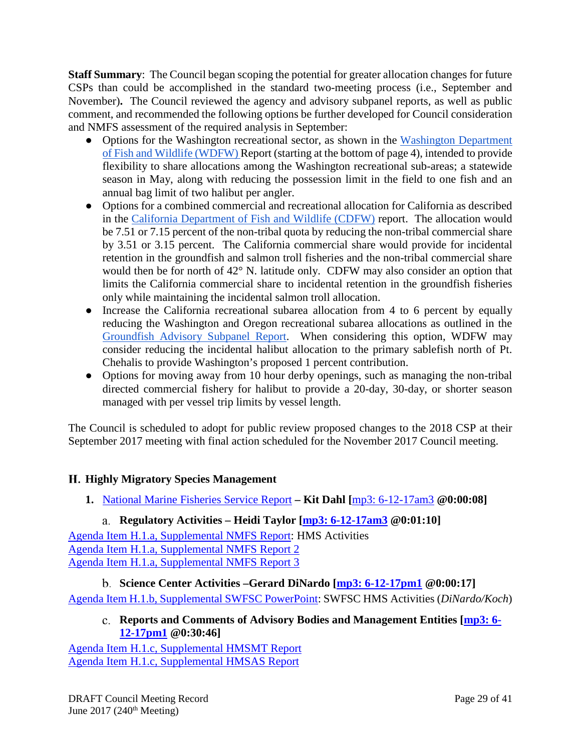**Staff Summary**: The Council began scoping the potential for greater allocation changes for future CSPs than could be accomplished in the standard two-meeting process (i.e., September and November)**.** The Council reviewed the agency and advisory subpanel reports, as well as public comment, and recommended the following options be further developed for Council consideration and NMFS assessment of the required analysis in September:

- Options for the Washington recreational sector, as shown in the Washington Department [of Fish and Wildlife \(WDFW\) R](http://www.pcouncil.org/wp-content/uploads/2017/06/G1b_Sup_WDFW_Rpt_Jun2017BB.pdf)eport (starting at the bottom of page 4), intended to provide flexibility to share allocations among the Washington recreational sub-areas; a statewide season in May, along with reducing the possession limit in the field to one fish and an annual bag limit of two halibut per angler.
- Options for a combined commercial and recreational allocation for California as described in the [California Department of Fish and Wildlife \(CDFW\)](http://www.pcouncil.org/wp-content/uploads/2017/06/G1b_Sup_CDFW_Rpt_Jun2017BB.pdf) report. The allocation would be 7.51 or 7.15 percent of the non-tribal quota by reducing the non-tribal commercial share by 3.51 or 3.15 percent. The California commercial share would provide for incidental retention in the groundfish and salmon troll fisheries and the non-tribal commercial share would then be for north of 42° N. latitude only. CDFW may also consider an option that limits the California commercial share to incidental retention in the groundfish fisheries only while maintaining the incidental salmon troll allocation.
- Increase the California recreational subarea allocation from 4 to 6 percent by equally reducing the Washington and Oregon recreational subarea allocations as outlined in the [Groundfish Advisory Subpanel Report.](http://www.pcouncil.org/wp-content/uploads/2017/06/G1b_Sup_GAP_Rpt_Jun2017BB.pdf) When considering this option, WDFW may consider reducing the incidental halibut allocation to the primary sablefish north of Pt. Chehalis to provide Washington's proposed 1 percent contribution.
- Options for moving away from 10 hour derby openings, such as managing the non-tribal directed commercial fishery for halibut to provide a 20-day, 30-day, or shorter season managed with per vessel trip limits by vessel length.

The Council is scheduled to adopt for public review proposed changes to the 2018 CSP at their September 2017 meeting with final action scheduled for the November 2017 Council meeting.

# <span id="page-28-0"></span>**Highly Migratory Species Management**

<span id="page-28-1"></span>**1.** [National Marine Fisheries Service Report](http://www.pcouncil.org/wp-content/uploads/2017/05/H1__SitSum_NMFS_Rpt_HMS_Jun2017BB.pdf) **– Kit Dahl [**[mp3: 6-12-17am3](ftp://ftp.pcouncil.org/pub/R1706_June_2017_Recordings/6-12-17am3Copy.mp3) **@0:00:08]**

# **Regulatory Activities – Heidi Taylor [\[mp3: 6-12-17am3](ftp://ftp.pcouncil.org/pub/R1706_June_2017_Recordings/6-12-17am3Copy.mp3) @0:01:10]**

<span id="page-28-2"></span>[Agenda Item H.1.a, Supplemental NMFS Report:](http://www.pcouncil.org/wp-content/uploads/2017/06/H1a_Sup_NMFS_Rpt_HMSactivities_JUNE2017BB.pdf) HMS Activities [Agenda Item H.1.a, Supplemental NMFS Report](http://www.pcouncil.org/wp-content/uploads/2017/06/H1a_Sup_NMFS_Rpt2_DGN_Jun2017BB.pdf) 2 [Agenda Item H.1.a, Supplemental NMFS Report 3](http://www.pcouncil.org/wp-content/uploads/2017/06/H1a_Sup_NMFS_Rpt3_DGN_Neg_Jun2017BB.pdf)

<span id="page-28-4"></span><span id="page-28-3"></span>**Science Center Activities –Gerard DiNardo [\[mp3: 6-12-17pm1](ftp://ftp.pcouncil.org/pub/R1706_June_2017_Recordings/6-12-17pm1Copy.mp3) @0:00:17]** [Agenda Item H.1.b, Supplemental SWFSC PowerPoint:](http://www.pcouncil.org/wp-content/uploads/2017/06/H1b_Sup_PPT_SWFSC_HMS_Gerard_JUNE2017BB.pdf) SWFSC HMS Activities (*DiNardo/Koch*)

# **Reports and Comments of Advisory Bodies and Management Entities [\[mp3: 6-](ftp://ftp.pcouncil.org/pub/R1706_June_2017_Recordings/6-12-17pm1Copy.mp3) [12-17pm1](ftp://ftp.pcouncil.org/pub/R1706_June_2017_Recordings/6-12-17pm1Copy.mp3) @0:30:46]**

[Agenda Item H.1.c, Supplemental HMSMT Report](http://www.pcouncil.org/wp-content/uploads/2017/06/H1c_Sup_HMSMT_Rpt_PerformanceMetrics_Jun2017BB.pdf) [Agenda Item H.1.c, Supplemental HMSAS Report](http://www.pcouncil.org/wp-content/uploads/2017/06/H1c_Sup_HMSAS_Rpt_DGN_performance_standards_Jun2017BB.pdf)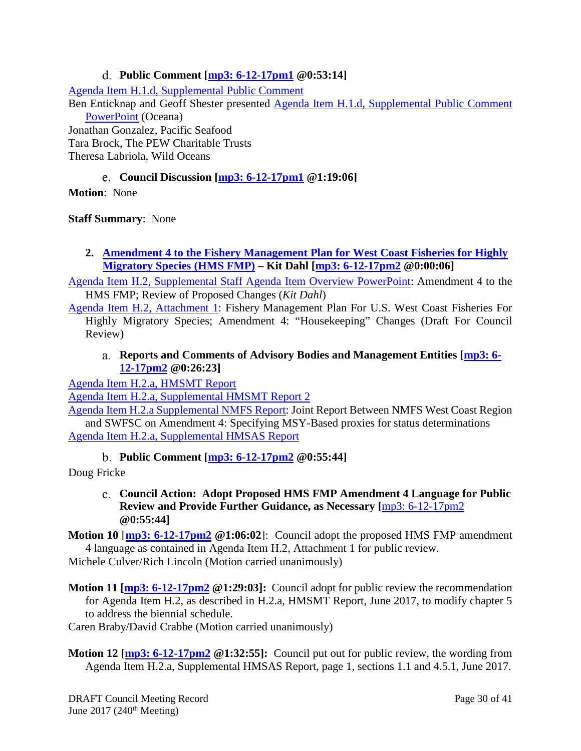# **Public Comment [\[mp3: 6-12-17pm1](ftp://ftp.pcouncil.org/pub/R1706_June_2017_Recordings/6-12-17pm1Copy.mp3) @0:53:14]**

<span id="page-29-0"></span>[Agenda Item H.1.d, Supplemental Public Comment](http://www.pcouncil.org/wp-content/uploads/2017/06/H1d_Sup_PubCmt_Jun2017BB.pdf)

Ben Enticknap and Geoff Shester presented [Agenda Item H.1.d, Supplemental Public Comment](http://www.pcouncil.org/wp-content/uploads/2017/06/H1d_Sup_PPT_Oceana_HMS_Enticknap_JUNE2017BB.pdf)  [PowerPoint](http://www.pcouncil.org/wp-content/uploads/2017/06/H1d_Sup_PPT_Oceana_HMS_Enticknap_JUNE2017BB.pdf) (Oceana)

Jonathan Gonzalez, Pacific Seafood Tara Brock, The PEW Charitable Trusts Theresa Labriola, Wild Oceans

# **Council Discussion [\[mp3: 6-12-17pm1](ftp://ftp.pcouncil.org/pub/R1706_June_2017_Recordings/6-12-17pm1Copy.mp3) @1:19:06]**

<span id="page-29-1"></span>**Motion**: None

**Staff Summary**: None

# <span id="page-29-2"></span>**2. [Amendment 4 to the Fishery Management Plan for West Coast Fisheries for Highly](http://www.pcouncil.org/wp-content/uploads/2017/05/H2__SitSum_HMS_FMP_Amndmt4_and_SDC_Jun2017BB.pdf)  [Migratory Species \(HMS FMP\)](http://www.pcouncil.org/wp-content/uploads/2017/05/H2__SitSum_HMS_FMP_Amndmt4_and_SDC_Jun2017BB.pdf) – Kit Dahl [\[mp3: 6-12-17pm2](ftp://ftp.pcouncil.org/pub/R1706_June_2017_Recordings/6-12-17pm2Copy.mp3) @0:00:06]**

[Agenda Item H.2, Supplemental Staff Agenda Item Overview PowerPoint:](http://www.pcouncil.org/wp-content/uploads/2017/06/H2_Sup_PPT_OverviewAmend4_KRD_JUNE2017BB.pdf) Amendment 4 to the HMS FMP; Review of Proposed Changes (*Kit Dahl*)

[Agenda Item H.2, Attachment 1:](http://www.pcouncil.org/wp-content/uploads/2017/05/H2_Att1_HMS_FMP_Amdmnt4Text_Jun2017BB.pdf) Fishery Management Plan For U.S. West Coast Fisheries For Highly Migratory Species; Amendment 4: "Housekeeping" Changes (Draft For Council Review)

# <span id="page-29-3"></span>**Reports and Comments of Advisory Bodies and Management Entities [\[mp3: 6-](ftp://ftp.pcouncil.org/pub/R1706_June_2017_Recordings/6-12-17pm2Copy.mp3) [12-17pm2](ftp://ftp.pcouncil.org/pub/R1706_June_2017_Recordings/6-12-17pm2Copy.mp3) @0:26:23]**

[Agenda Item H.2.a, HMSMT Report](http://www.pcouncil.org/wp-content/uploads/2017/05/H2a_HMSMT_Rpt_Amndmt4_Jun2017BB.pdf)

[Agenda Item H.2.a, Supplemental HMSMT Report 2](http://www.pcouncil.org/wp-content/uploads/2017/06/H2a_Sup_HMSMT_Rpt2_June-2017BB.pdf)

[Agenda Item H.2.a Supplemental NMFS Report:](http://www.pcouncil.org/wp-content/uploads/2017/06/H2a_Sup_NMFS_Rpt_Amdt4msyProxy_JUNE2017BB.pdf) Joint Report Between NMFS West Coast Region and SWFSC on Amendment 4: Specifying MSY-Based proxies for status determinations Agenda [Item H.2.a, Supplemental HMSAS Report](http://www.pcouncil.org/wp-content/uploads/2017/06/H2a_Sup_HMSAS_Rpt_FMP_Amendment4_FINAL_Jun2017BB.pdf)

# **Public Comment [\[mp3: 6-12-17pm2](ftp://ftp.pcouncil.org/pub/R1706_June_2017_Recordings/6-12-17pm2Copy.mp3) @0:55:44]**

<span id="page-29-5"></span><span id="page-29-4"></span>Doug Fricke

**Council Action: Adopt Proposed HMS FMP Amendment 4 Language for Public Review and Provide Further Guidance, as Necessary [**[mp3: 6-12-17pm2](ftp://ftp.pcouncil.org/pub/R1706_June_2017_Recordings/6-12-17pm2Copy.mp3) **@0:55:44]**

**Motion 10** [**[mp3: 6-12-17pm2](ftp://ftp.pcouncil.org/pub/R1706_June_2017_Recordings/6-12-17pm2Copy.mp3) @1:06:02**]: Council adopt the proposed HMS FMP amendment 4 language as contained in Agenda Item H.2, Attachment 1 for public review. Michele Culver/Rich Lincoln (Motion carried unanimously)

**Motion 11 [\[mp3: 6-12-17pm2](ftp://ftp.pcouncil.org/pub/R1706_June_2017_Recordings/6-12-17pm2Copy.mp3) @1:29:03]:** Council adopt for public review the recommendation for Agenda Item H.2, as described in H.2.a, HMSMT Report, June 2017, to modify chapter 5 to address the biennial schedule.

Caren Braby/David Crabbe (Motion carried unanimously)

**Motion 12 [\[mp3: 6-12-17pm2](ftp://ftp.pcouncil.org/pub/R1706_June_2017_Recordings/6-12-17pm2Copy.mp3)** @1:32:55]: Council put out for public review, the wording from Agenda Item H.2.a, Supplemental HMSAS Report, page 1, sections 1.1 and 4.5.1, June 2017.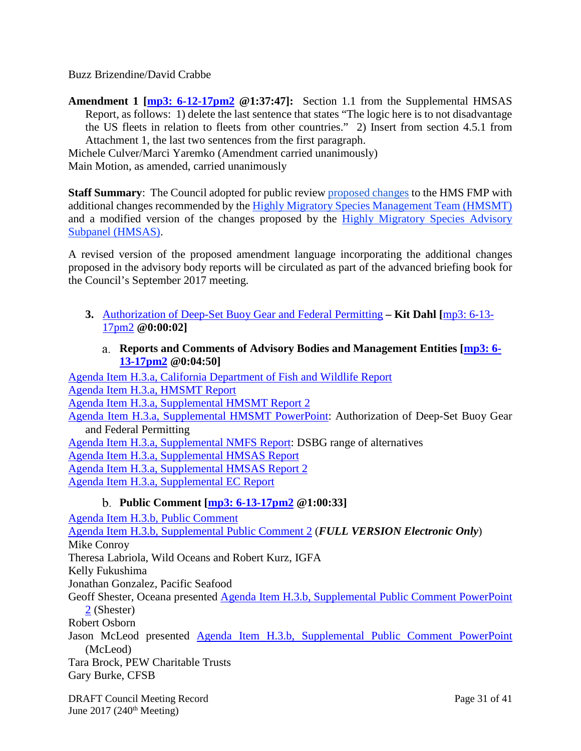Buzz Brizendine/David Crabbe

**Amendment 1 [\[mp3: 6-12-17pm2](ftp://ftp.pcouncil.org/pub/R1706_June_2017_Recordings/6-12-17pm2Copy.mp3) @1:37:47]:** Section 1.1 from the Supplemental HMSAS Report, as follows: 1) delete the last sentence that states "The logic here is to not disadvantage the US fleets in relation to fleets from other countries." 2) Insert from section 4.5.1 from Attachment 1, the last two sentences from the first paragraph.

Michele Culver/Marci Yaremko (Amendment carried unanimously) Main Motion, as amended, carried unanimously

**Staff Summary**: The Council adopted for public review [proposed changes](http://www.pcouncil.org/wp-content/uploads/2017/05/H2_Att1_HMS_FMP_Amdmnt4Text_Jun2017BB.pdf) to the HMS FMP with additional changes recommended by the [Highly Migratory Species Management Team \(HMSMT\)](http://www.pcouncil.org/wp-content/uploads/2017/05/H2a_HMSMT_Rpt_Amndmt4_Jun2017BB.pdf) and a modified version of the changes proposed by the [Highly Migratory Species Advisory](http://www.pcouncil.org/wp-content/uploads/2017/06/H2a_Sup_HMSAS_Rpt_FMP_Amendment4_FINAL_Jun2017BB.pdf)  [Subpanel \(HMSAS\).](http://www.pcouncil.org/wp-content/uploads/2017/06/H2a_Sup_HMSAS_Rpt_FMP_Amendment4_FINAL_Jun2017BB.pdf)

A revised version of the proposed amendment language incorporating the additional changes proposed in the advisory body reports will be circulated as part of the advanced briefing book for the Council's September 2017 meeting.

- <span id="page-30-0"></span>**3.** [Authorization of Deep-Set Buoy Gear and Federal Permitting](http://www.pcouncil.org/wp-content/uploads/2017/05/H3__SitSum_DSBG_ROA_Jun2017BB.pdf) **– Kit Dahl [**[mp3: 6-13-](ftp://ftp.pcouncil.org/pub/R1706_June_2017_Recordings/6-13-17pm2Copy.mp3) [17pm2](ftp://ftp.pcouncil.org/pub/R1706_June_2017_Recordings/6-13-17pm2Copy.mp3) **@0:00:02]**
	- **Reports and Comments of Advisory Bodies and Management Entities [\[mp3: 6-](ftp://ftp.pcouncil.org/pub/R1706_June_2017_Recordings/6-13-17pm2Copy.mp3) [13-17pm2](ftp://ftp.pcouncil.org/pub/R1706_June_2017_Recordings/6-13-17pm2Copy.mp3) @0:04:50]**

<span id="page-30-1"></span>[Agenda Item H.3.a, California Department of Fish and Wildlife Report](http://www.pcouncil.org/wp-content/uploads/2017/05/H3a_CDFW_Rpt-DSBGROAs_170512_Jun2017BB.pdf) [Agenda Item H.3.a, HMSMT Report](http://www.pcouncil.org/wp-content/uploads/2017/05/H3a_HMSMT_Rpt_DSBG_ROA_Jun2017BB.pdf) [Agenda Item H.3.a, Supplemental HMSMT Report 2](http://www.pcouncil.org/wp-content/uploads/2017/06/H3a_Sup_HMSMT_Rpt2_DSBG_ROA_Jun2017BB.pdf) [Agenda Item H.3.a, Supplemental HMSMT PowerPoint:](http://www.pcouncil.org/wp-content/uploads/2017/06/H3a_Sup_HMSMT_PPT_DSBG_Hellmers_JUNE2017BB.pdf) Authorization of Deep-Set Buoy Gear and Federal Permitting [Agenda Item H.3.a, Supplemental NMFS Report:](http://www.pcouncil.org/wp-content/uploads/2017/06/H3a_Sup_NMFS_Rpt_DSBG_Alts_JUNE2017BB.pdf) DSBG range of alternatives [Agenda Item H.3.a, Supplemental HMSAS Report](http://www.pcouncil.org/wp-content/uploads/2017/06/H3a_Sup_HMSAS_Rpt_Jun2017BB.pdf) [Agenda Item H.3.a, Supplemental HMSAS Report 2](http://www.pcouncil.org/wp-content/uploads/2017/06/H3a_Sup_HMSAS_Rpt2_Jun2017BB.pdf) [Agenda Item H.3.a, Supplemental EC Report](http://www.pcouncil.org/wp-content/uploads/2017/06/H3a_Sup_EC_Rpt_Jun2016BB.pdf)

# **Public Comment [\[mp3: 6-13-17pm2](ftp://ftp.pcouncil.org/pub/R1706_June_2017_Recordings/6-13-17pm2Copy.mp3) @1:00:33]**

<span id="page-30-2"></span>[Agenda Item H.3.b, Public Comment](http://www.pcouncil.org/wp-content/uploads/2017/05/H3b_PubCom_Jun2017BB.pdf) [Agenda Item H.3.b, Supplemental Public Comment 2](http://www.pcouncil.org/wp-content/uploads/2017/06/H3b_Sup_PubCom2_FullElectronicOnly_Jun2017BB.pdf) (*FULL VERSION Electronic Only*) Mike Conroy Theresa Labriola, Wild Oceans and Robert Kurz, IGFA Kelly Fukushima Jonathan Gonzalez, Pacific Seafood Geoff Shester, Oceana presented [Agenda Item H.3.b, Supplemental Public Comment PowerPoint](http://www.pcouncil.org/wp-content/uploads/2017/06/H3b_Sup_PubComPPT2_Shester_buoygear6-11-17_Jun2017BB.pdf)  [2](http://www.pcouncil.org/wp-content/uploads/2017/06/H3b_Sup_PubComPPT2_Shester_buoygear6-11-17_Jun2017BB.pdf) (Shester) Robert Osborn Jason McLeod presented [Agenda Item H.3.b, Supplemental Public Comment PowerPoint](http://www.pcouncil.org/wp-content/uploads/2017/06/H3b_Sup_PubComPPT_McLeod_JUNE2017BB.pdf) (McLeod) Tara Brock, PEW Charitable Trusts Gary Burke, CFSB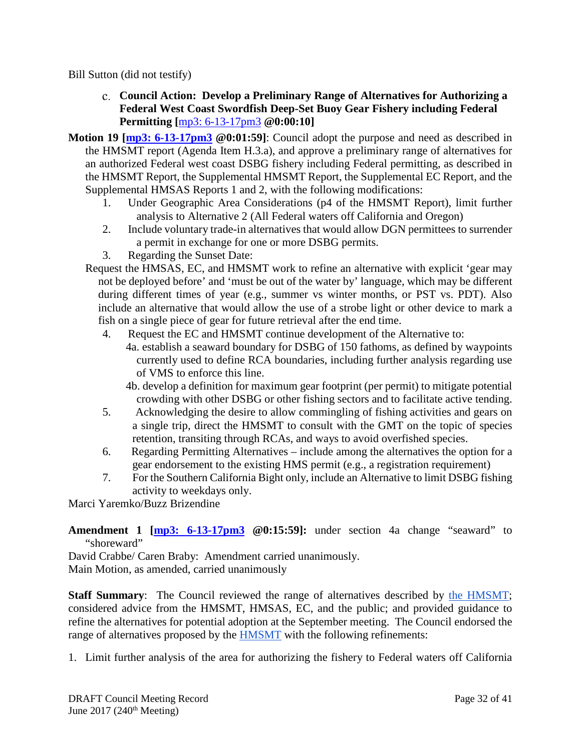<span id="page-31-0"></span>Bill Sutton (did not testify)

- **Council Action: Develop a Preliminary Range of Alternatives for Authorizing a Federal West Coast Swordfish Deep-Set Buoy Gear Fishery including Federal Permitting [**[mp3: 6-13-17pm3](ftp://ftp.pcouncil.org/pub/R1706_June_2017_Recordings/6-13-17pm3Copy.mp3) **@0:00:10]**
- **Motion 19** [\[mp3: 6-13-17pm3](ftp://ftp.pcouncil.org/pub/R1706_June_2017_Recordings/6-13-17pm3Copy.mp3) @0:01:59]: Council adopt the purpose and need as described in the HMSMT report (Agenda Item H.3.a), and approve a preliminary range of alternatives for an authorized Federal west coast DSBG fishery including Federal permitting, as described in the HMSMT Report, the Supplemental HMSMT Report, the Supplemental EC Report, and the Supplemental HMSAS Reports 1 and 2, with the following modifications:
	- 1. Under Geographic Area Considerations (p4 of the HMSMT Report), limit further analysis to Alternative 2 (All Federal waters off California and Oregon)
	- 2. Include voluntary trade-in alternatives that would allow DGN permittees to surrender a permit in exchange for one or more DSBG permits.
	- 3. Regarding the Sunset Date:
	- Request the HMSAS, EC, and HMSMT work to refine an alternative with explicit 'gear may not be deployed before' and 'must be out of the water by' language, which may be different during different times of year (e.g., summer vs winter months, or PST vs. PDT). Also include an alternative that would allow the use of a strobe light or other device to mark a fish on a single piece of gear for future retrieval after the end time.
		- 4. Request the EC and HMSMT continue development of the Alternative to:
			- 4a. establish a seaward boundary for DSBG of 150 fathoms, as defined by waypoints currently used to define RCA boundaries, including further analysis regarding use of VMS to enforce this line.
				- 4b. develop a definition for maximum gear footprint (per permit) to mitigate potential crowding with other DSBG or other fishing sectors and to facilitate active tending.
		- 5. Acknowledging the desire to allow commingling of fishing activities and gears on a single trip, direct the HMSMT to consult with the GMT on the topic of species retention, transiting through RCAs, and ways to avoid overfished species.
		- 6. Regarding Permitting Alternatives include among the alternatives the option for a gear endorsement to the existing HMS permit (e.g., a registration requirement)
		- 7. For the Southern California Bight only, include an Alternative to limit DSBG fishing activity to weekdays only.

Marci Yaremko/Buzz Brizendine

**Amendment 1 [\[mp3: 6-13-17pm3](ftp://ftp.pcouncil.org/pub/R1706_June_2017_Recordings/6-13-17pm3Copy.mp3) @0:15:59]:** under section 4a change "seaward" to "shoreward"

David Crabbe/ Caren Braby: Amendment carried unanimously. Main Motion, as amended, carried unanimously

**Staff Summary**: The Council reviewed the range of alternatives described by [the HMSMT;](http://www.pcouncil.org/wp-content/uploads/2017/05/H3a_HMSMT_Rpt_DSBG_ROA_Jun2017BB.pdf) considered advice from the HMSMT, HMSAS, EC, and the public; and provided guidance to refine the alternatives for potential adoption at the September meeting. The Council endorsed the range of alternatives proposed by the [HMSMT](http://www.pcouncil.org/wp-content/uploads/2017/05/H3a_HMSMT_Rpt_DSBG_ROA_Jun2017BB.pdf) with the following refinements:

1. Limit further analysis of the area for authorizing the fishery to Federal waters off California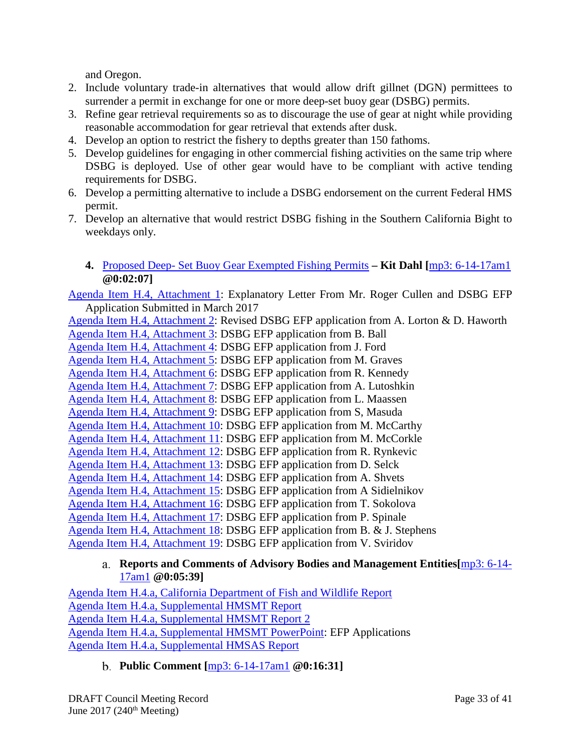and Oregon.

- 2. Include voluntary trade-in alternatives that would allow drift gillnet (DGN) permittees to surrender a permit in exchange for one or more deep-set buoy gear (DSBG) permits.
- 3. Refine gear retrieval requirements so as to discourage the use of gear at night while providing reasonable accommodation for gear retrieval that extends after dusk.
- 4. Develop an option to restrict the fishery to depths greater than 150 fathoms.
- 5. Develop guidelines for engaging in other commercial fishing activities on the same trip where DSBG is deployed. Use of other gear would have to be compliant with active tending requirements for DSBG.
- 6. Develop a permitting alternative to include a DSBG endorsement on the current Federal HMS permit.
- 7. Develop an alternative that would restrict DSBG fishing in the Southern California Bight to weekdays only.
	- **4.** Proposed Deep- [Set Buoy Gear Exempted Fishing Permits](http://www.pcouncil.org/wp-content/uploads/2017/05/H4__SitSum_DSBG_EFPs_Jun2017BB.pdf) **– Kit Dahl [**[mp3: 6-14-17am1](ftp://ftp.pcouncil.org/pub/R1706_June_2017_Recordings/6-14-17am1Copy.mp3) **@0:02:07]**

<span id="page-32-0"></span>[Agenda Item H.4, Attachment 1:](http://www.pcouncil.org/wp-content/uploads/2017/05/H4_Att01_DSBG_EFP_application_Cullen_with_cover_letter_1706_Jun2017BB.pdf) Explanatory Letter From Mr. Roger Cullen and DSBG EFP Application Submitted in March 2017

[Agenda Item H.4, Attachment 2:](http://www.pcouncil.org/wp-content/uploads/2017/05/H4_Att02_DSBG_EFP_application_Haworth-Lorton_Jun2017BB.pdf) Revised DSBG EFP application from A. Lorton & D. Haworth [Agenda Item H.4, Attachment 3:](http://www.pcouncil.org/wp-content/uploads/2017/05/H4_Att03_DSBG_EFP_application_Ball_1706_Jun2017BB.pdf) DSBG EFP application from B. Ball [Agenda Item H.4, Attachment 4:](http://www.pcouncil.org/wp-content/uploads/2017/05/H4_Att04_DSBG_EFP_application_Ford_1706_Jun2017BB.pdf) DSBG EFP application from J. Ford [Agenda Item H.4, Attachment 5:](http://www.pcouncil.org/wp-content/uploads/2017/05/H4_Att05_DSBG_EFP_application_Graves_1706_Jun2017BB.pdf) DSBG EFP application from M. Graves [Agenda Item H.4, Attachment 6:](http://www.pcouncil.org/wp-content/uploads/2017/05/H4_Att06_DSBG_EFP_application_Kennedy_1706_Jun2017BB.pdf) DSBG EFP application from R. Kennedy [Agenda Item H.4, Attachment 7:](http://www.pcouncil.org/wp-content/uploads/2017/05/H4_Att07_DSBG_EFP_application_Lutoshkin_1706_Jun2017BB.pdf) DSBG EFP application from A. Lutoshkin [Agenda Item H.4, Attachment 8:](http://www.pcouncil.org/wp-content/uploads/2017/05/H4_Att08_DSBG_EFP_application_Maassen_1706_Jun2017BB.pdf) DSBG EFP application from L. Maassen [Agenda Item H.4, Attachment 9:](http://www.pcouncil.org/wp-content/uploads/2017/05/H4_Att09_DSBG_EFP_application_Masuda_1706_Jun2017BB.pdf) DSBG EFP application from S, Masuda [Agenda Item H.4, Attachment 10:](http://www.pcouncil.org/wp-content/uploads/2017/05/H4_Att10_DSBG_EFP_application_McCarthy_1706_Jun2017BB.pdf) DSBG EFP application from M. McCarthy [Agenda Item H.4, Attachment 11:](http://www.pcouncil.org/wp-content/uploads/2017/05/H4_Att11_DSBG_EFP_application_McCorkle_with_email_1706_Jun2017BB.pdf) DSBG EFP application from M. McCorkle [Agenda Item H.4, Attachment 12:](http://www.pcouncil.org/wp-content/uploads/2017/05/H4_Att12_DSBG_EFP_application_Rynkevic_1706_Jun2017BB.pdf) DSBG EFP application from R. Rynkevic [Agenda Item H.4, Attachment 13:](http://www.pcouncil.org/wp-content/uploads/2017/05/H4_Att13_DSBG-EFP-application-Selck_1706_Jun2017BB.pdf) DSBG EFP application from D. Selck [Agenda Item H.4, Attachment 14:](http://www.pcouncil.org/wp-content/uploads/2017/05/H4_Att14_DSBG_EFP_application_Shvets_1706_Jun2017BB.pdf) DSBG EFP application from A. Shvets [Agenda Item H.4, Attachment 15:](http://www.pcouncil.org/wp-content/uploads/2017/05/H4_Att15_DSBG_EFP_application_Sidielnikov_1706_Jun2017BB.pdf) DSBG EFP application from A Sidielnikov [Agenda Item H.4, Attachment 16:](http://www.pcouncil.org/wp-content/uploads/2017/05/H4_Att16_DSBG_EFP_application_Sokolova_1706_Jun2017BB.pdf) DSBG EFP application from T. Sokolova [Agenda Item H.4, Attachment 17:](http://www.pcouncil.org/wp-content/uploads/2017/05/H4_Att17_DSBG_EFP_application_Spinale_1706_Jun2017BB.pdf) DSBG EFP application from P. Spinale [Agenda Item H.4, Attachment 18:](http://www.pcouncil.org/wp-content/uploads/2017/05/H4_Att18_DSBG_EFP_application_Stephens-_1706_Jun2017BB.pdf) DSBG EFP application from B. & J. Stephens [Agenda Item H.4, Attachment 19:](http://www.pcouncil.org/wp-content/uploads/2017/05/H4_Att19_DSBG_EFP_application_Sviridov_1706_Jun2017BB.pdf) DSBG EFP application from V. Sviridov

#### <span id="page-32-1"></span>**Reports and Comments of Advisory Bodies and Management Entities[**[mp3: 6-14-](ftp://ftp.pcouncil.org/pub/R1706_June_2017_Recordings/6-14-17am1Copy.mp3) [17am1](ftp://ftp.pcouncil.org/pub/R1706_June_2017_Recordings/6-14-17am1Copy.mp3) **@0:05:39]**

[Agenda Item H.4.a, California Department of Fish and Wildlife Report](http://www.pcouncil.org/wp-content/uploads/2017/05/H4a_CDFW_Rpt_DSBGEFPs_170512_Jun2017BB.pdf) [Agenda Item H.4.a, Supplemental HMSMT Report](http://www.pcouncil.org/wp-content/uploads/2017/06/H4a_Sup_HMSMT_Rpt_EFPsummaryTable_Jun2017BB.pdf) [Agenda Item H.4.a, Supplemental HMSMT Report 2](http://www.pcouncil.org/wp-content/uploads/2017/06/H4a_Sup_HMSMT_Rpt2_Jun2017BB.pdf) [Agenda Item H.4.a, Supplemental HMSMT PowerPoint:](http://www.pcouncil.org/wp-content/uploads/2017/06/H4a_Sup_HMSMT_PPT_EFP_Application_Hellmers_JUNE2017BB.pdf) EFP Applications [Agenda Item H.4.a, Supplemental HMSAS Report](http://www.pcouncil.org/wp-content/uploads/2017/06/H4a_Sup_HMSAS_Rpt_DSBG_EFPs_Jun2017BB.pdf)

# <span id="page-32-2"></span>**Public Comment [**[mp3: 6-14-17am1](ftp://ftp.pcouncil.org/pub/R1706_June_2017_Recordings/6-14-17am1Copy.mp3) **@0:16:31]**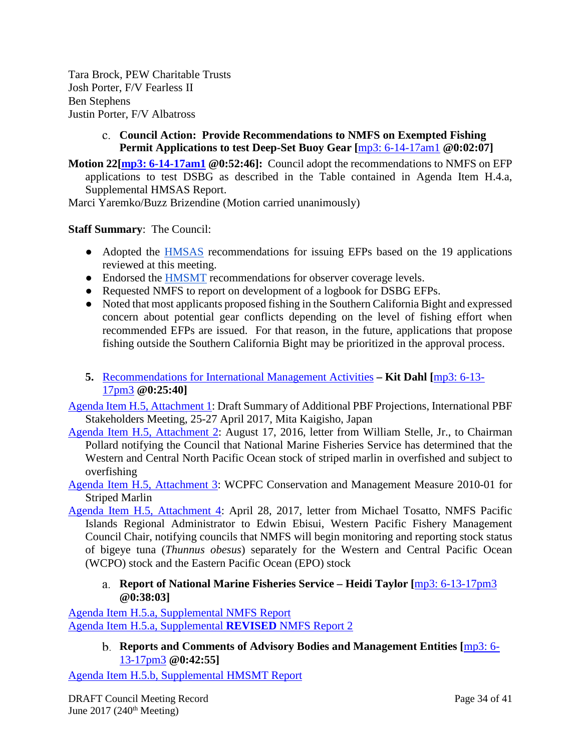Tara Brock, PEW Charitable Trusts Josh Porter, F/V Fearless II Ben Stephens Justin Porter, F/V Albatross

### <span id="page-33-0"></span>**Council Action: Provide Recommendations to NMFS on Exempted Fishing Permit Applications to test Deep-Set Buoy Gear [**[mp3: 6-14-17am1](ftp://ftp.pcouncil.org/pub/R1706_June_2017_Recordings/6-14-17am1Copy.mp3) **@0:02:07]**

**Motion 22[\[mp3: 6-14-17am1](ftp://ftp.pcouncil.org/pub/R1706_June_2017_Recordings/6-14-17am1Copy.mp3) @0:52:46]:** Council adopt the recommendations to NMFS on EFP applications to test DSBG as described in the Table contained in Agenda Item H.4.a, Supplemental HMSAS Report.

Marci Yaremko/Buzz Brizendine (Motion carried unanimously)

# **Staff Summary**: The Council:

- Adopted the [HMSAS](http://www.pcouncil.org/wp-content/uploads/2017/06/H4a_Sup_HMSAS_Rpt_DSBG_EFPs_Jun2017BB.pdf) recommendations for issuing EFPs based on the 19 applications reviewed at this meeting.
- Endorsed the [HMSMT](http://www.pcouncil.org/wp-content/uploads/2017/06/H4a_Sup_HMSMT_Rpt2_Jun2017BB.pdf) recommendations for observer coverage levels.
- Requested NMFS to report on development of a logbook for DSBG EFPs.
- Noted that most applicants proposed fishing in the Southern California Bight and expressed concern about potential gear conflicts depending on the level of fishing effort when recommended EFPs are issued. For that reason, in the future, applications that propose fishing outside the Southern California Bight may be prioritized in the approval process.
- <span id="page-33-1"></span>**5.** [Recommendations for International Management Activities](http://www.pcouncil.org/wp-content/uploads/2017/05/H5__SitSum_Intl_Mgmt_Jun2017BB.pdf) **– Kit Dahl [**[mp3: 6-13-](ftp://ftp.pcouncil.org/pub/R1706_June_2017_Recordings/6-13-17pm3Copy.mp3) [17pm3](ftp://ftp.pcouncil.org/pub/R1706_June_2017_Recordings/6-13-17pm3Copy.mp3) **@0:25:40]**

[Agenda Item H.5, Attachment 1:](http://www.pcouncil.org/wp-content/uploads/2017/05/H5_Att1_Draft_Harvest_Scenario_Summary_Rpt_Stakeholders_Mtg_Apr2017_Jun2017BB.pdf) Draft Summary of Additional PBF Projections, International PBF Stakeholders Meeting, 25-27 April 2017, Mita Kaigisho, Japan

- [Agenda Item H.5, Attachment 2:](http://www.pcouncil.org/wp-content/uploads/2017/05/H5_Att2_Stelle_Ltr_Striped_Marlin_Overfishing_Sept16_Jun2017BB.pdf) August 17, 2016, letter from William Stelle, Jr., to Chairman Pollard notifying the Council that National Marine Fisheries Service has determined that the Western and Central North Pacific Ocean stock of striped marlin in overfished and subject to overfishing
- [Agenda Item H.5, Attachment 3:](http://www.pcouncil.org/wp-content/uploads/2017/05/H5_Att3_CMM2010-01_North_Pacific_Striped_Marlin_Jun2017BB.pdf) WCPFC Conservation and Management Measure 2010-01 for Striped Marlin
- [Agenda Item H.5, Attachment 4:](http://www.pcouncil.org/wp-content/uploads/2017/05/H5_Att4_2017-04-28_Tosatto_to_Ebisui_Bigeye_Tuna_Stock_Split_and_StatusDetermination_rev_Jun2017BB.pdf) April 28, 2017, letter from Michael Tosatto, NMFS Pacific Islands Regional Administrator to Edwin Ebisui, Western Pacific Fishery Management Council Chair, notifying councils that NMFS will begin monitoring and reporting stock status of bigeye tuna (*Thunnus obesus*) separately for the Western and Central Pacific Ocean (WCPO) stock and the Eastern Pacific Ocean (EPO) stock

# <span id="page-33-2"></span>**Report of National Marine Fisheries Service – Heidi Taylor [**[mp3: 6-13-17pm3](ftp://ftp.pcouncil.org/pub/R1706_June_2017_Recordings/6-13-17pm3Copy.mp3) **@0:38:03]**

<span id="page-33-3"></span>[Agenda Item H.5.a, Supplemental NMFS Report](http://www.pcouncil.org/wp-content/uploads/2017/06/H5a_Sup_NMFS_Rpt_Intl_JUNE2017BB.pdf) [Agenda Item H.5.a, Supplemental](http://www.pcouncil.org/wp-content/uploads/2017/06/H5a_Sup_REVISED_NMFS_Rpt2_Intl_withAttachments_JUNE2017BB.pdf) **REVISED** NMFS Report 2

> **Reports and Comments of Advisory Bodies and Management Entities [**[mp3:](ftp://ftp.pcouncil.org/pub/R1706_June_2017_Recordings/6-13-17pm3Copy.mp3) 6- [13-17pm3](ftp://ftp.pcouncil.org/pub/R1706_June_2017_Recordings/6-13-17pm3Copy.mp3) **@0:42:55]**

[Agenda Item H.5.b, Supplemental HMSMT Report](http://www.pcouncil.org/wp-content/uploads/2017/06/H5b_Sup_HMSMT_Rpt_Intl_Jun2017BB.pdf)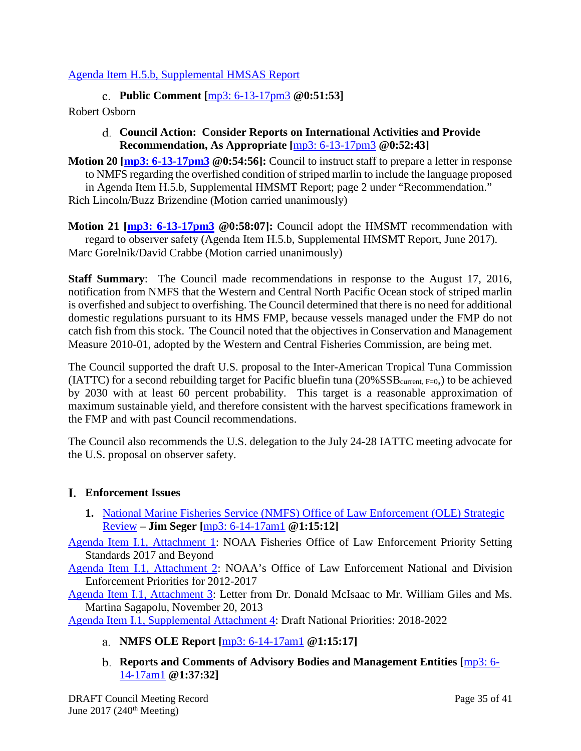## <span id="page-34-0"></span>[Agenda Item H.5.b, Supplemental HMSAS Report](http://www.pcouncil.org/wp-content/uploads/2017/06/H5b_Sup_HMSAS_Rpt_Intl_Jun2017BB.pdf)

**Public Comment [**[mp3: 6-13-17pm3](ftp://ftp.pcouncil.org/pub/R1706_June_2017_Recordings/6-13-17pm3Copy.mp3) **@0:51:53]**

### <span id="page-34-1"></span>Robert Osborn

### **Council Action: Consider Reports on International Activities and Provide Recommendation, As Appropriate [**[mp3: 6-13-17pm3](ftp://ftp.pcouncil.org/pub/R1706_June_2017_Recordings/6-13-17pm3Copy.mp3) **@0:52:43]**

**Motion 20 [\[mp3: 6-13-17pm3](ftp://ftp.pcouncil.org/pub/R1706_June_2017_Recordings/6-13-17pm3Copy.mp3) @0:54:56]:** Council to instruct staff to prepare a letter in response to NMFS regarding the overfished condition of striped marlin to include the language proposed in Agenda Item H.5.b, Supplemental HMSMT Report; page 2 under "Recommendation." Rich Lincoln/Buzz Brizendine (Motion carried unanimously)

**Motion 21 [\[mp3: 6-13-17pm3](ftp://ftp.pcouncil.org/pub/R1706_June_2017_Recordings/6-13-17pm3Copy.mp3) @0:58:07]:** Council adopt the HMSMT recommendation with regard to observer safety (Agenda Item H.5.b, Supplemental HMSMT Report, June 2017). Marc Gorelnik/David Crabbe (Motion carried unanimously)

**Staff Summary**: The Council made recommendations in response to the August 17, 2016, notification from NMFS that the Western and Central North Pacific Ocean stock of striped marlin is overfished and subject to overfishing. The Council determined that there is no need for additional domestic regulations pursuant to its HMS FMP, because vessels managed under the FMP do not catch fish from this stock. The Council noted that the objectives in Conservation and Management Measure 2010-01, adopted by the Western and Central Fisheries Commission, are being met.

The Council supported the draft U.S. proposal to the Inter-American Tropical Tuna Commission (IATTC) for a second rebuilding target for Pacific bluefin tuna ( $20\%$ SSB<sub>current, F=0</sub>,) to be achieved by 2030 with at least 60 percent probability. This target is a reasonable approximation of maximum sustainable yield, and therefore consistent with the harvest specifications framework in the FMP and with past Council recommendations.

The Council also recommends the U.S. delegation to the July 24-28 IATTC meeting advocate for the U.S. proposal on observer safety.

# <span id="page-34-2"></span>**Enforcement Issues**

<span id="page-34-3"></span>**1.** [National Marine Fisheries Service \(NMFS\) Office of Law Enforcement \(OLE\) Strategic](http://www.pcouncil.org/wp-content/uploads/2017/05/I1__SitSum_OLE_Priorities_Jun2017BB.pdf)  [Review](http://www.pcouncil.org/wp-content/uploads/2017/05/I1__SitSum_OLE_Priorities_Jun2017BB.pdf) **– Jim Seger [**[mp3: 6-14-17am1](ftp://ftp.pcouncil.org/pub/R1706_June_2017_Recordings/6-14-17am1Copy.mp3) **@1:15:12]**

[Agenda Item I.1, Attachment 1:](http://www.pcouncil.org/wp-content/uploads/2017/05/I1_Att1_Priority_Setting_Process-NEW_01-09-2017_FINAL_Jun2017BB.pdf) NOAA Fisheries Office of Law Enforcement Priority Setting Standards 2017 and Beyond

[Agenda Item I.1, Attachment 2:](http://www.pcouncil.org/wp-content/uploads/2017/05/I1_Att2_NOAA_OLE_priorities_web_Jun2017BB.pdf) NOAA's Office of Law Enforcement National and Division Enforcement Priorities for 2012-2017

[Agenda Item I.1, Attachment 3:](http://www.pcouncil.org/wp-content/uploads/2017/05/I1_Att3_Council_2013_EnfPriorityComments_Jun2017BB.pdf) Letter from Dr. Donald McIsaac to Mr. William Giles and Ms. Martina Sagapolu, November 20, 2013

<span id="page-34-5"></span><span id="page-34-4"></span>[Agenda Item I.1, Supplemental Attachment 4:](http://www.pcouncil.org/wp-content/uploads/2017/06/I1_Sup_Att4_WCDEnforcementPriorities2018-2022__Jun2017BB.pdf) Draft National Priorities: 2018-2022

- **NMFS OLE Report [**[mp3: 6-14-17am1](ftp://ftp.pcouncil.org/pub/R1706_June_2017_Recordings/6-14-17am1Copy.mp3) **@1:15:17]**
- **Reports and Comments of Advisory Bodies and Management Entities [**[mp3: 6-](ftp://ftp.pcouncil.org/pub/R1706_June_2017_Recordings/6-14-17am1Copy.mp3) [14-17am1](ftp://ftp.pcouncil.org/pub/R1706_June_2017_Recordings/6-14-17am1Copy.mp3) **@1:37:32]**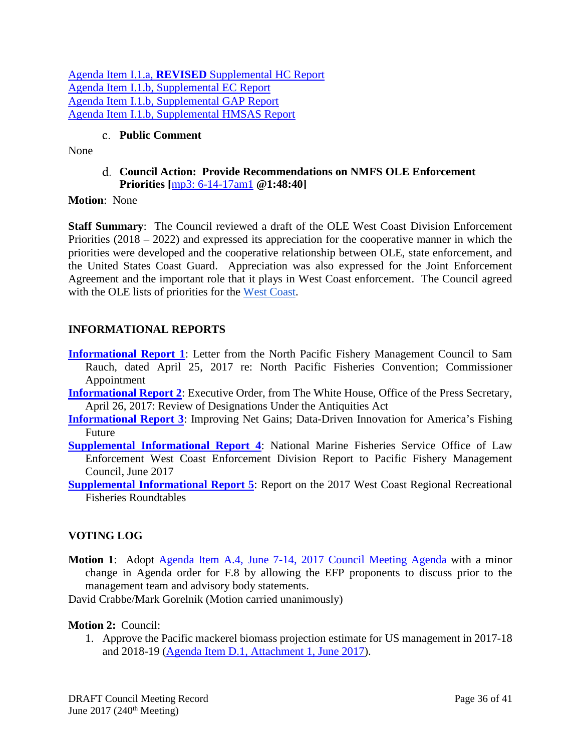Agenda Item I.1.a, **REVISED** [Supplemental HC Report](http://www.pcouncil.org/wp-content/uploads/2017/06/I1a_Sup_REVISED_HC_Rpt_Jun2017BB.pdf) [Agenda Item I.1.b, Supplemental EC Report](http://www.pcouncil.org/wp-content/uploads/2017/06/I1b_Sup_EC_Rpt_OLE_Jun2017BB.pdf) [Agenda Item I.1.b, Supplemental GAP Report](http://www.pcouncil.org/wp-content/uploads/2017/06/I1b_Sup_GAP_Rpt_enforcement_strategy_Jun2017BB.pdf) [Agenda Item I.1.b, Supplemental HMSAS Report](http://www.pcouncil.org/wp-content/uploads/2017/05/I1b_Sup_HMSAS_Rpt_OLE_Jun2017BB.pdf)

# **Public Comment**

<span id="page-35-1"></span><span id="page-35-0"></span>None

**Council Action: Provide Recommendations on NMFS OLE Enforcement Priorities [**[mp3: 6-14-17am1](ftp://ftp.pcouncil.org/pub/R1706_June_2017_Recordings/6-14-17am1Copy.mp3) **@1:48:40]**

**Motion**: None

**Staff Summary**: The Council reviewed a draft of the OLE West Coast Division Enforcement Priorities (2018 – 2022) and expressed its appreciation for the cooperative manner in which the priorities were developed and the cooperative relationship between OLE, state enforcement, and the United States Coast Guard. Appreciation was also expressed for the Joint Enforcement Agreement and the important role that it plays in West Coast enforcement. The Council agreed with the OLE lists of priorities for the [West Coast.](http://www.pcouncil.org/wp-content/uploads/2017/06/I1_Sup_Att4_WCDEnforcementPriorities2018-2022__Jun2017BB.pdf)

# <span id="page-35-2"></span>**INFORMATIONAL REPORTS**

- **[Informational Report 1](http://www.pcouncil.org/wp-content/uploads/2017/05/InfoRpt1_CommissionerAppointmentLtr_JUN2017BB.pdf)**: Letter from the North Pacific Fishery Management Council to Sam Rauch, dated April 25, 2017 re: North Pacific Fisheries Convention; Commissioner Appointment
- **[Informational Report 2](http://www.pcouncil.org/wp-content/uploads/2017/05/InfoRpt2_EO_to_Review_the_Antiquities_Act_JUN2017BB.pdf)**: Executive Order, from The White House, Office of the Press Secretary, April 26, 2017: Review of Designations Under the Antiquities Act
- **[Informational Report 3](http://www.pcouncil.org/wp-content/uploads/2017/05/InfoRpt3_netgainsreport_JUNE2017BB.pdf)**: Improving Net Gains; Data-Driven Innovation for America's Fishing Future
- **[Supplemental Informational Report 4](http://www.pcouncil.org/wp-content/uploads/2017/06/InfoRpt4_Sup_2017_WCD_PFMC_AnnlRpt_06052017_Jun2017BB.pdf):** National Marine Fisheries Service Office of Law Enforcement West Coast Enforcement Division Report to Pacific Fishery Management Council, June 2017
- **[Supplemental Informational Report 5](http://www.pcouncil.org/wp-content/uploads/2017/06/InfoRpt5_Sup_NMFS_Recl_Roundtable_Jun2017BB.pdf):** Report on the 2017 West Coast Regional Recreational Fisheries Roundtables

# <span id="page-35-3"></span>**VOTING LOG**

**Motion 1**: Adopt [Agenda Item A.4, June 7-14, 2017 Council Meeting Agenda](http://www.pcouncil.org/wp-content/uploads/2017/05/A4_Agenda_Jun2017BB.pdf) with a minor change in Agenda order for F.8 by allowing the EFP proponents to discuss prior to the management team and advisory body statements.

David Crabbe/Mark Gorelnik (Motion carried unanimously)

#### **Motion 2:** Council:

1. Approve the Pacific mackerel biomass projection estimate for US management in 2017-18 and 2018-19 [\(Agenda Item D.1, Attachment 1, June 2017\)](http://www.pcouncil.org/wp-content/uploads/2017/05/D1_Att1_Mackerel_Biomass_Estimate_Jun2017BB.pdf).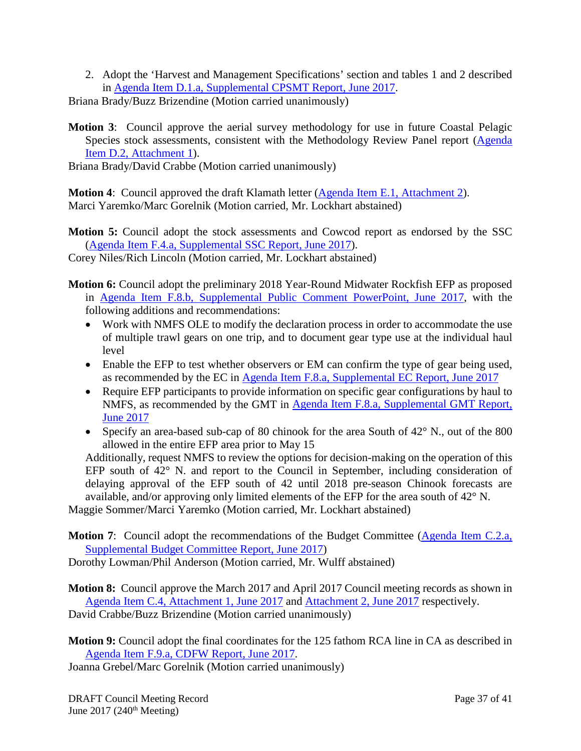2. Adopt the 'Harvest and Management Specifications' section and tables 1 and 2 described in [Agenda Item D.1.a, Supplemental CPSMT Report, June 2017.](http://www.pcouncil.org/wp-content/uploads/2017/06/D1a_Sup_CPSMT_Rpt_PmackAssmt_Jun2017BB.pdf)

Briana Brady/Buzz Brizendine (Motion carried unanimously)

**Motion 3**: Council approve the aerial survey methodology for use in future Coastal Pelagic Species stock assessments, consistent with the Methodology Review Panel report [\(Agenda](http://www.pcouncil.org/wp-content/uploads/2017/05/D2_Att1_Meth_Review_Panel_Rpt_Jun2017BB.pdf)  [Item D.2, Attachment 1\)](http://www.pcouncil.org/wp-content/uploads/2017/05/D2_Att1_Meth_Review_Panel_Rpt_Jun2017BB.pdf).

Briana Brady/David Crabbe (Motion carried unanimously)

**Motion 4:** Council approved the draft Klamath letter [\(Agenda Item E.1, Attachment 2\)](http://www.pcouncil.org/wp-content/uploads/2017/05/E1_Att2_Klamath_Ltr_Jun2017BB.pdf). Marci Yaremko/Marc Gorelnik (Motion carried, Mr. Lockhart abstained)

**Motion 5:** Council adopt the stock assessments and Cowcod report as endorsed by the SSC [\(Agenda Item F.4.a, Supplemental SSC Report, June 2017\)](http://www.pcouncil.org/wp-content/uploads/2017/06/F4a_Sup_SSC_Rpt_Assessents_Final_Jun2017BB-1.pdf).

Corey Niles/Rich Lincoln (Motion carried, Mr. Lockhart abstained)

- **Motion 6:** Council adopt the preliminary 2018 Year-Round Midwater Rockfish EFP as proposed in Agenda Item F.8.b, [Supplemental Public Comment PowerPoint, June 2017,](http://www.pcouncil.org/wp-content/uploads/2017/06/F8b_Sup_PubComPPT_EFPprogressRpt_Jun2017BB.pdf) with the following additions and recommendations:
	- Work with NMFS OLE to modify the declaration process in order to accommodate the use of multiple trawl gears on one trip, and to document gear type use at the individual haul level
	- Enable the EFP to test whether observers or EM can confirm the type of gear being used, as recommended by the EC in Agenda Item F.8.a, [Supplemental EC Report,](http://www.pcouncil.org/wp-content/uploads/2017/06/F8a_Sup_EC_Rpt_Jun2017BB.pdf) June 2017
	- Require EFP participants to provide information on specific gear configurations by haul to NMFS, as recommended by the GMT in Agenda Item F.8.a, [Supplemental GMT Report,](http://www.pcouncil.org/wp-content/uploads/2017/06/F8a_Sup_GMT_Rpt_Jun2017BB-1.pdf)  [June 2017](http://www.pcouncil.org/wp-content/uploads/2017/06/F8a_Sup_GMT_Rpt_Jun2017BB-1.pdf)
	- Specify an area-based sub-cap of 80 chinook for the area South of 42° N., out of the 800 allowed in the entire EFP area prior to May 15

Additionally, request NMFS to review the options for decision-making on the operation of this EFP south of 42° N. and report to the Council in September, including consideration of delaying approval of the EFP south of 42 until 2018 pre-season Chinook forecasts are available, and/or approving only limited elements of the EFP for the area south of 42° N.

Maggie Sommer/Marci Yaremko (Motion carried, Mr. Lockhart abstained)

**Motion 7:** Council adopt the recommendations of the Budget Committee (Agenda Item C.2.a, [Supplemental Budget Committee Report, June 2017\)](http://www.pcouncil.org/wp-content/uploads/2017/06/C2a_Sup_BudCom_Rpt_JUN2017BB.pdf)

Dorothy Lowman/Phil Anderson (Motion carried, Mr. Wulff abstained)

**Motion 8:** Council approve the March 2017 and April 2017 Council meeting records as shown in [Agenda Item C.4, Attachment 1, June 2017](http://www.pcouncil.org/wp-content/uploads/2017/05/C4_Att1_March_2017_Draft_COUNCIL_MEETING_RECORD_Jun2017BB.pdf) and [Attachment 2, June 2017](http://www.pcouncil.org/wp-content/uploads/2017/05/C4_Att2_April_2017_Draft_COUNCIL_MEETING_RECORD_Jun2017BB.pdf) respectively. David Crabbe/Buzz Brizendine (Motion carried unanimously)

**Motion 9:** Council adopt the final coordinates for the 125 fathom RCA line in CA as described in [Agenda Item F.9.a, CDFW Report, June 2017.](http://www.pcouncil.org/wp-content/uploads/2017/05/F9a_CDFW_Rpt_Jun2017BB.pdf)

Joanna Grebel/Marc Gorelnik (Motion carried unanimously)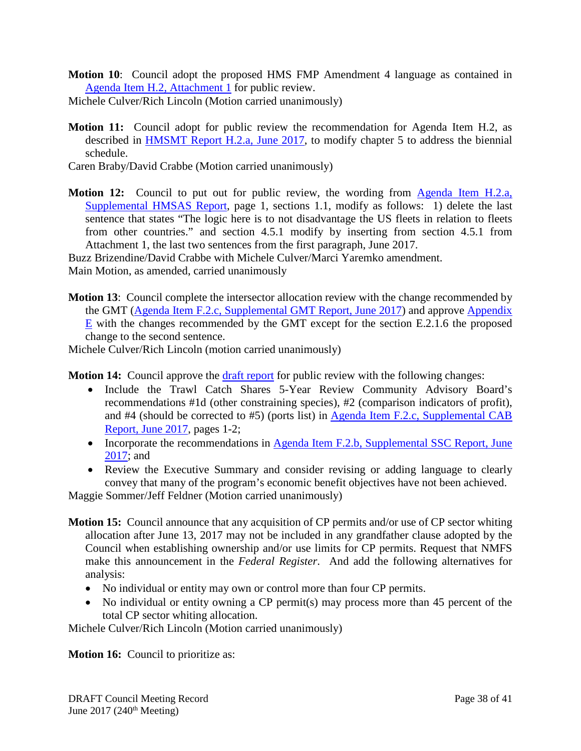**Motion 10**: Council adopt the proposed HMS FMP Amendment 4 language as contained in [Agenda Item H.2,](http://www.pcouncil.org/wp-content/uploads/2017/05/H2_Att1_HMS_FMP_Amdmnt4Text_Jun2017BB.pdf) Attachment 1 for public review.

Michele Culver/Rich Lincoln (Motion carried unanimously)

- **Motion 11:** Council adopt for public review the recommendation for Agenda Item H.2, as described in [HMSMT Report H.2.a, June 2017,](http://www.pcouncil.org/wp-content/uploads/2017/05/H2a_HMSMT_Rpt_Amndmt4_Jun2017BB.pdf) to modify chapter 5 to address the biennial schedule.
- Caren Braby/David Crabbe (Motion carried unanimously)
- **Motion 12:** Council to put out for public review, the wording from **Agenda Item H.2.a**, [Supplemental HMSAS Report,](http://www.pcouncil.org/wp-content/uploads/2017/06/H2a_Sup_HMSAS_Rpt_FMP_Amendment4_FINAL_Jun2017BB.pdf) page 1, sections 1.1, modify as follows: 1) delete the last sentence that states "The logic here is to not disadvantage the US fleets in relation to fleets from other countries." and section 4.5.1 modify by inserting from section 4.5.1 from Attachment 1, the last two sentences from the first paragraph, June 2017.

Buzz Brizendine/David Crabbe with Michele Culver/Marci Yaremko amendment.

Main Motion, as amended, carried unanimously

**Motion 13**: Council complete the intersector allocation review with the change recommended by the GMT [\(Agenda Item F.2.c, Supplemental GMT Report, June 2017\)](http://www.pcouncil.org/wp-content/uploads/2017/06/F2c_Sup_GMT_Rpt_Jun2017BB.pdf) and approve [Appendix](http://www.pcouncil.org/wp-content/uploads/2017/05/F2_Att3_GF_FMP_ApdxE_RevThruAug162016_Draft_JUN2017BB.pdf)   $E$  with the changes recommended by the GMT except for the section E.2.1.6 the proposed change to the second sentence.

Michele Culver/Rich Lincoln (motion carried unanimously)

**Motion 14:** Council approve the [draft report](http://www.pcouncil.org/wp-content/uploads/2017/05/F2a_CatchShareAnalystsReport_FullReport_ElectricOnly_Jun2017BB.pdf) for public review with the following changes:

- Include the Trawl Catch Shares 5-Year Review Community Advisory Board's recommendations #1d (other constraining species), #2 (comparison indicators of profit), and #4 (should be corrected to #5) (ports list) in [Agenda Item F.2.c, Supplemental CAB](http://www.pcouncil.org/wp-content/uploads/2017/06/F2c_Sup_CAB_Rpt_Jun2017BB.pdf)  [Report, June 2017,](http://www.pcouncil.org/wp-content/uploads/2017/06/F2c_Sup_CAB_Rpt_Jun2017BB.pdf) pages 1-2;
- Incorporate the recommendations in Agenda Item F.2.b, Supplemental SSC Report, June [2017;](http://www.pcouncil.org/wp-content/uploads/2017/06/F2b_Sup_SSC_CatchShare_Jun2017BB.pdf) and
- Review the Executive Summary and consider revising or adding language to clearly convey that many of the program's economic benefit objectives have not been achieved.

Maggie Sommer/Jeff Feldner (Motion carried unanimously)

- **Motion 15:** Council announce that any acquisition of CP permits and/or use of CP sector whiting allocation after June 13, 2017 may not be included in any grandfather clause adopted by the Council when establishing ownership and/or use limits for CP permits. Request that NMFS make this announcement in the *Federal Register*. And add the following alternatives for analysis:
	- No individual or entity may own or control more than four CP permits.
	- No individual or entity owning a CP permit(s) may process more than 45 percent of the total CP sector whiting allocation.

Michele Culver/Rich Lincoln (Motion carried unanimously)

**Motion 16:** Council to prioritize as: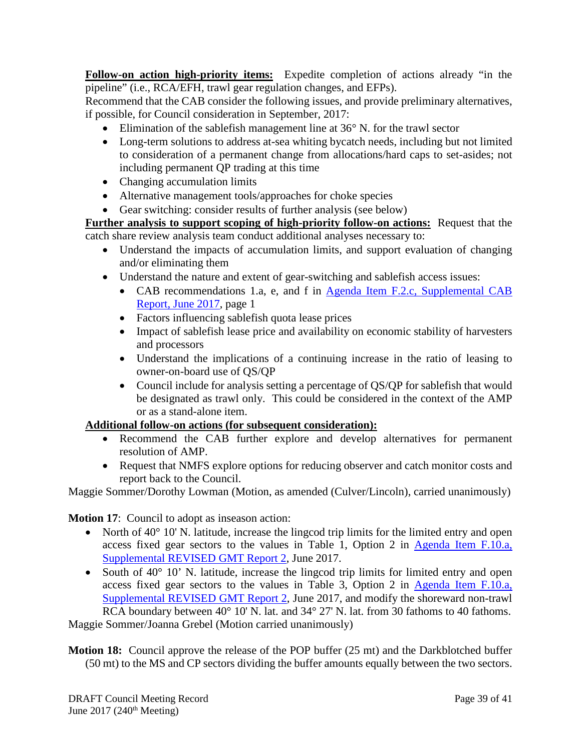**Follow-on action high-priority items:** Expedite completion of actions already "in the pipeline" (i.e., RCA/EFH, trawl gear regulation changes, and EFPs).

Recommend that the CAB consider the following issues, and provide preliminary alternatives, if possible, for Council consideration in September, 2017:

- Elimination of the sable fish management line at  $36^{\circ}$  N. for the trawl sector
- Long-term solutions to address at-sea whiting bycatch needs, including but not limited to consideration of a permanent change from allocations/hard caps to set-asides; not including permanent QP trading at this time
- Changing accumulation limits
- Alternative management tools/approaches for choke species
- Gear switching: consider results of further analysis (see below)

**Further analysis to support scoping of high-priority follow-on actions:** Request that the catch share review analysis team conduct additional analyses necessary to:

- Understand the impacts of accumulation limits, and support evaluation of changing and/or eliminating them
- Understand the nature and extent of gear-switching and sablefish access issues:
	- CAB recommendations 1.a, e, and f in Agenda Item F.2.c, Supplemental CAB [Report, June 2017,](http://www.pcouncil.org/wp-content/uploads/2017/06/F2c_Sup_CAB_Rpt_Jun2017BB.pdf) page 1
	- Factors influencing sablefish quota lease prices
	- Impact of sablefish lease price and availability on economic stability of harvesters and processors
	- Understand the implications of a continuing increase in the ratio of leasing to owner-on-board use of QS/QP
	- Council include for analysis setting a percentage of QS/QP for sablefish that would be designated as trawl only. This could be considered in the context of the AMP or as a stand-alone item.

# **Additional follow-on actions (for subsequent consideration):**

- Recommend the CAB further explore and develop alternatives for permanent resolution of AMP.
- Request that NMFS explore options for reducing observer and catch monitor costs and report back to the Council.

Maggie Sommer/Dorothy Lowman (Motion, as amended (Culver/Lincoln), carried unanimously)

**Motion 17**: Council to adopt as inseason action:

- North of  $40^{\circ}$  10' N. latitude, increase the lingcod trip limits for the limited entry and open access fixed gear sectors to the values in Table 1, Option 2 in [Agenda Item F.10.a,](http://www.pcouncil.org/wp-content/uploads/2017/06/F10a_Sup_REVISED_GMT_Rpt2_Jun2017BB.pdf)  [Supplemental REVISED GMT Report 2,](http://www.pcouncil.org/wp-content/uploads/2017/06/F10a_Sup_REVISED_GMT_Rpt2_Jun2017BB.pdf) June 2017.
- South of 40° 10' N. latitude, increase the lingcod trip limits for limited entry and open access fixed gear sectors to the values in Table 3, Option 2 in [Agenda Item F.10.a,](http://www.pcouncil.org/wp-content/uploads/2017/06/F10a_Sup_REVISED_GMT_Rpt2_Jun2017BB.pdf)  [Supplemental REVISED GMT Report 2,](http://www.pcouncil.org/wp-content/uploads/2017/06/F10a_Sup_REVISED_GMT_Rpt2_Jun2017BB.pdf) June 2017, and modify the shoreward non-trawl RCA boundary between 40° 10' N. lat. and 34° 27' N. lat. from 30 fathoms to 40 fathoms.

Maggie Sommer/Joanna Grebel (Motion carried unanimously)

**Motion 18:** Council approve the release of the POP buffer (25 mt) and the Darkblotched buffer (50 mt) to the MS and CP sectors dividing the buffer amounts equally between the two sectors.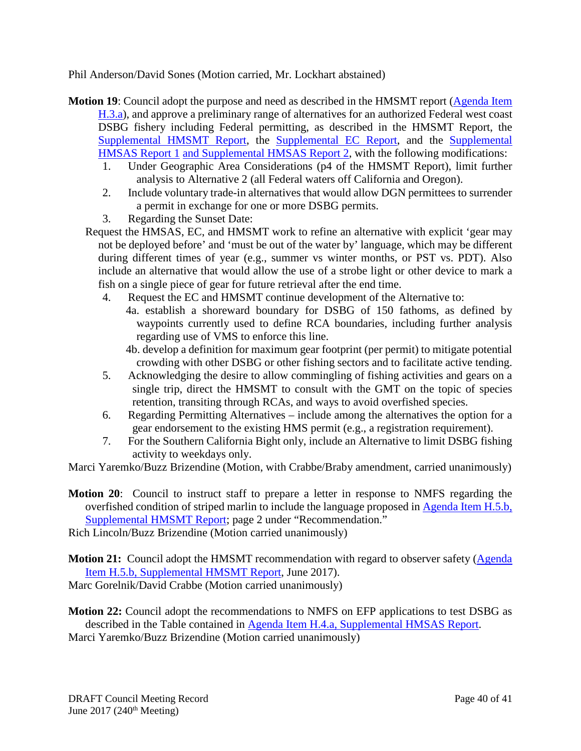Phil Anderson/David Sones (Motion carried, Mr. Lockhart abstained)

- **Motion 19**: Council adopt the purpose and need as described in the HMSMT report [\(Agenda Item](http://www.pcouncil.org/wp-content/uploads/2017/05/H3a_HMSMT_Rpt_DSBG_ROA_Jun2017BB.pdf)  [H.3.a\)](http://www.pcouncil.org/wp-content/uploads/2017/05/H3a_HMSMT_Rpt_DSBG_ROA_Jun2017BB.pdf), and approve a preliminary range of alternatives for an authorized Federal west coast DSBG fishery including Federal permitting, as described in the HMSMT Report, the [Supplemental HMSMT Report,](http://www.pcouncil.org/wp-content/uploads/2017/06/H3a_Sup_HMSMT_Rpt2_DSBG_ROA_Jun2017BB.pdf) the [Supplemental EC Report,](http://www.pcouncil.org/wp-content/uploads/2017/06/H3a_Sup_EC_Rpt_Jun2016BB.pdf) and the Supplemental [HMSAS Report](http://www.pcouncil.org/wp-content/uploads/2017/06/H3a_Sup_HMSAS_Rpt_Jun2017BB.pdf) 1 [and Supplemental HMSAS Report 2,](http://www.pcouncil.org/wp-content/uploads/2017/06/H3a_Sup_HMSAS_Rpt2_Jun2017BB.pdf) with the following modifications:
	- 1. Under Geographic Area Considerations (p4 of the HMSMT Report), limit further analysis to Alternative 2 (all Federal waters off California and Oregon).
	- 2. Include voluntary trade-in alternatives that would allow DGN permittees to surrender a permit in exchange for one or more DSBG permits.
	- 3. Regarding the Sunset Date:
	- Request the HMSAS, EC, and HMSMT work to refine an alternative with explicit 'gear may not be deployed before' and 'must be out of the water by' language, which may be different during different times of year (e.g., summer vs winter months, or PST vs. PDT). Also include an alternative that would allow the use of a strobe light or other device to mark a fish on a single piece of gear for future retrieval after the end time.
		- 4. Request the EC and HMSMT continue development of the Alternative to:
			- 4a. establish a shoreward boundary for DSBG of 150 fathoms, as defined by waypoints currently used to define RCA boundaries, including further analysis regarding use of VMS to enforce this line.

4b. develop a definition for maximum gear footprint (per permit) to mitigate potential crowding with other DSBG or other fishing sectors and to facilitate active tending.

- 5. Acknowledging the desire to allow commingling of fishing activities and gears on a single trip, direct the HMSMT to consult with the GMT on the topic of species retention, transiting through RCAs, and ways to avoid overfished species.
- 6. Regarding Permitting Alternatives include among the alternatives the option for a gear endorsement to the existing HMS permit (e.g., a registration requirement).
- 7. For the Southern California Bight only, include an Alternative to limit DSBG fishing activity to weekdays only.

Marci Yaremko/Buzz Brizendine (Motion, with Crabbe/Braby amendment, carried unanimously)

**Motion 20**: Council to instruct staff to prepare a letter in response to NMFS regarding the overfished condition of striped marlin to include the language proposed in [Agenda Item H.5.b,](http://www.pcouncil.org/wp-content/uploads/2017/06/H5b_Sup_HMSMT_Rpt_Intl_Jun2017BB.pdf)  [Supplemental HMSMT Report;](http://www.pcouncil.org/wp-content/uploads/2017/06/H5b_Sup_HMSMT_Rpt_Intl_Jun2017BB.pdf) page 2 under "Recommendation."

Rich Lincoln/Buzz Brizendine (Motion carried unanimously)

**Motion 21:** Council adopt the HMSMT recommendation with regard to observer safety [\(Agenda](http://www.pcouncil.org/wp-content/uploads/2017/06/H5b_Sup_HMSMT_Rpt_Intl_Jun2017BB.pdf)  [Item H.5.b, Supplemental HMSMT Report,](http://www.pcouncil.org/wp-content/uploads/2017/06/H5b_Sup_HMSMT_Rpt_Intl_Jun2017BB.pdf) June 2017). Marc Gorelnik/David Crabbe (Motion carried unanimously)

**Motion 22:** Council adopt the recommendations to NMFS on EFP applications to test DSBG as described in the Table contained in [Agenda Item H.4.a, Supplemental HMSAS Report.](http://www.pcouncil.org/wp-content/uploads/2017/06/H4a_Sup_HMSAS_Rpt_DSBG_EFPs_Jun2017BB.pdf) Marci Yaremko/Buzz Brizendine (Motion carried unanimously)